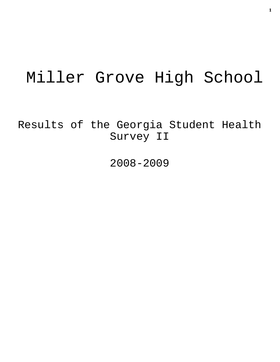# Miller Grove High School

Results of the Georgia Student Health Survey II

2008-2009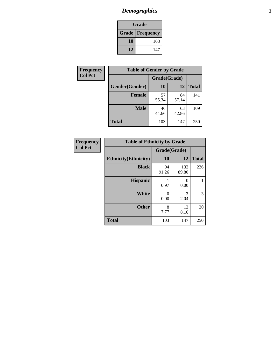## *Demographics* **2**

| Grade                    |     |  |  |  |
|--------------------------|-----|--|--|--|
| <b>Grade   Frequency</b> |     |  |  |  |
| 10                       | 103 |  |  |  |
| 12                       | 147 |  |  |  |

| Frequency      | <b>Table of Gender by Grade</b> |              |             |              |  |  |
|----------------|---------------------------------|--------------|-------------|--------------|--|--|
| <b>Col Pct</b> |                                 | Grade(Grade) |             |              |  |  |
|                | Gender(Gender)                  | 10           | 12          | <b>Total</b> |  |  |
|                | <b>Female</b>                   | 57<br>55.34  | 84<br>57.14 | 141          |  |  |
|                | <b>Male</b>                     | 46<br>44.66  | 63<br>42.86 | 109          |  |  |
|                | <b>Total</b>                    | 103          | 147         | 250          |  |  |

| <b>Frequency</b><br>Col Pct |
|-----------------------------|
|-----------------------------|

| <b>Table of Ethnicity by Grade</b> |              |              |              |  |  |  |
|------------------------------------|--------------|--------------|--------------|--|--|--|
|                                    | Grade(Grade) |              |              |  |  |  |
| <b>Ethnicity</b> (Ethnicity)       | 10           | 12           | <b>Total</b> |  |  |  |
| <b>Black</b>                       | 94<br>91.26  | 132<br>89.80 | 226          |  |  |  |
| <b>Hispanic</b>                    | 0.97         | 0<br>0.00    |              |  |  |  |
| White                              | 0<br>0.00    | 3<br>2.04    | 3            |  |  |  |
| <b>Other</b>                       | 8<br>7.77    | 12<br>8.16   | 20           |  |  |  |
| <b>Total</b>                       | 103          | 147          | 250          |  |  |  |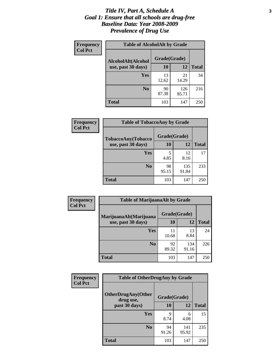#### *Title IV, Part A, Schedule A* **3** *Goal 1: Ensure that all schools are drug-free Baseline Data: Year 2008-2009 Prevalence of Drug Use*

| Frequency<br><b>Col Pct</b> | <b>Table of AlcoholAlt by Grade</b> |              |              |              |  |
|-----------------------------|-------------------------------------|--------------|--------------|--------------|--|
|                             | AlcoholAlt(Alcohol                  | Grade(Grade) |              |              |  |
|                             | use, past 30 days)                  | <b>10</b>    | 12           | <b>Total</b> |  |
|                             | <b>Yes</b>                          | 13<br>12.62  | 21<br>14.29  | 34           |  |
|                             | N <sub>0</sub>                      | 90<br>87.38  | 126<br>85.71 | 216          |  |
|                             | Total                               | 103          | 147          | 250          |  |

| Frequency<br><b>Col Pct</b> | <b>Table of TobaccoAny by Grade</b> |                                  |              |              |  |  |
|-----------------------------|-------------------------------------|----------------------------------|--------------|--------------|--|--|
|                             | TobaccoAny(Tobacco                  | Grade(Grade)                     |              |              |  |  |
|                             | use, past 30 days)                  | 10                               | 12           | <b>Total</b> |  |  |
|                             | <b>Yes</b>                          | $\overline{\phantom{0}}$<br>4.85 | 12<br>8.16   | 17           |  |  |
|                             | N <sub>0</sub>                      | 98<br>95.15                      | 135<br>91.84 | 233          |  |  |
|                             | <b>Total</b>                        | 103                              | 147          | 250          |  |  |

| Frequency<br><b>Col Pct</b> | <b>Table of MarijuanaAlt by Grade</b> |              |              |              |  |
|-----------------------------|---------------------------------------|--------------|--------------|--------------|--|
|                             | MarijuanaAlt(Marijuana                | Grade(Grade) |              |              |  |
|                             | use, past 30 days)                    | <b>10</b>    | 12           | <b>Total</b> |  |
|                             | <b>Yes</b>                            | 11<br>10.68  | 13<br>8.84   | 24           |  |
|                             | N <sub>0</sub>                        | 92<br>89.32  | 134<br>91.16 | 226          |  |
|                             | <b>Total</b>                          | 103          | 147          | 250          |  |

| Frequency<br><b>Col Pct</b> | <b>Table of OtherDrugAny by Grade</b>  |              |              |              |  |  |
|-----------------------------|----------------------------------------|--------------|--------------|--------------|--|--|
|                             | <b>OtherDrugAny(Other</b><br>drug use, | Grade(Grade) |              |              |  |  |
|                             | past 30 days)                          | 10           | 12           | <b>Total</b> |  |  |
|                             | Yes                                    | q<br>8.74    | 6<br>4.08    | 15           |  |  |
|                             | N <sub>0</sub>                         | 94<br>91.26  | 141<br>95.92 | 235          |  |  |
|                             | <b>Total</b>                           | 103          | 147          | 250          |  |  |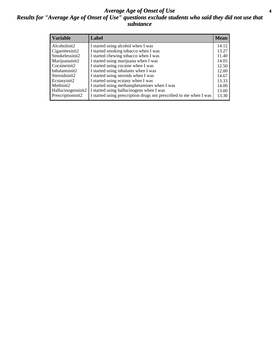#### *Average Age of Onset of Use* **4** *Results for "Average Age of Onset of Use" questions exclude students who said they did not use that substance*

| <b>Variable</b>    | Label                                                              | <b>Mean</b> |
|--------------------|--------------------------------------------------------------------|-------------|
| Alcoholinit2       | I started using alcohol when I was                                 | 14.12       |
| Cigarettesinit2    | I started smoking tobacco when I was                               | 13.27       |
| Smokelessinit2     | I started chewing tobacco when I was                               | 11.40       |
| Marijuanainit2     | I started using marijuana when I was                               | 14.05       |
| Cocaineinit2       | I started using cocaine when I was                                 | 12.50       |
| Inhalantsinit2     | I started using inhalants when I was                               | 12.00       |
| Steroidsinit2      | I started using steroids when I was                                | 14.67       |
| Ecstasyinit2       | I started using ecstasy when I was                                 | 13.33       |
| Methinit2          | I started using methamphetamines when I was                        | 14.00       |
| Hallucinogensinit2 | I started using hallucinogens when I was                           | 13.00       |
| Prescriptioninit2  | I started using prescription drugs not prescribed to me when I was | 13.30       |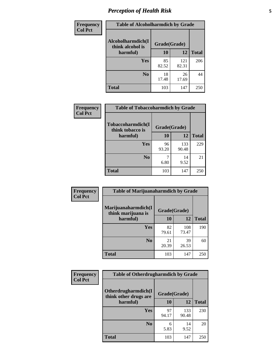## *Perception of Health Risk* **5**

| <b>Frequency</b> | <b>Table of Alcoholharmdich by Grade</b> |              |       |              |  |
|------------------|------------------------------------------|--------------|-------|--------------|--|
| <b>Col Pct</b>   | Alcoholharmdich(I<br>think alcohol is    | Grade(Grade) |       |              |  |
|                  | harmful)                                 | 10           | 12    | <b>Total</b> |  |
|                  | <b>Yes</b>                               | 85           | 121   | 206          |  |
|                  |                                          | 82.52        | 82.31 |              |  |
|                  | N <sub>0</sub>                           | 18           | 26    | 44           |  |
|                  |                                          | 17.48        | 17.69 |              |  |
|                  | <b>Total</b>                             | 103          | 147   | 250          |  |

| Frequency      | <b>Table of Tobaccoharmdich by Grade</b> |              |              |              |  |
|----------------|------------------------------------------|--------------|--------------|--------------|--|
| <b>Col Pct</b> | Tobaccoharmdich(I<br>think tobacco is    | Grade(Grade) |              |              |  |
|                | harmful)                                 | 10           | 12           | <b>Total</b> |  |
|                | Yes                                      | 96<br>93.20  | 133<br>90.48 | 229          |  |
|                | N <sub>0</sub>                           | 6.80         | 14<br>9.52   | 21           |  |
|                | <b>Total</b>                             | 103          | 147          | 250          |  |

| <b>Frequency</b> | <b>Table of Marijuanaharmdich by Grade</b> |              |              |              |  |  |
|------------------|--------------------------------------------|--------------|--------------|--------------|--|--|
| <b>Col Pct</b>   | Marijuanaharmdich(I<br>think marijuana is  | Grade(Grade) |              |              |  |  |
|                  | harmful)                                   | 10           | 12           | <b>Total</b> |  |  |
|                  | Yes                                        | 82<br>79.61  | 108<br>73.47 | 190          |  |  |
|                  | N <sub>0</sub>                             | 21<br>20.39  | 39<br>26.53  | 60           |  |  |
|                  | <b>Total</b>                               | 103          | 147          | 250          |  |  |

| <b>Frequency</b><br><b>Col Pct</b> | <b>Table of Otherdrugharmdich by Grade</b>   |              |              |              |  |  |  |
|------------------------------------|----------------------------------------------|--------------|--------------|--------------|--|--|--|
|                                    | Otherdrugharmdich(I<br>think other drugs are | Grade(Grade) |              |              |  |  |  |
|                                    | harmful)                                     | 10           | 12           | <b>Total</b> |  |  |  |
|                                    | Yes                                          | 97<br>94.17  | 133<br>90.48 | 230          |  |  |  |
|                                    | N <sub>0</sub>                               | 6<br>5.83    | 14<br>9.52   | 20           |  |  |  |
|                                    | <b>Total</b>                                 | 103          | 147          | 250          |  |  |  |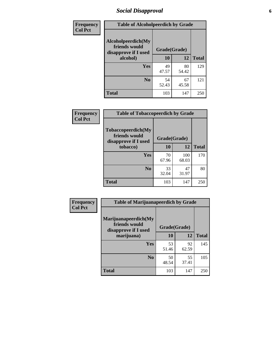## *Social Disapproval* **6**

| Frequency      | <b>Table of Alcoholpeerdich by Grade</b>                    |              |             |              |  |  |  |
|----------------|-------------------------------------------------------------|--------------|-------------|--------------|--|--|--|
| <b>Col Pct</b> | Alcoholpeerdich(My<br>friends would<br>disapprove if I used | Grade(Grade) |             |              |  |  |  |
|                | alcohol)                                                    | 10           | 12          | <b>Total</b> |  |  |  |
|                | <b>Yes</b>                                                  | 49<br>47.57  | 80<br>54.42 | 129          |  |  |  |
|                | N <sub>0</sub>                                              | 54<br>52.43  | 67<br>45.58 | 121          |  |  |  |
|                | <b>Total</b>                                                | 103          | 147         | 250          |  |  |  |

| <b>Frequency</b> |
|------------------|
| <b>Col Pct</b>   |

| <b>Table of Tobaccopeerdich by Grade</b>                           |              |              |              |  |  |
|--------------------------------------------------------------------|--------------|--------------|--------------|--|--|
| <b>Tobaccopeerdich(My</b><br>friends would<br>disapprove if I used | Grade(Grade) |              |              |  |  |
| tobacco)                                                           | 10           | 12           | <b>Total</b> |  |  |
| Yes                                                                | 70<br>67.96  | 100<br>68.03 | 170          |  |  |
| N <sub>0</sub>                                                     | 33<br>32.04  | 47<br>31.97  | 80           |  |  |
| <b>Total</b>                                                       | 103          | 147          | 250          |  |  |

| <b>Frequency</b> | <b>Table of Marijuanapeerdich by Grade</b>                    |              |             |              |  |  |  |
|------------------|---------------------------------------------------------------|--------------|-------------|--------------|--|--|--|
| <b>Col Pct</b>   | Marijuanapeerdich(My<br>friends would<br>disapprove if I used | Grade(Grade) |             |              |  |  |  |
|                  | marijuana)                                                    | 10           | 12          | <b>Total</b> |  |  |  |
|                  | <b>Yes</b>                                                    | 53<br>51.46  | 92<br>62.59 | 145          |  |  |  |
|                  | N <sub>0</sub>                                                | 50<br>48.54  | 55<br>37.41 | 105          |  |  |  |
|                  | <b>Total</b>                                                  | 103          | 147         | 250          |  |  |  |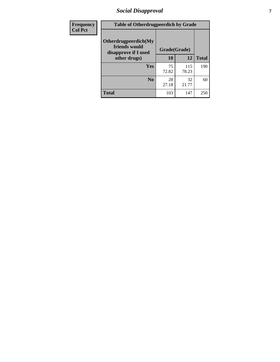## *Social Disapproval* **7**

| Frequency      | <b>Table of Otherdrugpeerdich by Grade</b>                    |              |              |              |  |  |  |
|----------------|---------------------------------------------------------------|--------------|--------------|--------------|--|--|--|
| <b>Col Pct</b> | Otherdrugpeerdich(My<br>friends would<br>disapprove if I used | Grade(Grade) |              |              |  |  |  |
|                | other drugs)                                                  | 10           | 12           | <b>Total</b> |  |  |  |
|                | Yes                                                           | 75<br>72.82  | 115<br>78.23 | 190          |  |  |  |
|                | N <sub>0</sub>                                                | 28<br>27.18  | 32<br>21.77  | 60           |  |  |  |
|                | <b>Total</b>                                                  | 103          | 147          | 250          |  |  |  |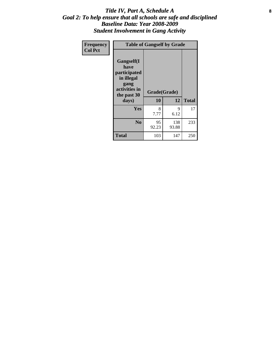#### Title IV, Part A, Schedule A **8** *Goal 2: To help ensure that all schools are safe and disciplined Baseline Data: Year 2008-2009 Student Involvement in Gang Activity*

| Frequency      | <b>Table of Gangself by Grade</b>                                                                 |                    |              |              |  |  |
|----------------|---------------------------------------------------------------------------------------------------|--------------------|--------------|--------------|--|--|
| <b>Col Pct</b> | Gangself(I<br>have<br>participated<br>in illegal<br>gang<br>activities in<br>the past 30<br>days) | Grade(Grade)<br>10 | 12           | <b>Total</b> |  |  |
|                | Yes                                                                                               | 8<br>7.77          | 9<br>6.12    | 17           |  |  |
|                | N <sub>0</sub>                                                                                    | 95<br>92.23        | 138<br>93.88 | 233          |  |  |
|                | Total                                                                                             | 103                | 147          | 250          |  |  |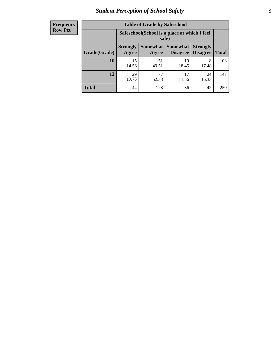## *Student Perception of School Safety* **9**

| <b>Frequency</b><br>Row Pct |
|-----------------------------|
|                             |

| <b>Table of Grade by Safeschool</b> |                                                                                                                                    |                                                        |             |             |     |  |  |
|-------------------------------------|------------------------------------------------------------------------------------------------------------------------------------|--------------------------------------------------------|-------------|-------------|-----|--|--|
|                                     |                                                                                                                                    | Safeschool (School is a place at which I feel<br>safe) |             |             |     |  |  |
| Grade(Grade)                        | Somewhat<br><b>Somewhat</b><br><b>Strongly</b><br><b>Strongly</b><br><b>Disagree</b><br>Agree<br>Disagree<br><b>Total</b><br>Agree |                                                        |             |             |     |  |  |
| 10                                  | 15<br>14.56                                                                                                                        | 51<br>49.51                                            | 19<br>18.45 | 18<br>17.48 | 103 |  |  |
| 12                                  | 29<br>19.73                                                                                                                        | 77<br>52.38                                            | 17<br>11.56 | 24<br>16.33 | 147 |  |  |
| <b>Total</b>                        | 44                                                                                                                                 | 128                                                    | 36          | 42          | 250 |  |  |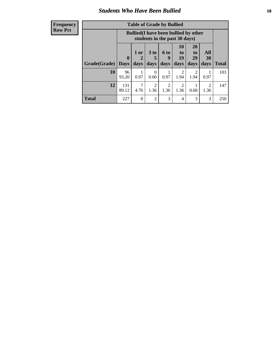## *Students Who Have Been Bullied* **10**

#### **Frequency Row Pct**

| <b>Table of Grade by Bullied</b> |                             |                                                                               |                              |                        |                        |                        |                   |              |
|----------------------------------|-----------------------------|-------------------------------------------------------------------------------|------------------------------|------------------------|------------------------|------------------------|-------------------|--------------|
|                                  |                             | <b>Bullied</b> (I have been bullied by other<br>students in the past 30 days) |                              |                        |                        |                        |                   |              |
| Grade(Grade)                     | $\mathbf{0}$<br><b>Days</b> | 1 or<br>days                                                                  | 3 <sub>to</sub><br>5<br>days | 6 to<br>9<br>days      | 10<br>to<br>19<br>days | 20<br>to<br>29<br>days | All<br>30<br>days | <b>Total</b> |
| 10                               | 96<br>93.20                 | 0.97                                                                          | 0<br>0.00                    | 0.97                   | 2<br>1.94              | $\overline{c}$<br>1.94 | 0.97              | 103          |
| 12                               | 131<br>89.12                | 7<br>4.76                                                                     | 2<br>1.36                    | $\overline{2}$<br>1.36 | $\overline{2}$<br>1.36 | 0.68                   | 2<br>1.36         | 147          |
| <b>Total</b>                     | 227                         | 8                                                                             | $\overline{2}$               | 3                      | 4                      | 3                      | 3                 | 250          |

 $\blacksquare$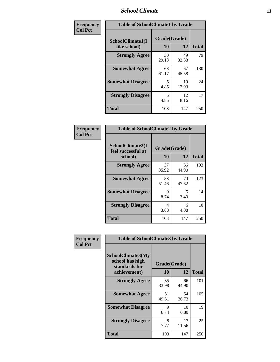#### *School Climate* **11**

| Frequency      | <b>Table of SchoolClimate1 by Grade</b> |                    |             |              |  |  |
|----------------|-----------------------------------------|--------------------|-------------|--------------|--|--|
| <b>Col Pct</b> | SchoolClimate1(I<br>like school)        | Grade(Grade)<br>10 | 12          | <b>Total</b> |  |  |
|                | <b>Strongly Agree</b>                   | 30<br>29.13        | 49<br>33.33 | 79           |  |  |
|                | <b>Somewhat Agree</b>                   | 63<br>61.17        | 67<br>45.58 | 130          |  |  |
|                | <b>Somewhat Disagree</b>                | 5<br>4.85          | 19<br>12.93 | 24           |  |  |
|                | <b>Strongly Disagree</b>                | 5<br>4.85          | 12<br>8.16  | 17           |  |  |
|                | <b>Total</b>                            | 103                | 147         | 250          |  |  |

| <b>Frequency</b> |
|------------------|
| <b>Col Pct</b>   |

| <b>Table of SchoolClimate2 by Grade</b>           |                    |             |              |  |
|---------------------------------------------------|--------------------|-------------|--------------|--|
| SchoolClimate2(I<br>feel successful at<br>school) | Grade(Grade)<br>10 | 12          | <b>Total</b> |  |
| <b>Strongly Agree</b>                             | 37<br>35.92        | 66<br>44.90 | 103          |  |
| <b>Somewhat Agree</b>                             | 53<br>51.46        | 70<br>47.62 | 123          |  |
| <b>Somewhat Disagree</b>                          | 9<br>8.74          | 5<br>3.40   | 14           |  |
| <b>Strongly Disagree</b>                          | 4<br>3.88          | 6<br>4.08   | 10           |  |
| <b>Total</b>                                      | 103                | 147         | 250          |  |

| Frequency      | <b>Table of SchoolClimate3 by Grade</b>                               |                    |             |              |  |
|----------------|-----------------------------------------------------------------------|--------------------|-------------|--------------|--|
| <b>Col Pct</b> | SchoolClimate3(My<br>school has high<br>standards for<br>achievement) | Grade(Grade)<br>10 | 12          | <b>Total</b> |  |
|                | <b>Strongly Agree</b>                                                 | 35<br>33.98        | 66<br>44.90 | 101          |  |
|                | <b>Somewhat Agree</b>                                                 | 51<br>49.51        | 54<br>36.73 | 105          |  |
|                | <b>Somewhat Disagree</b>                                              | 9<br>8.74          | 10<br>6.80  | 19           |  |
|                | <b>Strongly Disagree</b>                                              | 8<br>7.77          | 17<br>11.56 | 25           |  |
|                | Total                                                                 | 103                | 147         | 250          |  |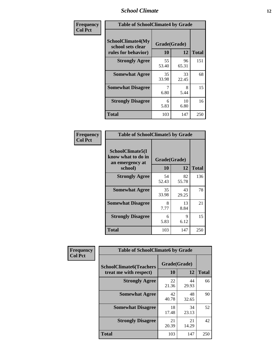#### *School Climate* **12**

| Frequency      | <b>Table of SchoolClimate4 by Grade</b>                              |                    |             |              |
|----------------|----------------------------------------------------------------------|--------------------|-------------|--------------|
| <b>Col Pct</b> | <b>SchoolClimate4(My</b><br>school sets clear<br>rules for behavior) | Grade(Grade)<br>10 | 12          | <b>Total</b> |
|                | <b>Strongly Agree</b>                                                | 55<br>53.40        | 96<br>65.31 | 151          |
|                | <b>Somewhat Agree</b>                                                | 35<br>33.98        | 33<br>22.45 | 68           |
|                | <b>Somewhat Disagree</b>                                             | 7<br>6.80          | 8<br>5.44   | 15           |
|                | <b>Strongly Disagree</b>                                             | 6<br>5.83          | 10<br>6.80  | 16           |
|                | <b>Total</b>                                                         | 103                | 147         | 250          |

| <b>Table of SchoolClimate5 by Grade</b>                   |              |             |              |  |  |
|-----------------------------------------------------------|--------------|-------------|--------------|--|--|
| SchoolClimate5(I<br>know what to do in<br>an emergency at | Grade(Grade) |             |              |  |  |
| school)                                                   | 10           | 12          | <b>Total</b> |  |  |
| <b>Strongly Agree</b>                                     | 54<br>52.43  | 82<br>55.78 | 136          |  |  |
| <b>Somewhat Agree</b>                                     | 35<br>33.98  | 43<br>29.25 | 78           |  |  |
| <b>Somewhat Disagree</b>                                  | 8<br>7.77    | 13<br>8.84  | 21           |  |  |
| <b>Strongly Disagree</b>                                  | 6<br>5.83    | 9<br>6.12   | 15           |  |  |
| Total                                                     | 103          | 147         | 250          |  |  |

| <b>Frequency</b> | <b>Table of SchoolClimate6 by Grade</b>                  |                    |             |              |
|------------------|----------------------------------------------------------|--------------------|-------------|--------------|
| <b>Col Pct</b>   | <b>SchoolClimate6(Teachers</b><br>treat me with respect) | Grade(Grade)<br>10 | 12          | <b>Total</b> |
|                  | <b>Strongly Agree</b>                                    | 22<br>21.36        | 44<br>29.93 | 66           |
|                  | <b>Somewhat Agree</b>                                    | 42<br>40.78        | 48<br>32.65 | 90           |
|                  | <b>Somewhat Disagree</b>                                 | 18<br>17.48        | 34<br>23.13 | 52           |
|                  | <b>Strongly Disagree</b>                                 | 21<br>20.39        | 21<br>14.29 | 42           |
|                  | <b>Total</b>                                             | 103                | 147         | 250          |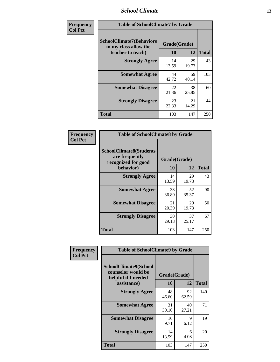#### *School Climate* **13**

| Frequency      | <b>Table of SchoolClimate7 by Grade</b>                                       |                           |             |              |
|----------------|-------------------------------------------------------------------------------|---------------------------|-------------|--------------|
| <b>Col Pct</b> | <b>SchoolClimate7(Behaviors</b><br>in my class allow the<br>teacher to teach) | Grade(Grade)<br><b>10</b> | 12          | <b>Total</b> |
|                | <b>Strongly Agree</b>                                                         | 14<br>13.59               | 29<br>19.73 | 43           |
|                | <b>Somewhat Agree</b>                                                         | 44<br>42.72               | 59<br>40.14 | 103          |
|                | <b>Somewhat Disagree</b>                                                      | 22<br>21.36               | 38<br>25.85 | 60           |
|                | <b>Strongly Disagree</b>                                                      | 23<br>22.33               | 21<br>14.29 | 44           |
|                | <b>Total</b>                                                                  | 103                       | 147         | 250          |

| Frequency      | <b>Table of SchoolClimate8 by Grade</b>                                 |              |             |                    |
|----------------|-------------------------------------------------------------------------|--------------|-------------|--------------------|
| <b>Col Pct</b> | <b>SchoolClimate8(Students</b><br>are frequently<br>recognized for good | Grade(Grade) |             |                    |
|                | behavior)<br><b>Strongly Agree</b>                                      | 10<br>14     | 12<br>29    | <b>Total</b><br>43 |
|                |                                                                         | 13.59        | 19.73       |                    |
|                | <b>Somewhat Agree</b>                                                   | 38<br>36.89  | 52<br>35.37 | 90                 |
|                | <b>Somewhat Disagree</b>                                                | 21<br>20.39  | 29<br>19.73 | 50                 |
|                | <b>Strongly Disagree</b>                                                | 30<br>29.13  | 37<br>25.17 | 67                 |
|                | <b>Total</b>                                                            | 103          | 147         | 250                |

| Frequency      | <b>Table of SchoolClimate9 by Grade</b>                                           |                    |             |              |
|----------------|-----------------------------------------------------------------------------------|--------------------|-------------|--------------|
| <b>Col Pct</b> | SchoolClimate9(School<br>counselor would be<br>helpful if I needed<br>assistance) | Grade(Grade)<br>10 | 12          | <b>Total</b> |
|                | <b>Strongly Agree</b>                                                             | 48<br>46.60        | 92<br>62.59 | 140          |
|                | <b>Somewhat Agree</b>                                                             | 31<br>30.10        | 40<br>27.21 | 71           |
|                | <b>Somewhat Disagree</b>                                                          | 10<br>9.71         | 9<br>6.12   | 19           |
|                | <b>Strongly Disagree</b>                                                          | 14<br>13.59        | 6<br>4.08   | 20           |
|                | Total                                                                             | 103                | 147         | 250          |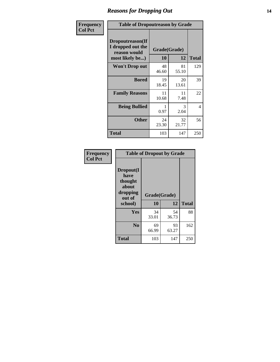## *Reasons for Dropping Out* **14**

| <b>Frequency</b> |                                                                          | <b>Table of Dropoutreason by Grade</b> |                    |              |  |
|------------------|--------------------------------------------------------------------------|----------------------------------------|--------------------|--------------|--|
| <b>Col Pct</b>   | Dropoutreason(If<br>I dropped out the<br>reason would<br>most likely be) | 10                                     | Grade(Grade)<br>12 | <b>Total</b> |  |
|                  | <b>Won't Drop out</b>                                                    | 48<br>46.60                            | 81<br>55.10        | 129          |  |
|                  | <b>Bored</b>                                                             | 19<br>18.45                            | 20<br>13.61        | 39           |  |
|                  | <b>Family Reasons</b>                                                    | 11<br>10.68                            | 11<br>7.48         | 22           |  |
|                  | <b>Being Bullied</b>                                                     | 0.97                                   | 3<br>2.04          | 4            |  |
|                  | <b>Other</b>                                                             | 24<br>23.30                            | 32<br>21.77        | 56           |  |
|                  | <b>Total</b>                                                             | 103                                    | 147                | 250          |  |

| Frequency<br><b>Col Pct</b> | <b>Table of Dropout by Grade</b>                                       |                    |              |     |  |
|-----------------------------|------------------------------------------------------------------------|--------------------|--------------|-----|--|
|                             | Dropout(I<br>have<br>thought<br>about<br>dropping<br>out of<br>school) | Grade(Grade)<br>10 | <b>Total</b> |     |  |
|                             |                                                                        |                    | 12           |     |  |
|                             | Yes                                                                    | 34<br>33.01        | 54<br>36.73  | 88  |  |
|                             | N <sub>0</sub>                                                         | 69<br>66.99        | 93<br>63.27  | 162 |  |
|                             | <b>Total</b>                                                           | 103                | 147          | 250 |  |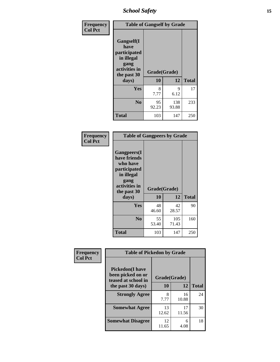*School Safety* **15**

| Frequency      | <b>Table of Gangself by Grade</b>                                                                 |                    |              |              |
|----------------|---------------------------------------------------------------------------------------------------|--------------------|--------------|--------------|
| <b>Col Pct</b> | Gangself(I<br>have<br>participated<br>in illegal<br>gang<br>activities in<br>the past 30<br>days) | Grade(Grade)<br>10 | 12           | <b>Total</b> |
|                |                                                                                                   |                    |              |              |
|                | Yes                                                                                               | 8<br>7.77          | 9<br>6.12    | 17           |
|                | N <sub>o</sub>                                                                                    | 95<br>92.23        | 138<br>93.88 | 233          |
|                | <b>Total</b>                                                                                      | 103                | 147          | 250          |

| Frequency<br><b>Col Pct</b> | <b>Table of Gangpeers by Grade</b>                                                                                             |                    |              |              |
|-----------------------------|--------------------------------------------------------------------------------------------------------------------------------|--------------------|--------------|--------------|
|                             | <b>Gangpeers</b> (I<br>have friends<br>who have<br>participated<br>in illegal<br>gang<br>activities in<br>the past 30<br>days) | Grade(Grade)<br>10 | 12           | <b>Total</b> |
|                             | <b>Yes</b>                                                                                                                     | 48<br>46.60        | 42<br>28.57  | 90           |
|                             | N <sub>0</sub>                                                                                                                 | 55<br>53.40        | 105<br>71.43 | 160          |
|                             | <b>Total</b>                                                                                                                   | 103                | 147          | 250          |

| Frequency      |                                                                    | <b>Table of Pickedon by Grade</b> |             |              |  |  |  |  |  |  |  |
|----------------|--------------------------------------------------------------------|-----------------------------------|-------------|--------------|--|--|--|--|--|--|--|
| <b>Col Pct</b> | <b>Pickedon(I have</b><br>been picked on or<br>teased at school in | Grade(Grade)                      |             |              |  |  |  |  |  |  |  |
|                | the past 30 days)                                                  | 10                                | 12          | <b>Total</b> |  |  |  |  |  |  |  |
|                | <b>Strongly Agree</b>                                              | 8<br>7.77                         | 16<br>10.88 | 24           |  |  |  |  |  |  |  |
|                | <b>Somewhat Agree</b>                                              | 13<br>12.62                       | 17<br>11.56 | 30           |  |  |  |  |  |  |  |
|                | <b>Somewhat Disagree</b>                                           | 12<br>11.65                       | 6<br>4.08   | 18           |  |  |  |  |  |  |  |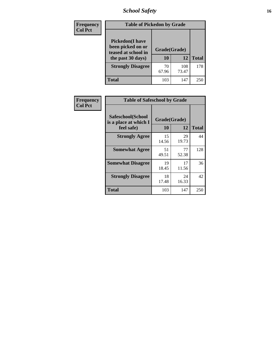## *School Safety* **16**

| <b>Frequency</b> |                                                                                          | <b>Table of Pickedon by Grade</b> |              |              |  |  |  |  |  |  |
|------------------|------------------------------------------------------------------------------------------|-----------------------------------|--------------|--------------|--|--|--|--|--|--|
| <b>Col Pct</b>   | <b>Pickedon</b> (I have<br>been picked on or<br>teased at school in<br>the past 30 days) | Grade(Grade)<br>10                | 12           | <b>Total</b> |  |  |  |  |  |  |
|                  | <b>Strongly Disagree</b>                                                                 | 70<br>67.96                       | 108<br>73.47 | 178          |  |  |  |  |  |  |
|                  | Total                                                                                    | 103                               | 147          | 25           |  |  |  |  |  |  |

| Frequency      | <b>Table of Safeschool by Grade</b>                      |                    |              |     |
|----------------|----------------------------------------------------------|--------------------|--------------|-----|
| <b>Col Pct</b> | Safeschool(School<br>is a place at which I<br>feel safe) | Grade(Grade)<br>10 | <b>Total</b> |     |
|                | <b>Strongly Agree</b>                                    | 15<br>14.56        | 29<br>19.73  | 44  |
|                | <b>Somewhat Agree</b>                                    | 51<br>49.51        | 77<br>52.38  | 128 |
|                | <b>Somewhat Disagree</b>                                 | 19<br>18.45        | 17<br>11.56  | 36  |
|                | <b>Strongly Disagree</b>                                 | 18<br>17.48        | 24<br>16.33  | 42  |
|                | <b>Total</b>                                             | 103                | 147          | 250 |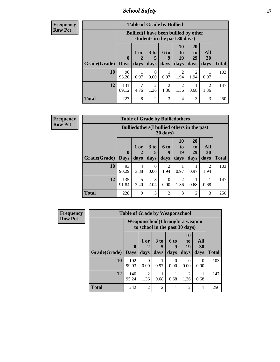*School Safety* **17**

**Frequency Row Pct**

| <b>Table of Grade by Bullied</b> |              |                                                                               |                              |                   |                        |                               |                        |              |  |  |  |
|----------------------------------|--------------|-------------------------------------------------------------------------------|------------------------------|-------------------|------------------------|-------------------------------|------------------------|--------------|--|--|--|
|                                  |              | <b>Bullied</b> (I have been bullied by other<br>students in the past 30 days) |                              |                   |                        |                               |                        |              |  |  |  |
| Grade(Grade)   Days              | $\mathbf 0$  | $1$ or<br>days                                                                | 3 <sub>to</sub><br>5<br>days | 6 to<br>9<br>days | 10<br>to<br>19<br>days | <b>20</b><br>to<br>29<br>days | All<br>30<br>days      | <b>Total</b> |  |  |  |
| 10                               | 96<br>93.20  | 0.97                                                                          | 0<br>0.00                    | 0.97              | 2<br>1.94              | 2<br>1.94                     | 0.97                   | 103          |  |  |  |
| 12                               | 131<br>89.12 | 4.76                                                                          | $\overline{2}$<br>1.36       | 2<br>1.36         | 2<br>1.36              | 0.68                          | $\overline{c}$<br>1.36 | 147          |  |  |  |
| <b>Total</b>                     | 227          | 8                                                                             | $\overline{2}$               | 3                 | 4                      | 3                             | 3                      | 250          |  |  |  |

| <b>Frequency</b> |
|------------------|
| Row Pct          |

٠.

| <b>Table of Grade by Bulliedothers</b> |                  |                                                                |                              |                        |                        |                               |                        |              |  |  |  |
|----------------------------------------|------------------|----------------------------------------------------------------|------------------------------|------------------------|------------------------|-------------------------------|------------------------|--------------|--|--|--|
|                                        |                  | <b>Bulliedothers</b> (I bullied others in the past<br>30 days) |                              |                        |                        |                               |                        |              |  |  |  |
| Grade(Grade)                           | 0<br><b>Days</b> | 1 or<br>2<br>days                                              | 3 <sub>to</sub><br>5<br>days | 6 to<br>q<br>days      | 10<br>to<br>19<br>days | <b>20</b><br>to<br>29<br>days | All<br>30<br>days      | <b>Total</b> |  |  |  |
| 10                                     | 93<br>90.29      | 4<br>3.88                                                      | $\Omega$<br>0.00             | $\overline{c}$<br>1.94 | 0.97                   | 0.97                          | $\mathfrak{D}$<br>1.94 | 103          |  |  |  |
| 12                                     | 135<br>91.84     | 5<br>3.40                                                      | 3<br>2.04                    | 0<br>0.00              | 2<br>1.36              | 0.68                          | 0.68                   | 147          |  |  |  |
| Total                                  | 228              | 9                                                              | 3                            | $\mathfrak{D}$         | 3                      | 2                             | 3                      | 250          |  |  |  |

| <b>Frequency</b> | <b>Table of Grade by Weaponschool</b> |                                                                   |                       |                |                   |                        |                   |              |  |
|------------------|---------------------------------------|-------------------------------------------------------------------|-----------------------|----------------|-------------------|------------------------|-------------------|--------------|--|
| <b>Row Pct</b>   |                                       | Weaponschool(I brought a weapon<br>to school in the past 30 days) |                       |                |                   |                        |                   |              |  |
|                  | Grade(Grade)                          | $\mathbf 0$                                                       | 1 or                  | 3 to           | 6 to<br>9<br>days | 10<br>to<br>19         | All<br>30<br>days | <b>Total</b> |  |
|                  |                                       | <b>Days</b>                                                       | days                  | days           |                   | days                   |                   |              |  |
|                  | 10                                    | 102<br>99.03                                                      | 0<br>0.00             | 0.97           | 0<br>0.00         | 0<br>0.00              | $\Omega$<br>0.00  | 103          |  |
|                  | 12                                    | 140<br>95.24                                                      | $\mathcal{L}$<br>1.36 | 0.68           | 0.68              | $\mathfrak{D}$<br>1.36 | 0.68              | 147          |  |
|                  | <b>Total</b>                          | 242                                                               | $\mathfrak{D}$        | $\mathfrak{D}$ |                   | $\overline{2}$         | 1                 | 250          |  |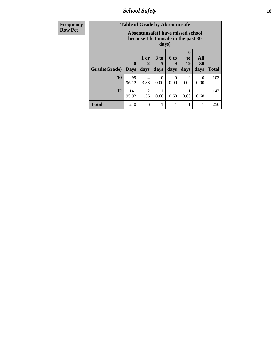*School Safety* **18**

| <b>Frequency</b> |              | <b>Table of Grade by Absentunsafe</b> |                                                                           |                              |                              |                        |                   |              |
|------------------|--------------|---------------------------------------|---------------------------------------------------------------------------|------------------------------|------------------------------|------------------------|-------------------|--------------|
| <b>Row Pct</b>   |              |                                       | Absentunsafe(I have missed school<br>because I felt unsafe in the past 30 | days)                        |                              |                        |                   |              |
|                  | Grade(Grade) | $\mathbf 0$<br><b>Days</b>            | 1 or<br>$\mathbf 2$<br>days                                               | 3 <sub>to</sub><br>5<br>days | 6 <sup>to</sup><br>9<br>days | 10<br>to<br>19<br>days | All<br>30<br>days | <b>Total</b> |
|                  | 10           | 99<br>96.12                           | 4<br>3.88                                                                 | $\Omega$<br>0.00             | $\Omega$<br>0.00             | $\Omega$<br>0.00       | 0<br>0.00         | 103          |
|                  | 12           | 141<br>95.92                          | $\mathfrak{D}$<br>1.36                                                    | 0.68                         | 0.68                         | 0.68                   | 0.68              | 147          |
|                  | <b>Total</b> | 240                                   | 6                                                                         |                              |                              |                        | 1                 | 250          |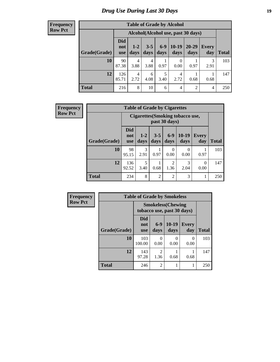## *Drug Use During Last 30 Days* **19**

#### **Frequency Row Pct**

| <b>Table of Grade by Alcohol</b> |                                 |                                    |                 |                 |                  |                |              |       |  |  |  |
|----------------------------------|---------------------------------|------------------------------------|-----------------|-----------------|------------------|----------------|--------------|-------|--|--|--|
|                                  |                                 | Alcohol(Alcohol use, past 30 days) |                 |                 |                  |                |              |       |  |  |  |
| Grade(Grade)                     | <b>Did</b><br>not<br><b>use</b> | $1-2$<br>days                      | $3 - 5$<br>days | $6 - 9$<br>days | $10-19$<br>days  | 20-29<br>days  | Every<br>day | Total |  |  |  |
| 10                               | 90<br>87.38                     | 4<br>3.88                          | 4<br>3.88       | 0.97            | $\theta$<br>0.00 | 0.97           | 3<br>2.91    | 103   |  |  |  |
| 12                               | 126<br>85.71                    | 4<br>2.72                          | 6<br>4.08       | 5<br>3.40       | 4<br>2.72        | 0.68           | 0.68         | 147   |  |  |  |
| <b>Total</b>                     | 216                             | 8                                  | 10              | 6               | $\overline{4}$   | $\overline{2}$ | 4            | 250   |  |  |  |

| <b>Frequency</b> | <b>Table of Grade by Cigarettes</b> |                                 |               |                |                        |                                  |                     |              |  |
|------------------|-------------------------------------|---------------------------------|---------------|----------------|------------------------|----------------------------------|---------------------|--------------|--|
| <b>Row Pct</b>   |                                     |                                 |               |                | past 30 days)          | Cigarettes (Smoking tobacco use, |                     |              |  |
|                  | Grade(Grade)                        | <b>Did</b><br>not<br><b>use</b> | $1-2$<br>days | $3-5$<br>days  | $6-9$<br>days          | $10-19$<br>days                  | <b>Every</b><br>day | <b>Total</b> |  |
|                  | 10                                  | 98<br>95.15                     | 3<br>2.91     | 0.97           | 0<br>0.00              | $\Omega$<br>0.00                 | 0.97                | 103          |  |
|                  | 12                                  | 136<br>92.52                    | 5<br>3.40     | 0.68           | $\mathfrak{D}$<br>1.36 | 3<br>2.04                        | $\Omega$<br>0.00    | 147          |  |
|                  | <b>Total</b>                        | 234                             | 8             | $\overline{2}$ | 2                      | 3                                | 1                   | 250          |  |

| Frequency      |              | <b>Table of Grade by Smokeless</b>                      |                                                                                                                                                                         |                 |                     |              |
|----------------|--------------|---------------------------------------------------------|-------------------------------------------------------------------------------------------------------------------------------------------------------------------------|-----------------|---------------------|--------------|
| <b>Row Pct</b> |              | <b>Smokeless</b> (Chewing<br>tobacco use, past 30 days) |                                                                                                                                                                         |                 |                     |              |
|                | Grade(Grade) | Did<br>not<br><b>use</b>                                | $6-9$<br>days                                                                                                                                                           | $10-19$<br>days | <b>Every</b><br>day | <b>Total</b> |
|                | <b>10</b>    | 103<br>100.00                                           | ∩<br>0.00                                                                                                                                                               | 0<br>0.00       | 0<br>0.00           | 103          |
|                | 12           | 143<br>97.28                                            | $\mathcal{D}_{\mathcal{A}}^{\mathcal{A}}(\mathcal{A})=\mathcal{D}_{\mathcal{A}}^{\mathcal{A}}(\mathcal{A})\mathcal{D}_{\mathcal{A}}^{\mathcal{A}}(\mathcal{A})$<br>1.36 | 0.68            | 0.68                | 147          |
|                | <b>Total</b> | 246                                                     | $\overline{2}$                                                                                                                                                          |                 | 1                   | 250          |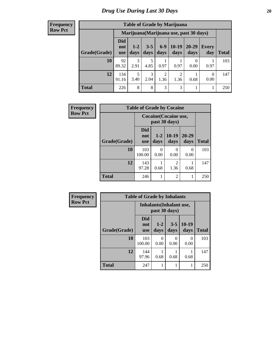#### **Frequency Row Pct**

| <b>Table of Grade by Marijuana</b> |                                 |                                         |                 |                        |                        |               |                  |       |  |  |  |
|------------------------------------|---------------------------------|-----------------------------------------|-----------------|------------------------|------------------------|---------------|------------------|-------|--|--|--|
|                                    |                                 | Marijuana (Marijuana use, past 30 days) |                 |                        |                        |               |                  |       |  |  |  |
| Grade(Grade)                       | <b>Did</b><br>not<br><b>use</b> | $1 - 2$<br>days                         | $3 - 5$<br>days | $6 - 9$<br>days        | $10-19$<br>days        | 20-29<br>days | Every<br>day     | Total |  |  |  |
| 10                                 | 92<br>89.32                     | 3<br>2.91                               | 5<br>4.85       | 0.97                   | 0.97                   | 0<br>0.00     | 0.97             | 103   |  |  |  |
| 12                                 | 134<br>91.16                    | 5<br>3.40                               | 3<br>2.04       | $\overline{c}$<br>1.36 | $\overline{c}$<br>1.36 | 0.68          | $\Omega$<br>0.00 | 147   |  |  |  |
| <b>Total</b>                       | 226                             | 8                                       | 8               | 3                      | 3                      |               |                  | 250   |  |  |  |

| Frequency      | <b>Table of Grade by Cocaine</b> |                                 |                                        |                        |                  |              |  |
|----------------|----------------------------------|---------------------------------|----------------------------------------|------------------------|------------------|--------------|--|
| <b>Row Pct</b> |                                  |                                 | Cocaine (Cocaine use,<br>past 30 days) |                        |                  |              |  |
|                | Grade(Grade)                     | <b>Did</b><br>not<br><b>use</b> | $1-2$<br>days                          | $10-19$<br>days        | 20-29<br>days    | <b>Total</b> |  |
|                | 10                               | 103<br>100.00                   | 0<br>0.00                              | 0<br>0.00              | $\Omega$<br>0.00 | 103          |  |
|                | 12                               | 143<br>97.28                    | 0.68                                   | $\overline{2}$<br>1.36 | 0.68             | 147          |  |
|                | <b>Total</b>                     | 246                             | 1                                      | $\overline{2}$         |                  | 250          |  |

| <b>Frequency</b> | <b>Table of Grade by Inhalants</b> |                                                  |                 |                 |                 |              |
|------------------|------------------------------------|--------------------------------------------------|-----------------|-----------------|-----------------|--------------|
| <b>Row Pct</b>   |                                    | <b>Inhalants</b> (Inhalant use,<br>past 30 days) |                 |                 |                 |              |
|                  | Grade(Grade)                       | Did<br>not<br><b>use</b>                         | $1 - 2$<br>days | $3 - 5$<br>days | $10-19$<br>days | <b>Total</b> |
|                  | 10                                 | 103<br>100.00                                    | 0<br>0.00       | 0.00            | 0<br>0.00       | 103          |
|                  | 12                                 | 144<br>97.96                                     | 0.68            | 0.68            | 0.68            | 147          |
|                  | <b>Total</b>                       | 247                                              |                 | 1               | 1               | 250          |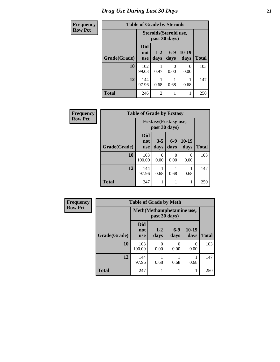## *Drug Use During Last 30 Days* **21**

| Frequency      | <b>Table of Grade by Steroids</b> |                                         |                 |                  |                 |              |
|----------------|-----------------------------------|-----------------------------------------|-----------------|------------------|-----------------|--------------|
| <b>Row Pct</b> |                                   | Steroids (Steroid use,<br>past 30 days) |                 |                  |                 |              |
|                | Grade(Grade)                      | Did<br>not<br>use                       | $1 - 2$<br>days | $6-9$<br>days    | $10-19$<br>days | <b>Total</b> |
|                | 10                                | 102<br>99.03                            | 0.97            | $\Omega$<br>0.00 | 0<br>0.00       | 103          |
|                | 12                                | 144<br>97.96                            | 0.68            | 0.68             | 0.68            | 147          |
|                | <b>Total</b>                      | 246                                     | $\overline{2}$  |                  | 1               | 250          |

| Frequency      | <b>Table of Grade by Ecstasy</b> |                          |                 |                                        |                  |              |
|----------------|----------------------------------|--------------------------|-----------------|----------------------------------------|------------------|--------------|
| <b>Row Pct</b> |                                  |                          |                 | Ecstasy (Ecstasy use,<br>past 30 days) |                  |              |
|                | Grade(Grade)                     | Did<br>not<br><b>use</b> | $3 - 5$<br>days | $6-9$<br>days                          | $10-19$<br>days  | <b>Total</b> |
|                | 10                               | 103<br>100.00            | 0<br>0.00       | 0<br>0.00                              | $\Omega$<br>0.00 | 103          |
|                | 12                               | 144<br>97.96             | 0.68            | 0.68                                   | 0.68             | 147          |
|                | <b>Total</b>                     | 247                      |                 | 1                                      |                  | 250          |

| <b>Frequency</b> | <b>Table of Grade by Meth</b> |                                 |                                             |               |                           |              |
|------------------|-------------------------------|---------------------------------|---------------------------------------------|---------------|---------------------------|--------------|
| <b>Row Pct</b>   |                               |                                 | Meth (Methamphetamine use,<br>past 30 days) |               |                           |              |
|                  | Grade(Grade)                  | <b>Did</b><br>not<br><b>use</b> | $1 - 2$<br>days                             | $6-9$<br>days | $10-19$<br>days           | <b>Total</b> |
|                  | 10                            | 103<br>100.00                   | 0<br>0.00                                   | 0<br>0.00     | $\mathbf{\Omega}$<br>0.00 | 103          |
|                  | 12                            | 144<br>97.96                    | 0.68                                        | 0.68          | 0.68                      | 147          |
|                  | <b>Total</b>                  | 247                             |                                             |               |                           | 250          |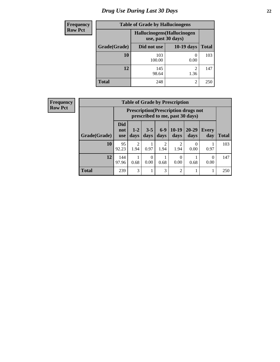## *Drug Use During Last 30 Days* **22**

| <b>Frequency</b> | <b>Table of Grade by Hallucinogens</b> |                                                   |                        |              |  |  |
|------------------|----------------------------------------|---------------------------------------------------|------------------------|--------------|--|--|
| <b>Row Pct</b>   |                                        | Hallucinogens (Hallucinogen<br>use, past 30 days) |                        |              |  |  |
|                  | Grade(Grade)                           | Did not use                                       | 10-19 days             | <b>Total</b> |  |  |
|                  | 10                                     | 103<br>100.00                                     | 0<br>0.00              | 103          |  |  |
|                  | 12                                     | 145<br>98.64                                      | $\mathfrak{D}$<br>1.36 | 147          |  |  |
|                  | <b>Total</b>                           | 248                                               | $\overline{2}$         | 250          |  |  |

| <b>Frequency</b> |  |
|------------------|--|
| <b>Row Pct</b>   |  |

| <b>Table of Grade by Prescription</b> |                          |                                                                                |                  |                        |                        |                   |                     |              |
|---------------------------------------|--------------------------|--------------------------------------------------------------------------------|------------------|------------------------|------------------------|-------------------|---------------------|--------------|
|                                       |                          | <b>Prescription</b> (Prescription drugs not<br>prescribed to me, past 30 days) |                  |                        |                        |                   |                     |              |
| Grade(Grade)                          | Did<br>not<br><b>use</b> | $1 - 2$<br>days                                                                | $3 - 5$<br>days  | $6 - 9$<br>days        | $10-19$<br>days        | $20 - 29$<br>days | <b>Every</b><br>day | <b>Total</b> |
| 10                                    | 95<br>92.23              | $\mathfrak{D}$<br>1.94                                                         | 0.97             | $\overline{2}$<br>1.94 | $\mathfrak{D}$<br>1.94 | 0.00              | 0.97                | 103          |
| 12                                    | 144<br>97.96             | 0.68                                                                           | $\theta$<br>0.00 | 0.68                   | 0<br>0.00              | 0.68              | 0<br>0.00           | 147          |
| <b>Total</b>                          | 239                      | $\mathcal{R}$                                                                  |                  | 3                      | $\overline{2}$         |                   |                     | 250          |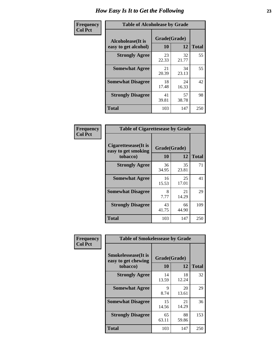| Frequency      | <b>Table of Alcoholease by Grade</b>              |                    |             |              |  |  |
|----------------|---------------------------------------------------|--------------------|-------------|--------------|--|--|
| <b>Col Pct</b> | <b>Alcoholease</b> (It is<br>easy to get alcohol) | Grade(Grade)<br>10 | 12          | <b>Total</b> |  |  |
|                | <b>Strongly Agree</b>                             | 23<br>22.33        | 32<br>21.77 | 55           |  |  |
|                | <b>Somewhat Agree</b>                             | 21<br>20.39        | 34<br>23.13 | 55           |  |  |
|                | <b>Somewhat Disagree</b>                          | 18<br>17.48        | 24<br>16.33 | 42           |  |  |
|                | <b>Strongly Disagree</b>                          | 41<br>39.81        | 57<br>38.78 | 98           |  |  |
|                | <b>Total</b>                                      | 103                | 147         | 250          |  |  |

| Frequency      | <b>Table of Cigarettesease by Grade</b>     |              |             |              |
|----------------|---------------------------------------------|--------------|-------------|--------------|
| <b>Col Pct</b> | Cigarettesease(It is<br>easy to get smoking | Grade(Grade) |             |              |
|                | tobacco)                                    | 10           | 12          | <b>Total</b> |
|                | <b>Strongly Agree</b>                       | 36<br>34.95  | 35<br>23.81 | 71           |
|                | <b>Somewhat Agree</b>                       | 16<br>15.53  | 25<br>17.01 | 41           |
|                | <b>Somewhat Disagree</b>                    | 8<br>7.77    | 21<br>14.29 | 29           |
|                | <b>Strongly Disagree</b>                    | 43<br>41.75  | 66<br>44.90 | 109          |
|                | <b>Total</b>                                | 103          | 147         | 250          |

| Frequency      | <b>Table of Smokelessease by Grade</b>             |              |             |              |  |  |  |  |
|----------------|----------------------------------------------------|--------------|-------------|--------------|--|--|--|--|
| <b>Col Pct</b> | <b>Smokelessease</b> (It is<br>easy to get chewing | Grade(Grade) |             |              |  |  |  |  |
|                | tobacco)                                           | 10           | 12          | <b>Total</b> |  |  |  |  |
|                | <b>Strongly Agree</b>                              | 14<br>13.59  | 18<br>12.24 | 32           |  |  |  |  |
|                | <b>Somewhat Agree</b>                              | 9<br>8.74    | 20<br>13.61 | 29           |  |  |  |  |
|                | <b>Somewhat Disagree</b>                           | 15<br>14.56  | 21<br>14.29 | 36           |  |  |  |  |
|                | <b>Strongly Disagree</b>                           | 65<br>63.11  | 88<br>59.86 | 153          |  |  |  |  |
|                | <b>Total</b>                                       | 103          | 147         | 250          |  |  |  |  |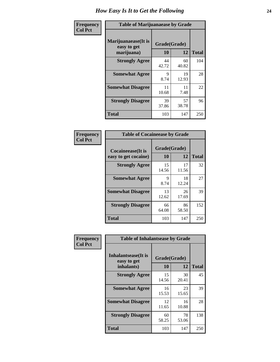| Frequency      | <b>Table of Marijuanaease by Grade</b>           |                    |             |              |  |  |
|----------------|--------------------------------------------------|--------------------|-------------|--------------|--|--|
| <b>Col Pct</b> | Marijuanaease(It is<br>easy to get<br>marijuana) | Grade(Grade)<br>10 | 12          | <b>Total</b> |  |  |
|                | <b>Strongly Agree</b>                            | 44<br>42.72        | 60<br>40.82 | 104          |  |  |
|                | <b>Somewhat Agree</b>                            | 9<br>8.74          | 19<br>12.93 | 28           |  |  |
|                | <b>Somewhat Disagree</b>                         | 11<br>10.68        | 11<br>7.48  | 22           |  |  |
|                | <b>Strongly Disagree</b>                         | 39<br>37.86        | 57<br>38.78 | 96           |  |  |
|                | <b>Total</b>                                     | 103                | 147         | 250          |  |  |

| <b>Table of Cocaineease by Grade</b> |              |             |              |  |  |  |  |  |
|--------------------------------------|--------------|-------------|--------------|--|--|--|--|--|
| <b>Cocaineease</b> (It is            | Grade(Grade) |             |              |  |  |  |  |  |
| easy to get cocaine)                 | 10           | 12          | <b>Total</b> |  |  |  |  |  |
| <b>Strongly Agree</b>                | 15<br>14.56  | 17<br>11.56 | 32           |  |  |  |  |  |
| <b>Somewhat Agree</b>                | 9<br>8.74    | 18<br>12.24 | 27           |  |  |  |  |  |
| <b>Somewhat Disagree</b>             | 13<br>12.62  | 26<br>17.69 | 39           |  |  |  |  |  |
| <b>Strongly Disagree</b>             | 66<br>64.08  | 86<br>58.50 | 152          |  |  |  |  |  |
| <b>Total</b>                         | 103          | 147         | 250          |  |  |  |  |  |

| Frequency      | <b>Table of Inhalantsease by Grade</b>     |              |             |              |  |  |  |  |  |  |
|----------------|--------------------------------------------|--------------|-------------|--------------|--|--|--|--|--|--|
| <b>Col Pct</b> | <b>Inhalantsease</b> (It is<br>easy to get | Grade(Grade) |             |              |  |  |  |  |  |  |
|                | inhalants)                                 | 10           | 12          | <b>Total</b> |  |  |  |  |  |  |
|                | <b>Strongly Agree</b>                      | 15<br>14.56  | 30<br>20.41 | 45           |  |  |  |  |  |  |
|                | <b>Somewhat Agree</b>                      | 16<br>15.53  | 23<br>15.65 | 39           |  |  |  |  |  |  |
|                | <b>Somewhat Disagree</b>                   | 12<br>11.65  | 16<br>10.88 | 28           |  |  |  |  |  |  |
|                | <b>Strongly Disagree</b>                   | 60<br>58.25  | 78<br>53.06 | 138          |  |  |  |  |  |  |
|                | <b>Total</b>                               | 103          | 147         | 250          |  |  |  |  |  |  |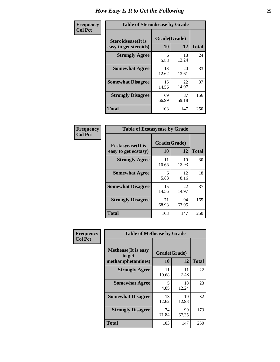| Frequency      | <b>Table of Steroidsease by Grade</b>               |                    |              |     |  |  |  |  |  |
|----------------|-----------------------------------------------------|--------------------|--------------|-----|--|--|--|--|--|
| <b>Col Pct</b> | <b>Steroidsease</b> (It is<br>easy to get steroids) | Grade(Grade)<br>10 | <b>Total</b> |     |  |  |  |  |  |
|                | <b>Strongly Agree</b>                               | 6<br>5.83          | 18<br>12.24  | 24  |  |  |  |  |  |
|                | <b>Somewhat Agree</b>                               | 13<br>12.62        | 20<br>13.61  | 33  |  |  |  |  |  |
|                | <b>Somewhat Disagree</b>                            | 15<br>14.56        | 22<br>14.97  | 37  |  |  |  |  |  |
|                | <b>Strongly Disagree</b>                            | 69<br>66.99        | 87<br>59.18  | 156 |  |  |  |  |  |
|                | <b>Total</b>                                        | 103                | 147          | 250 |  |  |  |  |  |

| Frequency      | <b>Table of Ecstasyease by Grade</b>              |                           |             |              |  |  |  |  |  |
|----------------|---------------------------------------------------|---------------------------|-------------|--------------|--|--|--|--|--|
| <b>Col Pct</b> | <b>Ecstasyease</b> (It is<br>easy to get ecstasy) | Grade(Grade)<br><b>10</b> | 12          | <b>Total</b> |  |  |  |  |  |
|                | <b>Strongly Agree</b>                             | 11<br>10.68               | 19<br>12.93 | 30           |  |  |  |  |  |
|                | <b>Somewhat Agree</b>                             | 6<br>5.83                 | 12<br>8.16  | 18           |  |  |  |  |  |
|                | <b>Somewhat Disagree</b>                          | 15<br>14.56               | 22<br>14.97 | 37           |  |  |  |  |  |
|                | <b>Strongly Disagree</b>                          | 71<br>68.93               | 94<br>63.95 | 165          |  |  |  |  |  |
|                | <b>Total</b>                                      | 103                       | 147         | 250          |  |  |  |  |  |

| Frequency      | <b>Table of Methease by Grade</b>                          |                    |             |              |  |  |  |  |
|----------------|------------------------------------------------------------|--------------------|-------------|--------------|--|--|--|--|
| <b>Col Pct</b> | <b>Methease</b> (It is easy<br>to get<br>methamphetamines) | Grade(Grade)<br>10 | 12          | <b>Total</b> |  |  |  |  |
|                | <b>Strongly Agree</b>                                      | 11<br>10.68        | 11<br>7.48  | 22           |  |  |  |  |
|                | <b>Somewhat Agree</b>                                      | 5<br>4.85          | 18<br>12.24 | 23           |  |  |  |  |
|                | <b>Somewhat Disagree</b>                                   | 13<br>12.62        | 19<br>12.93 | 32           |  |  |  |  |
|                | <b>Strongly Disagree</b>                                   | 74<br>71.84        | 99<br>67.35 | 173          |  |  |  |  |
|                | <b>Total</b>                                               | 103                | 147         | 250          |  |  |  |  |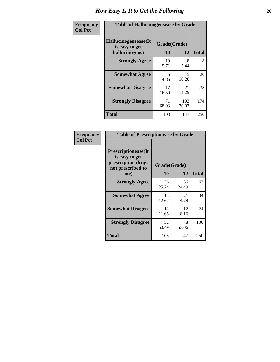| <b>Frequency</b> | <b>Table of Hallucinogensease by Grade</b>               |                                  |                 |     |  |  |  |  |  |
|------------------|----------------------------------------------------------|----------------------------------|-----------------|-----|--|--|--|--|--|
| <b>Col Pct</b>   | Hallucinogensease(It<br>is easy to get<br>hallucinogens) | Grade(Grade)<br>10               | <b>Total</b>    |     |  |  |  |  |  |
|                  | <b>Strongly Agree</b>                                    | 10<br>9.71                       | 12<br>8<br>5.44 | 18  |  |  |  |  |  |
|                  | <b>Somewhat Agree</b>                                    | $\overline{\phantom{0}}$<br>4.85 | 15<br>10.20     | 20  |  |  |  |  |  |
|                  | <b>Somewhat Disagree</b>                                 | 17<br>16.50                      | 21<br>14.29     | 38  |  |  |  |  |  |
|                  | <b>Strongly Disagree</b>                                 | 71<br>68.93                      | 103<br>70.07    | 174 |  |  |  |  |  |
|                  | <b>Total</b>                                             | 103                              | 147             | 250 |  |  |  |  |  |

| Frequency<br>Col Pct |
|----------------------|
|                      |

| <b>Table of Prescriptionease by Grade</b>                                                |              |             |              |  |  |  |  |
|------------------------------------------------------------------------------------------|--------------|-------------|--------------|--|--|--|--|
| <b>Prescriptionease</b> (It<br>is easy to get<br>prescription drugs<br>not prescribed to | Grade(Grade) |             |              |  |  |  |  |
| me)                                                                                      | 10           | 12          | <b>Total</b> |  |  |  |  |
| <b>Strongly Agree</b>                                                                    | 26<br>25.24  | 36<br>24.49 | 62           |  |  |  |  |
| <b>Somewhat Agree</b>                                                                    | 13<br>12.62  | 21<br>14.29 | 34           |  |  |  |  |
| <b>Somewhat Disagree</b>                                                                 | 12<br>11.65  | 12<br>8.16  | 24           |  |  |  |  |
| <b>Strongly Disagree</b>                                                                 | 52<br>50.49  | 78<br>53.06 | 130          |  |  |  |  |
| Total                                                                                    | 103          | 147         | 250          |  |  |  |  |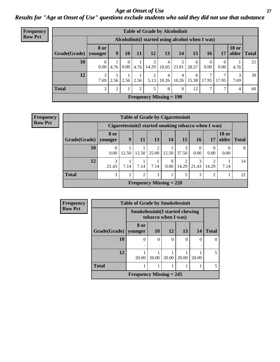#### *Age at Onset of Use* **27** *Results for "Age at Onset of Use" questions exclude students who said they did not use that substance*

| <b>Frequency</b> | <b>Table of Grade by Alcoholinit</b> |                       |                                                  |           |                |            |                           |            |            |            |                        |                       |              |
|------------------|--------------------------------------|-----------------------|--------------------------------------------------|-----------|----------------|------------|---------------------------|------------|------------|------------|------------------------|-----------------------|--------------|
| <b>Row Pct</b>   |                                      |                       | Alcoholinit (I started using alcohol when I was) |           |                |            |                           |            |            |            |                        |                       |              |
|                  | Grade(Grade)                         | 8 or<br>younger       | $\boldsymbol{9}$                                 | 10        | 11             | 12         | 13                        | 14         | 15         | 16         | 17                     | <b>18 or</b><br>older | <b>Total</b> |
|                  | 10                                   | $^{(1)}$<br>$0.00\,$  | 4.76                                             | 0<br>0.00 | 4.76           | 3<br>14.29 | 4<br>19.05                | 5<br>23.81 | 6<br>28.57 | 0<br>0.00  | $\overline{0}$<br>0.00 | 4.76                  | 21           |
|                  | 12                                   | $\mathcal{E}$<br>7.69 | 2.56                                             | 2.56      | 2.56           | 2<br>5.13  | 4<br>10.26                | 4<br>10.26 | 6<br>15.38 | ⇁<br>17.95 | 7<br>17.95             | 7.69                  | 39           |
|                  | <b>Total</b>                         | 3 <sub>1</sub>        | $\overline{2}$                                   |           | $\overline{2}$ | 5          | 8                         | 9          | 12         | ⇁          | 7                      | 4                     | 60           |
|                  |                                      |                       |                                                  |           |                |            | Frequency Missing $= 190$ |            |            |            |                        |                       |              |

| <b>Frequency</b> |
|------------------|
| <b>Row Pct</b>   |

| <b>Table of Grade by Cigarettesinit</b> |                                                       |           |                |                         |                  |            |                  |                |                       |              |
|-----------------------------------------|-------------------------------------------------------|-----------|----------------|-------------------------|------------------|------------|------------------|----------------|-----------------------|--------------|
|                                         | Cigarettesinit (I started smoking tobacco when I was) |           |                |                         |                  |            |                  |                |                       |              |
| Grade(Grade)                            | <b>8 or</b><br>vounger                                | 9         | 11             | 13                      | 14               | 15         | 16 <sup>1</sup>  | 17             | <b>18 or</b><br>older | <b>Total</b> |
| 10                                      | 0.00                                                  | 12.50     | 12.50          | $\overline{2}$<br>25.00 | 12.50            | 3<br>37.50 | $\Omega$<br>0.00 | 0.00           | 0.00                  | 8            |
| 12                                      | 3<br>21.43                                            | 7.14      | 7.14           | 7.14                    | $\Omega$<br>0.00 | 14.29      | 3<br>21.43       | 14.29          | 7.14                  | 14           |
| <b>Total</b>                            | 3                                                     | $\bigcap$ | $\overline{2}$ | 3                       |                  | 5          | 3                | $\overline{2}$ |                       | 22           |
|                                         | Frequency Missing $= 228$                             |           |                |                         |                  |            |                  |                |                       |              |

| Frequency      | <b>Table of Grade by Smokelessinit</b> |                                                               |           |               |       |       |              |  |  |
|----------------|----------------------------------------|---------------------------------------------------------------|-----------|---------------|-------|-------|--------------|--|--|
| <b>Row Pct</b> |                                        | <b>Smokelessinit(I started chewing</b><br>tobacco when I was) |           |               |       |       |              |  |  |
|                | Grade(Grade)                           | 8 or<br>younger                                               | <b>10</b> | <b>12</b>     | 13    | 14    | <b>Total</b> |  |  |
|                | 10                                     | 0                                                             | $\Omega$  | $\theta$<br>٠ | 0     | 0     | 0            |  |  |
|                | 12                                     | 20.00                                                         | 20.00     | 20.00         | 20.00 | 20.00 | 5            |  |  |
|                | <b>Total</b>                           |                                                               |           |               |       |       | 5            |  |  |
|                |                                        | Frequency Missing $= 245$                                     |           |               |       |       |              |  |  |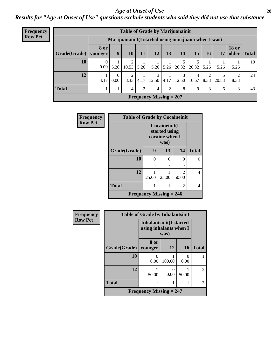#### *Age at Onset of Use* **28**

*Results for "Age at Onset of Use" questions exclude students who said they did not use that substance*

| <b>Frequency</b> |              | <b>Table of Grade by Marijuanainit</b> |                  |                                                      |      |                           |                |            |            |      |       |                               |    |
|------------------|--------------|----------------------------------------|------------------|------------------------------------------------------|------|---------------------------|----------------|------------|------------|------|-------|-------------------------------|----|
| <b>Row Pct</b>   |              |                                        |                  | Marijuanainit (I started using marijuana when I was) |      |                           |                |            |            |      |       |                               |    |
|                  | Grade(Grade) | <b>8 or</b><br>younger                 | 9                | 10 <sup>1</sup>                                      | 11   | 12                        | 13             | 14         | 15         | 16   | 17    | <b>18 or</b><br>older   Total |    |
|                  | 10           | 0<br>0.00 <sub>l</sub>                 | 5.26             | $10.53$ 5.26                                         |      |                           | $5.26$ 5.26    | 26.32      | 26.32      | 5.26 | 5.26  | 5.26                          | 19 |
|                  | 12           | 4.17                                   | $\Omega$<br>0.00 | 2<br>8.33                                            | 4.17 | 3<br>12.50                | 4.17           | 3<br>12.50 | 4<br>16.67 | 8.33 | 20.83 | 2<br>8.33                     | 24 |
|                  | <b>Total</b> |                                        |                  | $\overline{4}$                                       | 2    | 4                         | $\overline{2}$ | 8          | 9          | 3    | 6     | 3                             | 43 |
|                  |              |                                        |                  |                                                      |      | Frequency Missing $= 207$ |                |            |            |      |       |                               |    |

| <b>Frequency</b> | <b>Table of Grade by Cocaineinit</b> |          |                                                          |                         |              |  |  |  |
|------------------|--------------------------------------|----------|----------------------------------------------------------|-------------------------|--------------|--|--|--|
| <b>Row Pct</b>   |                                      |          | Cocaineinit(I<br>started using<br>cocaine when I<br>was) |                         |              |  |  |  |
|                  | Grade(Grade)                         | 9        | 13                                                       | 14                      | <b>Total</b> |  |  |  |
|                  | 10                                   | $\Omega$ | 0                                                        | $\Omega$                | 0            |  |  |  |
|                  |                                      | ٠        |                                                          |                         |              |  |  |  |
|                  | 12                                   | 25.00    | 25.00                                                    | $\mathfrak{D}$<br>50.00 | 4            |  |  |  |
|                  | <b>Total</b>                         |          |                                                          | 2                       | 4            |  |  |  |
|                  | Frequency Missing $= 246$            |          |                                                          |                         |              |  |  |  |

| Frequency      |                        | <b>Table of Grade by Inhalantsinit</b>                           |                |                           |                |
|----------------|------------------------|------------------------------------------------------------------|----------------|---------------------------|----------------|
| <b>Row Pct</b> |                        | <b>Inhalantsinit(I started</b><br>using inhalants when I<br>was) |                |                           |                |
|                | Grade(Grade)   younger | 8 or                                                             | <b>12</b>      | <b>16</b>                 | <b>Total</b>   |
|                | 10                     | 0<br>0.00                                                        | 100.00         | $\mathbf{\Omega}$<br>0.00 |                |
|                | 12                     | 50.00                                                            | $_{0}$<br>0.00 | 50.00                     | $\overline{c}$ |
|                | <b>Total</b><br>1      |                                                                  |                |                           |                |
|                |                        | Frequency Missing $= 247$                                        |                |                           |                |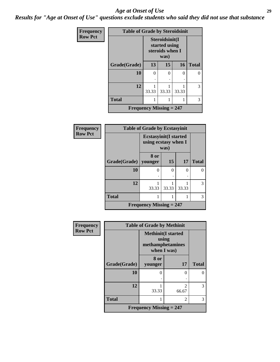#### *Age at Onset of Use* **29**

*Results for "Age at Onset of Use" questions exclude students who said they did not use that substance*

| Frequency      | <b>Table of Grade by Steroidsinit</b> |                                                            |       |       |              |
|----------------|---------------------------------------|------------------------------------------------------------|-------|-------|--------------|
| <b>Row Pct</b> |                                       | Steroidsinit(I<br>started using<br>steroids when I<br>was) |       |       |              |
|                | Grade(Grade)                          | 13                                                         | 15    | 16    | <b>Total</b> |
|                | 10                                    | 0                                                          | 0     | 0     | 0            |
|                | 12                                    | 33.33                                                      | 33.33 | 33.33 | 3            |
|                | <b>Total</b>                          |                                                            |       |       | 3            |
|                | <b>Frequency Missing = 247</b>        |                                                            |       |       |              |

| Frequency      |                        | <b>Table of Grade by Ecstasyinit</b>                          |       |           |              |
|----------------|------------------------|---------------------------------------------------------------|-------|-----------|--------------|
| <b>Row Pct</b> |                        | <b>Ecstasyinit</b> (I started<br>using ecstasy when I<br>was) |       |           |              |
|                | Grade(Grade)   younger | 8 or                                                          | 15    | <b>17</b> | <b>Total</b> |
|                | 10                     | $\left($                                                      | 0     | 0         | 0            |
|                | 12                     | 33.33                                                         | 33.33 | 33.33     | 3            |
|                | <b>Total</b>           |                                                               |       |           | 3            |
|                |                        | Frequency Missing $= 247$                                     |       |           |              |

| <b>Frequency</b> |              | <b>Table of Grade by Methinit</b>                                     |                             |              |
|------------------|--------------|-----------------------------------------------------------------------|-----------------------------|--------------|
| <b>Row Pct</b>   |              | <b>Methinit(I started</b><br>using<br>methamphetamines<br>when I was) |                             |              |
|                  | Grade(Grade) | 8 or<br>younger                                                       | 17                          | <b>Total</b> |
|                  | 10           | 0                                                                     | ∩                           |              |
|                  | 12           | 33.33                                                                 | っ<br>66.67                  | 3            |
|                  | <b>Total</b> |                                                                       | $\mathcal{D}_{\mathcal{L}}$ | 3            |
|                  |              | <b>Frequency Missing = 247</b>                                        |                             |              |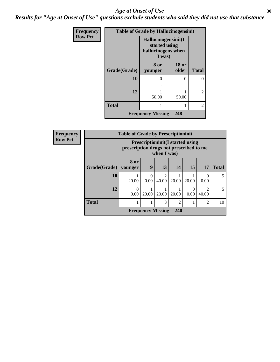#### Age at Onset of Use **30**

*Results for "Age at Onset of Use" questions exclude students who said they did not use that substance*

| Frequency      | <b>Table of Grade by Hallucinogensinit</b> |                                                     |                       |                |  |  |  |
|----------------|--------------------------------------------|-----------------------------------------------------|-----------------------|----------------|--|--|--|
| <b>Row Pct</b> |                                            | Hallucinogensinit(I<br>hallucinogens when<br>I was) | started using         |                |  |  |  |
|                | Grade(Grade)                               | 8 or<br>younger                                     | <b>18 or</b><br>older | <b>Total</b>   |  |  |  |
|                | 10                                         | 0                                                   | 0                     | 0              |  |  |  |
|                | 12                                         | 50.00                                               | 50.00                 | $\overline{2}$ |  |  |  |
|                | <b>Total</b>                               | 1                                                   | 1                     | $\overline{2}$ |  |  |  |
|                |                                            | Frequency Missing $= 248$                           |                       |                |  |  |  |

| Frequency      |              | <b>Table of Grade by Prescriptioninit</b> |                                       |                        |                                          |           |                         |              |  |
|----------------|--------------|-------------------------------------------|---------------------------------------|------------------------|------------------------------------------|-----------|-------------------------|--------------|--|
| <b>Row Pct</b> |              | prescription drugs not prescribed to me   |                                       | when I was)            | <b>Prescriptioninit (I started using</b> |           |                         |              |  |
|                | Grade(Grade) | 8 or<br>younger                           | 9                                     | 13                     | 14                                       | <b>15</b> | <b>17</b>               | <b>Total</b> |  |
|                | 10           | 20.00                                     | $\Omega$<br>0.00                      | $\mathcal{D}$<br>40.00 | 20.00                                    | 20.00     | 0<br>0.00               | 5            |  |
|                | 12           | 0<br>0.00                                 | 20.00                                 | 20.00                  | 20.00                                    | 0<br>0.00 | $\mathfrak{D}$<br>40.00 | 5            |  |
|                | <b>Total</b> |                                           | 3<br>$\overline{2}$<br>$\overline{2}$ |                        |                                          |           |                         |              |  |
|                |              |                                           |                                       |                        | Frequency Missing $= 240$                |           |                         |              |  |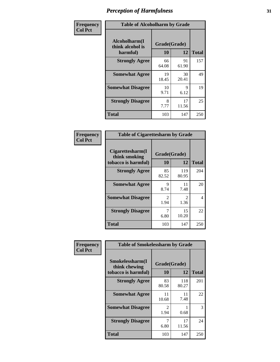| Frequency      | <b>Table of Alcoholharm by Grade</b>          |                    |             |              |  |
|----------------|-----------------------------------------------|--------------------|-------------|--------------|--|
| <b>Col Pct</b> | Alcoholharm(I<br>think alcohol is<br>harmful) | Grade(Grade)<br>10 | 12          | <b>Total</b> |  |
|                | <b>Strongly Agree</b>                         | 66<br>64.08        | 91<br>61.90 | 157          |  |
|                | <b>Somewhat Agree</b>                         | 19<br>18.45        | 30<br>20.41 | 49           |  |
|                | <b>Somewhat Disagree</b>                      | 10<br>9.71         | 9<br>6.12   | 19           |  |
|                | <b>Strongly Disagree</b>                      | 8<br>7.77          | 17<br>11.56 | 25           |  |
|                | <b>Total</b>                                  | 103                | 147         | 250          |  |

| <b>Table of Cigarettesharm by Grade</b>                                              |                        |                        |     |  |  |  |
|--------------------------------------------------------------------------------------|------------------------|------------------------|-----|--|--|--|
| Cigarettesharm(I<br>Grade(Grade)<br>think smoking<br>10<br>12<br>tobacco is harmful) |                        |                        |     |  |  |  |
| <b>Strongly Agree</b>                                                                | 85<br>82.52            | 119<br>80.95           | 204 |  |  |  |
| <b>Somewhat Agree</b>                                                                | 9<br>8.74              | 11<br>7.48             | 20  |  |  |  |
| <b>Somewhat Disagree</b>                                                             | $\mathfrak{D}$<br>1.94 | $\mathfrak{D}$<br>1.36 | 4   |  |  |  |
| <b>Strongly Disagree</b>                                                             | 7<br>6.80              | 15<br>10.20            | 22  |  |  |  |
| <b>Total</b>                                                                         | 103                    | 147                    | 250 |  |  |  |

| Frequency      | <b>Table of Smokelessharm by Grade</b>                  |                        |              |              |
|----------------|---------------------------------------------------------|------------------------|--------------|--------------|
| <b>Col Pct</b> | Smokelessharm(I<br>think chewing<br>tobacco is harmful) | Grade(Grade)<br>10     | 12           | <b>Total</b> |
|                | <b>Strongly Agree</b>                                   | 83<br>80.58            | 118<br>80.27 | 201          |
|                | <b>Somewhat Agree</b>                                   | 11<br>10.68            | 11<br>7.48   | 22           |
|                | <b>Somewhat Disagree</b>                                | $\mathfrak{D}$<br>1.94 | 0.68         | 3            |
|                | <b>Strongly Disagree</b>                                | 6.80                   | 17<br>11.56  | 24           |
|                | <b>Total</b>                                            | 103                    | 147          | 250          |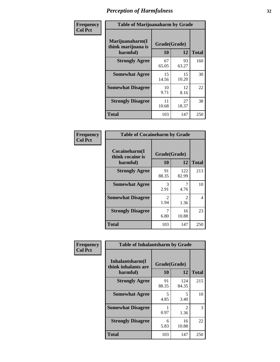| Frequency      |                                                   | <b>Table of Marijuanaharm by Grade</b> |             |              |  |  |
|----------------|---------------------------------------------------|----------------------------------------|-------------|--------------|--|--|
| <b>Col Pct</b> | Marijuanaharm(I<br>think marijuana is<br>harmful) | Grade(Grade)<br>10                     | 12          | <b>Total</b> |  |  |
|                | <b>Strongly Agree</b>                             | 67<br>65.05                            | 93<br>63.27 | 160          |  |  |
|                | <b>Somewhat Agree</b>                             | 15<br>14.56                            | 15<br>10.20 | 30           |  |  |
|                | <b>Somewhat Disagree</b>                          | 10<br>9.71                             | 12<br>8.16  | 22           |  |  |
|                | <b>Strongly Disagree</b>                          | 11<br>10.68                            | 27<br>18.37 | 38           |  |  |
|                | <b>Total</b>                                      | 103                                    | 147         | 250          |  |  |

| <b>Table of Cocaineharm by Grade</b>          |                        |                        |              |  |  |
|-----------------------------------------------|------------------------|------------------------|--------------|--|--|
| Cocaineharm(I<br>think cocaine is<br>harmful) | Grade(Grade)<br>10     | 12                     | <b>Total</b> |  |  |
| <b>Strongly Agree</b>                         | 91<br>88.35            | 122<br>82.99           | 213          |  |  |
| <b>Somewhat Agree</b>                         | 3<br>2.91              | 4.76                   | 10           |  |  |
| <b>Somewhat Disagree</b>                      | $\mathfrak{D}$<br>1.94 | $\mathfrak{D}$<br>1.36 | 4            |  |  |
| <b>Strongly Disagree</b>                      | 7<br>6.80              | 16<br>10.88            | 23           |  |  |
| <b>Total</b>                                  | 103                    | 147                    | 250          |  |  |

| Frequency      | <b>Table of Inhalantsharm by Grade</b>  |              |                                     |              |
|----------------|-----------------------------------------|--------------|-------------------------------------|--------------|
| <b>Col Pct</b> | Inhalantsharm(I)<br>think inhalants are | Grade(Grade) |                                     |              |
|                | harmful)                                | 10           | 12                                  | <b>Total</b> |
|                | <b>Strongly Agree</b>                   | 91<br>88.35  | 124<br>84.35                        | 215          |
|                | <b>Somewhat Agree</b>                   | 5<br>4.85    | 5.<br>3.40                          | 10           |
|                | <b>Somewhat Disagree</b>                | 0.97         | $\mathcal{D}_{\mathcal{L}}$<br>1.36 | 3            |
|                | <b>Strongly Disagree</b>                | 6<br>5.83    | 16<br>10.88                         | 22           |
|                | <b>Total</b>                            | 103          | 147                                 | 250          |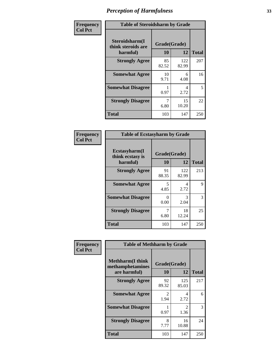| Frequency      | <b>Table of Steroidsharm by Grade</b>            |                    |              |              |  |
|----------------|--------------------------------------------------|--------------------|--------------|--------------|--|
| <b>Col Pct</b> | Steroidsharm(I<br>think steroids are<br>harmful) | Grade(Grade)<br>10 | 12           | <b>Total</b> |  |
|                | <b>Strongly Agree</b>                            | 85<br>82.52        | 122<br>82.99 | 207          |  |
|                | <b>Somewhat Agree</b>                            | 10<br>9.71         | 6<br>4.08    | 16           |  |
|                | <b>Somewhat Disagree</b>                         | 0.97               | 4<br>2.72    | 5            |  |
|                | <b>Strongly Disagree</b>                         | 6.80               | 15<br>10.20  | 22           |  |
|                | <b>Total</b>                                     | 103                | 147          | 250          |  |

| <b>Table of Ecstasyharm by Grade</b>          |                    |              |              |  |  |
|-----------------------------------------------|--------------------|--------------|--------------|--|--|
| Ecstasyharm(I<br>think ecstasy is<br>harmful) | Grade(Grade)<br>10 | 12           | <b>Total</b> |  |  |
| <b>Strongly Agree</b>                         | 91<br>88.35        | 122<br>82.99 | 213          |  |  |
| <b>Somewhat Agree</b>                         | 5<br>4.85          | 4<br>2.72    | 9            |  |  |
| <b>Somewhat Disagree</b>                      | 0<br>0.00          | 3<br>2.04    | 3            |  |  |
| <b>Strongly Disagree</b>                      | 7<br>6.80          | 18<br>12.24  | 25           |  |  |
| <b>Total</b>                                  | 103                | 147          | 250          |  |  |

| Frequency      | <b>Table of Methharm by Grade</b>                            |                    |                       |              |  |
|----------------|--------------------------------------------------------------|--------------------|-----------------------|--------------|--|
| <b>Col Pct</b> | <b>Methharm</b> (I think<br>methamphetamines<br>are harmful) | Grade(Grade)<br>10 | 12                    | <b>Total</b> |  |
|                | <b>Strongly Agree</b>                                        | 92<br>89.32        | 125<br>85.03          | 217          |  |
|                | <b>Somewhat Agree</b>                                        | 2<br>1.94          | 4<br>2.72             | 6            |  |
|                | <b>Somewhat Disagree</b>                                     | 0.97               | $\mathcal{L}$<br>1.36 | 3            |  |
|                | <b>Strongly Disagree</b>                                     | 8<br>7.77          | 16<br>10.88           | 24           |  |
|                | <b>Total</b>                                                 | 103                | 147                   | 250          |  |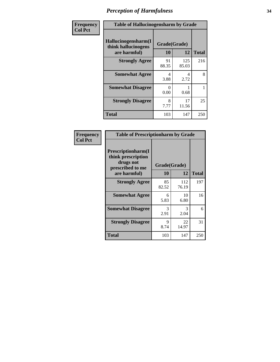| Frequency      | <b>Table of Hallucinogensharm by Grade</b>                 |                    |              |              |
|----------------|------------------------------------------------------------|--------------------|--------------|--------------|
| <b>Col Pct</b> | Hallucinogensharm(I<br>think hallucinogens<br>are harmful) | Grade(Grade)<br>10 | 12           | <b>Total</b> |
|                | <b>Strongly Agree</b>                                      | 91<br>88.35        | 125<br>85.03 | 216          |
|                | <b>Somewhat Agree</b>                                      | 4<br>3.88          | 4<br>2.72    | 8            |
|                | <b>Somewhat Disagree</b>                                   | 0<br>0.00          | 0.68         | 1            |
|                | <b>Strongly Disagree</b>                                   | 8<br>7.77          | 17<br>11.56  | 25           |
|                | <b>Total</b>                                               | 103                | 147          | 250          |

| <b>Table of Prescriptionharm by Grade</b>                                                         |                    |              |              |  |
|---------------------------------------------------------------------------------------------------|--------------------|--------------|--------------|--|
| <b>Prescriptionharm</b> (I<br>think prescription<br>drugs not<br>prescribed to me<br>are harmful) | Grade(Grade)<br>10 | 12           | <b>Total</b> |  |
| <b>Strongly Agree</b>                                                                             | 85<br>82.52        | 112<br>76.19 | 197          |  |
| <b>Somewhat Agree</b>                                                                             | 6<br>5.83          | 10<br>6.80   | 16           |  |
| <b>Somewhat Disagree</b>                                                                          | 3<br>2.91          | 3<br>2.04    | 6            |  |
| <b>Strongly Disagree</b>                                                                          | 9<br>8.74          | 22<br>14.97  | 31           |  |
| Total                                                                                             | 103                | 147          | 250          |  |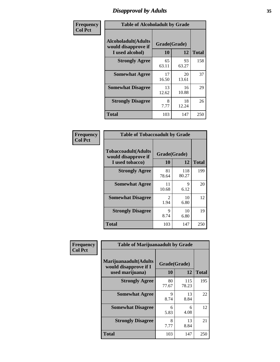## *Disapproval by Adults* **35**

| Frequency      | <b>Table of Alcoholadult by Grade</b>                                 |                    |             |              |  |
|----------------|-----------------------------------------------------------------------|--------------------|-------------|--------------|--|
| <b>Col Pct</b> | <b>Alcoholadult</b> (Adults<br>would disapprove if<br>I used alcohol) | Grade(Grade)<br>10 | 12          | <b>Total</b> |  |
|                | <b>Strongly Agree</b>                                                 | 65<br>63.11        | 93<br>63.27 | 158          |  |
|                | <b>Somewhat Agree</b>                                                 | 17<br>16.50        | 20<br>13.61 | 37           |  |
|                | <b>Somewhat Disagree</b>                                              | 13<br>12.62        | 16<br>10.88 | 29           |  |
|                | <b>Strongly Disagree</b>                                              | 8<br>7.77          | 18<br>12.24 | 26           |  |
|                | <b>Total</b>                                                          | 103                | 147         | 250          |  |

| <b>Table of Tobaccoadult by Grade</b>                                 |                       |                    |              |  |  |
|-----------------------------------------------------------------------|-----------------------|--------------------|--------------|--|--|
| <b>Tobaccoadult</b> (Adults<br>would disapprove if<br>I used tobacco) | 10                    | Grade(Grade)<br>12 | <b>Total</b> |  |  |
| <b>Strongly Agree</b>                                                 | 81<br>78.64           | 118<br>80.27       | 199          |  |  |
| <b>Somewhat Agree</b>                                                 | 11<br>10.68           | 9<br>6.12          | 20           |  |  |
| <b>Somewhat Disagree</b>                                              | $\mathcal{L}$<br>1.94 | 10<br>6.80         | 12           |  |  |
| <b>Strongly Disagree</b>                                              | 9<br>8.74             | 10<br>6.80         | 19           |  |  |
| Total                                                                 | 103                   | 147                | 250          |  |  |

| Frequency      | <b>Table of Marijuanaadult by Grade</b>                           |                    |              |              |  |
|----------------|-------------------------------------------------------------------|--------------------|--------------|--------------|--|
| <b>Col Pct</b> | Marijuanaadult(Adults<br>would disapprove if I<br>used marijuana) | Grade(Grade)<br>10 | 12           | <b>Total</b> |  |
|                | <b>Strongly Agree</b>                                             | 80<br>77.67        | 115<br>78.23 | 195          |  |
|                | <b>Somewhat Agree</b>                                             | 9<br>8.74          | 13<br>8.84   | 22           |  |
|                | <b>Somewhat Disagree</b>                                          | 6<br>5.83          | 6<br>4.08    | 12           |  |
|                | <b>Strongly Disagree</b>                                          | 8<br>7.77          | 13<br>8.84   | 21           |  |
|                | <b>Total</b>                                                      | 103                | 147          | 250          |  |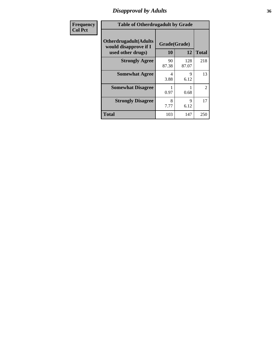## *Disapproval by Adults* **36**

| <b>Frequency</b> | <b>Table of Otherdrugadult by Grade</b>                                     |                    |              |                |
|------------------|-----------------------------------------------------------------------------|--------------------|--------------|----------------|
| <b>Col Pct</b>   | <b>Otherdrugadult</b> (Adults<br>would disapprove if I<br>used other drugs) | Grade(Grade)<br>10 | 12           | <b>Total</b>   |
|                  | <b>Strongly Agree</b>                                                       | 90<br>87.38        | 128<br>87.07 | 218            |
|                  | <b>Somewhat Agree</b>                                                       | 4<br>3.88          | 9<br>6.12    | 13             |
|                  | <b>Somewhat Disagree</b>                                                    | 0.97               | 0.68         | $\overline{2}$ |
|                  | <b>Strongly Disagree</b>                                                    | 8<br>7.77          | 9<br>6.12    | 17             |
|                  | <b>Total</b>                                                                | 103                | 147          | 250            |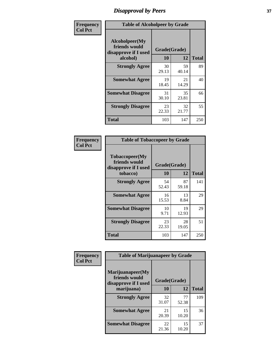# *Disapproval by Peers* **37**

| Frequency      | <b>Table of Alcoholpeer by Grade</b>                    |              |             |              |  |
|----------------|---------------------------------------------------------|--------------|-------------|--------------|--|
| <b>Col Pct</b> | Alcoholpeer(My<br>friends would<br>disapprove if I used | Grade(Grade) |             |              |  |
|                | alcohol)                                                | 10           | 12          | <b>Total</b> |  |
|                | <b>Strongly Agree</b>                                   | 30<br>29.13  | 59<br>40.14 | 89           |  |
|                | <b>Somewhat Agree</b>                                   | 19<br>18.45  | 21<br>14.29 | 40           |  |
|                | <b>Somewhat Disagree</b>                                | 31<br>30.10  | 35<br>23.81 | 66           |  |
|                | <b>Strongly Disagree</b>                                | 23<br>22.33  | 32<br>21.77 | 55           |  |
|                | Total                                                   | 103          | 147         | 250          |  |

| Frequency      | <b>Table of Tobaccopeer by Grade</b>                                |                    |             |              |
|----------------|---------------------------------------------------------------------|--------------------|-------------|--------------|
| <b>Col Pct</b> | Tobaccopeer(My<br>friends would<br>disapprove if I used<br>tobacco) | Grade(Grade)<br>10 | 12          | <b>Total</b> |
|                | <b>Strongly Agree</b>                                               | 54<br>52.43        | 87<br>59.18 | 141          |
|                | <b>Somewhat Agree</b>                                               | 16<br>15.53        | 13<br>8.84  | 29           |
|                | <b>Somewhat Disagree</b>                                            | 10<br>9.71         | 19<br>12.93 | 29           |
|                | <b>Strongly Disagree</b>                                            | 23<br>22.33        | 28<br>19.05 | 51           |
|                | Total                                                               | 103                | 147         | 250          |

| Frequency<br><b>Col Pct</b> | <b>Table of Marijuanapeer by Grade</b>                    |              |             |              |
|-----------------------------|-----------------------------------------------------------|--------------|-------------|--------------|
|                             | Marijuanapeer(My<br>friends would<br>disapprove if I used | Grade(Grade) |             |              |
|                             | marijuana)                                                | 10           | 12          | <b>Total</b> |
|                             | <b>Strongly Agree</b>                                     | 32<br>31.07  | 77<br>52.38 | 109          |
|                             | <b>Somewhat Agree</b>                                     | 21<br>20.39  | 15<br>10.20 | 36           |
|                             | <b>Somewhat Disagree</b>                                  | 22<br>21.36  | 15<br>10.20 | 37           |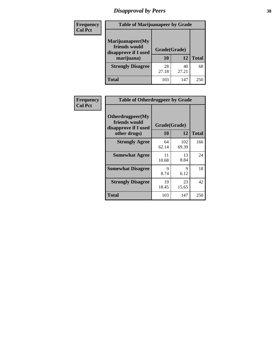# *Disapproval by Peers* **38**

| Frequency<br><b>Col Pct</b> | <b>Table of Marijuanapeer by Grade</b>                                  |                    |             |              |
|-----------------------------|-------------------------------------------------------------------------|--------------------|-------------|--------------|
|                             | Marijuanapeer(My<br>friends would<br>disapprove if I used<br>marijuana) | Grade(Grade)<br>10 | 12          | <b>Total</b> |
|                             | <b>Strongly Disagree</b>                                                | 28<br>27.18        | 40<br>27.21 | 68           |
|                             | Total                                                                   | 103                | 147         | 250          |

| Frequency      | <b>Table of Otherdrugpeer by Grade</b>                                    |             |                    |              |
|----------------|---------------------------------------------------------------------------|-------------|--------------------|--------------|
| <b>Col Pct</b> | Otherdrugpeer(My<br>friends would<br>disapprove if I used<br>other drugs) | 10          | Grade(Grade)<br>12 | <b>Total</b> |
|                | <b>Strongly Agree</b>                                                     | 64<br>62.14 | 102<br>69.39       | 166          |
|                | <b>Somewhat Agree</b>                                                     | 11<br>10.68 | 13<br>8.84         | 24           |
|                | <b>Somewhat Disagree</b>                                                  | 9<br>8.74   | 9<br>6.12          | 18           |
|                | <b>Strongly Disagree</b>                                                  | 19<br>18.45 | 23<br>15.65        | 42           |
|                | Total                                                                     | 103         | 147                | 250          |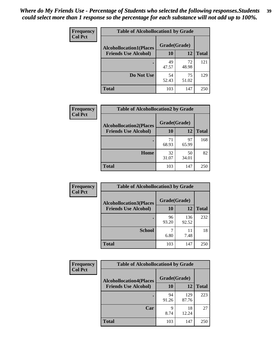| Frequency      | <b>Table of Alcohollocation1 by Grade</b> |              |             |              |
|----------------|-------------------------------------------|--------------|-------------|--------------|
| <b>Col Pct</b> | <b>Alcohollocation1(Places</b>            | Grade(Grade) |             |              |
|                | <b>Friends Use Alcohol)</b>               | 10           | 12          | <b>Total</b> |
|                |                                           | 49<br>47.57  | 72<br>48.98 | 121          |
|                | Do Not Use                                | 54<br>52.43  | 75<br>51.02 | 129          |
|                | <b>Total</b>                              | 103          | 147         | 250          |

| Frequency      | <b>Table of Alcohollocation2 by Grade</b>                     |                    |             |              |
|----------------|---------------------------------------------------------------|--------------------|-------------|--------------|
| <b>Col Pct</b> | <b>Alcohollocation2(Places</b><br><b>Friends Use Alcohol)</b> | Grade(Grade)<br>10 | <b>12</b>   | <b>Total</b> |
|                |                                                               | 71<br>68.93        | 97<br>65.99 | 168          |
|                | Home                                                          | 32<br>31.07        | 50<br>34.01 | 82           |
|                | <b>Total</b>                                                  | 103                | 147         | 250          |

| Frequency<br><b>Col Pct</b> | <b>Table of Alcohollocation 3 by Grade</b> |                    |             |              |  |
|-----------------------------|--------------------------------------------|--------------------|-------------|--------------|--|
| <b>Friends Use Alcohol)</b> | <b>Alcohollocation3(Places</b>             | Grade(Grade)<br>10 | 12          | <b>Total</b> |  |
|                             |                                            | 96                 | 136         | 232          |  |
|                             | <b>School</b>                              | 93.20              | 92.52<br>11 | 18           |  |
|                             |                                            | 6.80               | 7.48        |              |  |
|                             | <b>Total</b>                               | 103                | 147         | 250          |  |

| <b>Frequency</b> | <b>Table of Alcohollocation4 by Grade</b> |              |              |              |
|------------------|-------------------------------------------|--------------|--------------|--------------|
| <b>Col Pct</b>   | <b>Alcohollocation4(Places</b>            | Grade(Grade) |              |              |
|                  | <b>Friends Use Alcohol)</b>               | 10           | 12           | <b>Total</b> |
|                  |                                           | 94<br>91.26  | 129<br>87.76 | 223          |
|                  | Car                                       | Q<br>8.74    | 18<br>12.24  | 27           |
|                  | <b>Total</b>                              | 103          | 147          | 250          |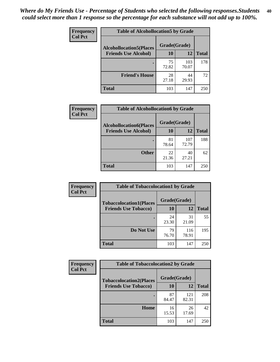| Frequency<br><b>Col Pct</b> | <b>Table of Alcohollocation5 by Grade</b> |              |              |              |
|-----------------------------|-------------------------------------------|--------------|--------------|--------------|
|                             | <b>Alcohollocation5(Places</b>            | Grade(Grade) |              |              |
|                             | <b>Friends Use Alcohol)</b>               | 10           | 12           | <b>Total</b> |
|                             |                                           | 75<br>72.82  | 103<br>70.07 | 178          |
|                             | <b>Friend's House</b>                     | 28<br>27.18  | 44<br>29.93  | 72           |
|                             | <b>Total</b>                              | 103          | 147          | 250          |

| <b>Frequency</b> | <b>Table of Alcohollocation6 by Grade</b>                     |                    |              |              |
|------------------|---------------------------------------------------------------|--------------------|--------------|--------------|
| <b>Col Pct</b>   | <b>Alcohollocation6(Places</b><br><b>Friends Use Alcohol)</b> | Grade(Grade)<br>10 | 12           | <b>Total</b> |
|                  |                                                               | 81<br>78.64        | 107<br>72.79 | 188          |
|                  | <b>Other</b>                                                  | 22<br>21.36        | 40<br>27.21  | 62           |
|                  | <b>Total</b>                                                  | 103                | 147          | 250          |

| Frequency      | <b>Table of Tobaccolocation1 by Grade</b> |              |              |              |
|----------------|-------------------------------------------|--------------|--------------|--------------|
| <b>Col Pct</b> | <b>Tobaccolocation1(Places</b>            | Grade(Grade) |              |              |
|                | <b>Friends Use Tobacco)</b>               | 10           | 12           | <b>Total</b> |
|                |                                           | 24<br>23.30  | 31<br>21.09  | 55           |
|                | Do Not Use                                | 79<br>76.70  | 116<br>78.91 | 195          |
|                | <b>Total</b>                              | 103          | 147          | 250          |

| <b>Frequency</b> | <b>Table of Tobaccolocation2 by Grade</b> |              |              |              |  |
|------------------|-------------------------------------------|--------------|--------------|--------------|--|
| <b>Col Pct</b>   | <b>Tobaccolocation2(Places</b>            | Grade(Grade) |              |              |  |
|                  | <b>Friends Use Tobacco)</b>               | 10           | 12           | <b>Total</b> |  |
|                  |                                           | 87<br>84.47  | 121<br>82.31 | 208          |  |
|                  | Home                                      | 16<br>15.53  | 26<br>17.69  | 42           |  |
|                  | <b>Total</b>                              | 103          | 147          | 250          |  |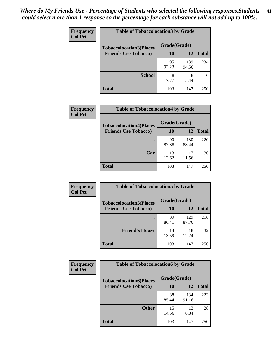| Frequency      | <b>Table of Tobaccolocation 3 by Grade</b> |              |              |              |  |
|----------------|--------------------------------------------|--------------|--------------|--------------|--|
| <b>Col Pct</b> | <b>Tobaccolocation3(Places</b>             | Grade(Grade) |              |              |  |
|                | <b>Friends Use Tobacco)</b>                | 10           | <b>12</b>    | <b>Total</b> |  |
|                |                                            | 95<br>92.23  | 139<br>94.56 | 234          |  |
|                | <b>School</b>                              | 8<br>7.77    | 8<br>5.44    | 16           |  |
|                | <b>Total</b>                               | 103          | 147          | 250          |  |

| Frequency      | <b>Table of Tobaccolocation4 by Grade</b>                     |                    |              |              |
|----------------|---------------------------------------------------------------|--------------------|--------------|--------------|
| <b>Col Pct</b> | <b>Tobaccolocation4(Places</b><br><b>Friends Use Tobacco)</b> | Grade(Grade)<br>10 | 12           | <b>Total</b> |
|                |                                                               |                    |              |              |
|                |                                                               | 90<br>87.38        | 130<br>88.44 | 220          |
|                | Car                                                           | 13<br>12.62        | 17<br>11.56  | 30           |
|                | <b>Total</b>                                                  | 103                | 147          | 250          |

| <b>Frequency</b> | <b>Table of Tobaccolocation5 by Grade</b> |              |              |              |
|------------------|-------------------------------------------|--------------|--------------|--------------|
| <b>Col Pct</b>   | <b>Tobaccolocation5(Places</b>            | Grade(Grade) |              |              |
|                  | <b>Friends Use Tobacco)</b>               | 10           | <b>12</b>    | <b>Total</b> |
|                  |                                           | 89<br>86.41  | 129<br>87.76 | 218          |
|                  | <b>Friend's House</b>                     | 14<br>13.59  | 18<br>12.24  | 32           |
|                  | <b>Total</b>                              | 103          | 147          | 250          |

| Frequency      | <b>Table of Tobaccolocation6 by Grade</b> |              |              |              |  |
|----------------|-------------------------------------------|--------------|--------------|--------------|--|
| <b>Col Pct</b> | <b>Tobaccolocation6(Places</b>            | Grade(Grade) |              |              |  |
|                | <b>Friends Use Tobacco)</b>               | 10           | 12           | <b>Total</b> |  |
|                |                                           | 88<br>85.44  | 134<br>91.16 | 222          |  |
|                | <b>Other</b>                              | 15<br>14.56  | 13<br>8.84   | 28           |  |
|                | <b>Total</b>                              | 103          | 147          | 250          |  |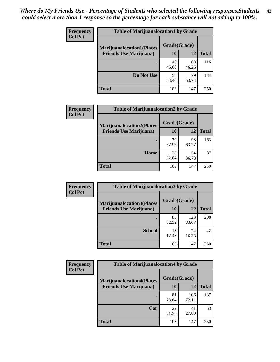| <b>Frequency</b> | <b>Table of Marijuanalocation1 by Grade</b> |              |             |              |
|------------------|---------------------------------------------|--------------|-------------|--------------|
| <b>Col Pct</b>   | <b>Marijuanalocation1(Places</b>            | Grade(Grade) |             |              |
|                  | <b>Friends Use Marijuana</b> )              | 10           | 12          | <b>Total</b> |
|                  |                                             | 48<br>46.60  | 68<br>46.26 | 116          |
|                  | Do Not Use                                  | 55<br>53.40  | 79<br>53.74 | 134          |
|                  | <b>Total</b>                                | 103          | 147         | 250          |

| <b>Frequency</b> | <b>Table of Marijuanalocation2 by Grade</b>                        |                    |             |              |
|------------------|--------------------------------------------------------------------|--------------------|-------------|--------------|
| <b>Col Pct</b>   | <b>Marijuanalocation2(Places</b><br><b>Friends Use Marijuana</b> ) | Grade(Grade)<br>10 | 12          | <b>Total</b> |
|                  |                                                                    | 70<br>67.96        | 93<br>63.27 | 163          |
|                  | <b>Home</b>                                                        | 33<br>32.04        | 54<br>36.73 | 87           |
|                  | <b>Total</b>                                                       | 103                | 147         | 250          |

| Frequency      | <b>Table of Marijuanalocation3 by Grade</b> |              |              |              |
|----------------|---------------------------------------------|--------------|--------------|--------------|
| <b>Col Pct</b> | <b>Marijuanalocation3</b> (Places           | Grade(Grade) |              |              |
|                | <b>Friends Use Marijuana</b> )              | <b>10</b>    | 12           | <b>Total</b> |
|                |                                             | 85<br>82.52  | 123<br>83.67 | 208          |
|                | <b>School</b>                               | 18<br>17.48  | 24<br>16.33  | 42           |
|                | <b>Total</b>                                | 103          | 147          | 250          |

| <b>Frequency</b> | <b>Table of Marijuanalocation4 by Grade</b> |              |              |              |  |
|------------------|---------------------------------------------|--------------|--------------|--------------|--|
| <b>Col Pct</b>   | <b>Marijuanalocation4(Places</b>            | Grade(Grade) |              |              |  |
|                  | <b>Friends Use Marijuana</b> )              | <b>10</b>    | 12           | <b>Total</b> |  |
|                  |                                             | 81<br>78.64  | 106<br>72.11 | 187          |  |
|                  | Car                                         | 22<br>21.36  | 41<br>27.89  | 63           |  |
|                  | <b>Total</b>                                | 103          | 147          | 250          |  |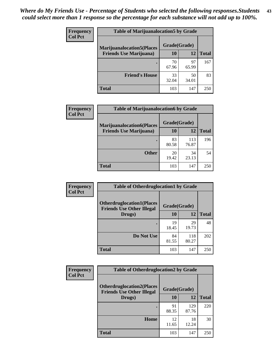| <b>Frequency</b> | <b>Table of Marijuanalocation5 by Grade</b> |              |             |              |
|------------------|---------------------------------------------|--------------|-------------|--------------|
| <b>Col Pct</b>   | <b>Marijuanalocation5(Places</b>            | Grade(Grade) |             |              |
|                  | <b>Friends Use Marijuana</b> )              | 10           | 12          | <b>Total</b> |
|                  |                                             | 70<br>67.96  | 97<br>65.99 | 167          |
|                  | <b>Friend's House</b>                       | 33<br>32.04  | 50<br>34.01 | 83           |
|                  | <b>Total</b>                                | 103          | 147         | 250          |

| <b>Frequency</b> | <b>Table of Marijuanalocation6 by Grade</b> |              |              |              |
|------------------|---------------------------------------------|--------------|--------------|--------------|
| <b>Col Pct</b>   | <b>Marijuanalocation6(Places</b>            | Grade(Grade) |              |              |
|                  | <b>Friends Use Marijuana</b> )              | 10           | 12           | <b>Total</b> |
|                  |                                             | 83<br>80.58  | 113<br>76.87 | 196          |
|                  | <b>Other</b>                                | 20<br>19.42  | 34<br>23.13  | 54           |
|                  | <b>Total</b>                                | 103          | 147          | 250          |

| <b>Frequency</b> | <b>Table of Otherdruglocation1 by Grade</b>                          |              |              |              |
|------------------|----------------------------------------------------------------------|--------------|--------------|--------------|
| <b>Col Pct</b>   | <b>Otherdruglocation1(Places</b><br><b>Friends Use Other Illegal</b> | Grade(Grade) |              |              |
|                  | Drugs)                                                               | 10           | 12           | <b>Total</b> |
|                  |                                                                      | 19<br>18.45  | 29<br>19.73  | 48           |
|                  | Do Not Use                                                           | 84<br>81.55  | 118<br>80.27 | 202          |
|                  | <b>Total</b>                                                         | 103          | 147          | 250          |

| Frequency      | <b>Table of Otherdruglocation2 by Grade</b>                          |              |              |              |
|----------------|----------------------------------------------------------------------|--------------|--------------|--------------|
| <b>Col Pct</b> | <b>Otherdruglocation2(Places</b><br><b>Friends Use Other Illegal</b> | Grade(Grade) |              |              |
|                | Drugs)                                                               | 10           | 12           | <b>Total</b> |
|                |                                                                      | 91<br>88.35  | 129<br>87.76 | 220          |
|                | Home                                                                 | 12<br>11.65  | 18<br>12.24  | 30           |
|                | <b>Total</b>                                                         | 103          | 147          | 250          |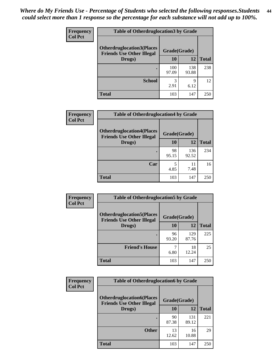| <b>Frequency</b> | <b>Table of Otherdruglocation 3 by Grade</b>                         |              |              |              |
|------------------|----------------------------------------------------------------------|--------------|--------------|--------------|
| <b>Col Pct</b>   | <b>Otherdruglocation3(Places</b><br><b>Friends Use Other Illegal</b> | Grade(Grade) |              |              |
|                  | Drugs)                                                               | 10           | 12           | <b>Total</b> |
|                  |                                                                      | 100<br>97.09 | 138<br>93.88 | 238          |
|                  | <b>School</b>                                                        | 3<br>2.91    | Q<br>6.12    | 12           |
|                  | Total                                                                | 103          | 147          | 250          |

| <b>Frequency</b> | <b>Table of Otherdruglocation4 by Grade</b>                          |              |              |              |  |
|------------------|----------------------------------------------------------------------|--------------|--------------|--------------|--|
| <b>Col Pct</b>   | <b>Otherdruglocation4(Places</b><br><b>Friends Use Other Illegal</b> | Grade(Grade) |              |              |  |
|                  | Drugs)                                                               | 10           | 12           | <b>Total</b> |  |
|                  |                                                                      | 98<br>95.15  | 136<br>92.52 | 234          |  |
|                  | Car                                                                  | 5<br>4.85    | 11<br>7.48   | 16           |  |
|                  | <b>Total</b>                                                         | 103          | 147          | 250          |  |

| Frequency      | <b>Table of Otherdruglocation5 by Grade</b>                          |              |              |              |
|----------------|----------------------------------------------------------------------|--------------|--------------|--------------|
| <b>Col Pct</b> | <b>Otherdruglocation5(Places</b><br><b>Friends Use Other Illegal</b> | Grade(Grade) |              |              |
|                | Drugs)                                                               | 10           | 12           | <b>Total</b> |
|                |                                                                      | 96<br>93.20  | 129<br>87.76 | 225          |
|                | <b>Friend's House</b>                                                | 6.80         | 18<br>12.24  | 25           |
|                | <b>Total</b>                                                         | 103          | 147          | 250          |

| <b>Frequency</b> | <b>Table of Otherdruglocation6 by Grade</b>                          |              |              |              |
|------------------|----------------------------------------------------------------------|--------------|--------------|--------------|
| <b>Col Pct</b>   | <b>Otherdruglocation6(Places</b><br><b>Friends Use Other Illegal</b> | Grade(Grade) |              |              |
|                  | Drugs)                                                               | <b>10</b>    | 12           | <b>Total</b> |
|                  |                                                                      | 90<br>87.38  | 131<br>89.12 | 221          |
|                  | <b>Other</b>                                                         | 13<br>12.62  | 16<br>10.88  | 29           |
|                  | <b>Total</b>                                                         | 103          | 147          | 250          |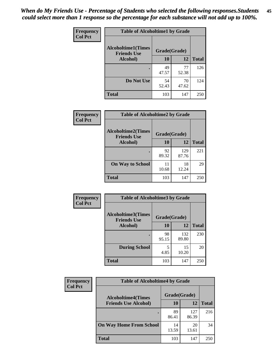| Frequency      | <b>Table of Alcoholtime1 by Grade</b>           |              |             |              |
|----------------|-------------------------------------------------|--------------|-------------|--------------|
| <b>Col Pct</b> | <b>Alcoholtime1(Times</b><br><b>Friends Use</b> | Grade(Grade) |             |              |
|                | Alcohol)                                        | 10           | 12          | <b>Total</b> |
|                |                                                 | 49<br>47.57  | 77<br>52.38 | 126          |
|                | Do Not Use                                      | 54<br>52.43  | 70<br>47.62 | 124          |
|                | <b>Total</b>                                    | 103          | 147         | 250          |

| Frequency      | <b>Table of Alcoholtime2 by Grade</b>           |              |              |              |
|----------------|-------------------------------------------------|--------------|--------------|--------------|
| <b>Col Pct</b> | <b>Alcoholtime2(Times</b><br><b>Friends Use</b> | Grade(Grade) |              |              |
|                | Alcohol)                                        | 10           | 12           | <b>Total</b> |
|                |                                                 | 92<br>89.32  | 129<br>87.76 | 221          |
|                | <b>On Way to School</b>                         | 11<br>10.68  | 18<br>12.24  | 29           |
|                | <b>Total</b>                                    | 103          | 147          | 250          |

| Frequency      | <b>Table of Alcoholtime3 by Grade</b>           |              |              |              |  |
|----------------|-------------------------------------------------|--------------|--------------|--------------|--|
| <b>Col Pct</b> | <b>Alcoholtime3(Times</b><br><b>Friends Use</b> | Grade(Grade) |              |              |  |
|                | Alcohol)                                        | 10           | 12           | <b>Total</b> |  |
|                |                                                 | 98<br>95.15  | 132<br>89.80 | 230          |  |
|                | <b>During School</b>                            | 5<br>4.85    | 15<br>10.20  | 20           |  |
|                | Total                                           | 103          | 147          | 250          |  |

| <b>Frequency</b><br><b>Col Pct</b> | <b>Table of Alcoholtime4 by Grade</b> |              |              |              |
|------------------------------------|---------------------------------------|--------------|--------------|--------------|
|                                    | <b>Alcoholtime4(Times</b>             | Grade(Grade) |              |              |
|                                    | <b>Friends Use Alcohol)</b>           | 10           | 12           | <b>Total</b> |
|                                    |                                       | 89<br>86.41  | 127<br>86.39 | 216          |
|                                    | <b>On Way Home From School</b>        | 14<br>13.59  | 20<br>13.61  | 34           |
|                                    | <b>Total</b>                          | 103          | 147          | 250          |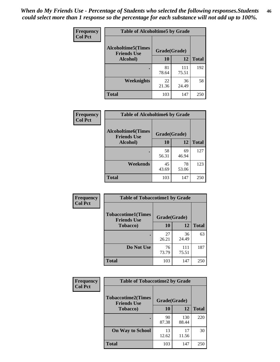*When do My Friends Use - Percentage of Students who selected the following responses.Students could select more than 1 response so the percentage for each substance will not add up to 100%.* **46**

| Frequency      | <b>Table of Alcoholtime5 by Grade</b>           |              |              |              |
|----------------|-------------------------------------------------|--------------|--------------|--------------|
| <b>Col Pct</b> | <b>Alcoholtime5(Times</b><br><b>Friends Use</b> | Grade(Grade) |              |              |
|                | Alcohol)                                        | 10           | 12           | <b>Total</b> |
|                |                                                 | 81<br>78.64  | 111<br>75.51 | 192          |
|                | Weeknights                                      | 22<br>21.36  | 36<br>24.49  | 58           |
|                | <b>Total</b>                                    | 103          | 147          | 250          |

| <b>Frequency</b> | <b>Table of Alcoholtime6 by Grade</b>           |              |             |              |
|------------------|-------------------------------------------------|--------------|-------------|--------------|
| <b>Col Pct</b>   | <b>Alcoholtime6(Times</b><br><b>Friends Use</b> | Grade(Grade) |             |              |
|                  | Alcohol)                                        | 10           | 12          | <b>Total</b> |
|                  |                                                 | 58<br>56.31  | 69<br>46.94 | 127          |
|                  | Weekends                                        | 45<br>43.69  | 78<br>53.06 | 123          |
|                  | <b>Total</b>                                    | 103          | 147         | 250          |

| Frequency      | <b>Table of Tobaccotime1 by Grade</b>           |              |              |              |
|----------------|-------------------------------------------------|--------------|--------------|--------------|
| <b>Col Pct</b> | <b>Tobaccotime1(Times</b><br><b>Friends Use</b> | Grade(Grade) |              |              |
|                | <b>Tobacco</b> )                                | 10           | 12           | <b>Total</b> |
|                | $\bullet$                                       | 27<br>26.21  | 36<br>24.49  | 63           |
|                | Do Not Use                                      | 76<br>73.79  | 111<br>75.51 | 187          |
|                | <b>Total</b>                                    | 103          | 147          | 250          |

| <b>Frequency</b> | <b>Table of Tobaccotime2 by Grade</b>           |              |              |              |
|------------------|-------------------------------------------------|--------------|--------------|--------------|
| <b>Col Pct</b>   | <b>Tobaccotime2(Times</b><br><b>Friends Use</b> | Grade(Grade) |              |              |
|                  | <b>Tobacco</b> )                                | 10           | 12           | <b>Total</b> |
|                  |                                                 | 90<br>87.38  | 130<br>88.44 | 220          |
|                  | <b>On Way to School</b>                         | 13<br>12.62  | 17<br>11.56  | 30           |
|                  | <b>Total</b>                                    | 103          | 147          | 250          |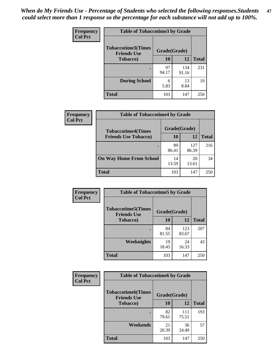*When do My Friends Use - Percentage of Students who selected the following responses.Students could select more than 1 response so the percentage for each substance will not add up to 100%.* **47**

| <b>Frequency</b> | <b>Table of Tobaccotime3 by Grade</b>           |              |              |              |  |
|------------------|-------------------------------------------------|--------------|--------------|--------------|--|
| <b>Col Pct</b>   | <b>Tobaccotime3(Times</b><br><b>Friends Use</b> | Grade(Grade) |              |              |  |
|                  | <b>Tobacco</b> )                                | 10           | 12           | <b>Total</b> |  |
|                  |                                                 | 97<br>94.17  | 134<br>91.16 | 231          |  |
|                  | <b>During School</b>                            | 6<br>5.83    | 13<br>8.84   | 19           |  |
|                  | <b>Total</b>                                    | 103          | 147          | 250          |  |

| Frequency<br><b>Col Pct</b> | <b>Table of Tobaccotime4 by Grade</b> |              |              |              |
|-----------------------------|---------------------------------------|--------------|--------------|--------------|
|                             | <b>Tobaccotime4(Times</b>             | Grade(Grade) |              |              |
|                             | <b>Friends Use Tobacco)</b>           | 10           | 12           | <b>Total</b> |
|                             |                                       | 89<br>86.41  | 127<br>86.39 | 216          |
|                             | <b>On Way Home From School</b>        | 14<br>13.59  | 20<br>13.61  | 34           |
|                             | Total                                 | 103          | 147          | 250          |

| Frequency      | <b>Table of Tobaccotime5 by Grade</b>            |              |              |              |
|----------------|--------------------------------------------------|--------------|--------------|--------------|
| <b>Col Pct</b> | <b>Tobaccotime5</b> (Times<br><b>Friends Use</b> | Grade(Grade) |              |              |
|                | <b>Tobacco</b> )                                 | 10           | 12           | <b>Total</b> |
|                |                                                  | 84<br>81.55  | 123<br>83.67 | 207          |
|                | Weeknights                                       | 19<br>18.45  | 24<br>16.33  | 43           |
|                | <b>Total</b>                                     | 103          | 147          | 250          |

| Frequency<br><b>Col Pct</b> |                                                 | <b>Table of Tobaccotime6 by Grade</b> |              |              |  |  |
|-----------------------------|-------------------------------------------------|---------------------------------------|--------------|--------------|--|--|
|                             | <b>Tobaccotime6(Times</b><br><b>Friends Use</b> | Grade(Grade)                          |              |              |  |  |
|                             | <b>Tobacco</b> )                                | 10                                    | 12           | <b>Total</b> |  |  |
|                             | ٠                                               | 82<br>79.61                           | 111<br>75.51 | 193          |  |  |
|                             | Weekends                                        | 21<br>20.39                           | 36<br>24.49  | 57           |  |  |
|                             | <b>Total</b>                                    | 103                                   | 147          | 250          |  |  |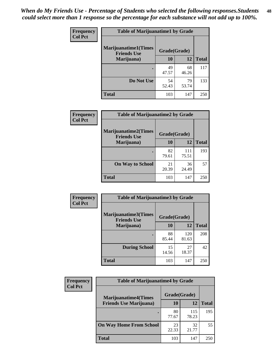| Frequency      | <b>Table of Marijuanatime1 by Grade</b>           |              |             |              |
|----------------|---------------------------------------------------|--------------|-------------|--------------|
| <b>Col Pct</b> | <b>Marijuanatime1(Times</b><br><b>Friends Use</b> | Grade(Grade) |             |              |
|                | Marijuana)                                        | 10           | 12          | <b>Total</b> |
|                |                                                   | 49<br>47.57  | 68<br>46.26 | 117          |
|                | Do Not Use                                        | 54<br>52.43  | 79<br>53.74 | 133          |
|                | <b>Total</b>                                      | 103          | 147         | 250          |

| Frequency      | <b>Table of Marijuanatime2 by Grade</b>           |              |              |              |
|----------------|---------------------------------------------------|--------------|--------------|--------------|
| <b>Col Pct</b> | <b>Marijuanatime2(Times</b><br><b>Friends Use</b> | Grade(Grade) |              |              |
|                | Marijuana)                                        | 10           | 12           | <b>Total</b> |
|                |                                                   | 82<br>79.61  | 111<br>75.51 | 193          |
|                | <b>On Way to School</b>                           | 21<br>20.39  | 36<br>24.49  | 57           |
|                | <b>Total</b>                                      | 103          | 147          | 250          |

| Frequency<br><b>Col Pct</b> | <b>Table of Marijuanatime3 by Grade</b>    |              |              |              |  |
|-----------------------------|--------------------------------------------|--------------|--------------|--------------|--|
|                             | Marijuanatime3(Times<br><b>Friends Use</b> | Grade(Grade) |              |              |  |
|                             | Marijuana)                                 | 10           | 12           | <b>Total</b> |  |
|                             |                                            | 88<br>85.44  | 120<br>81.63 | 208          |  |
|                             | <b>During School</b>                       | 15<br>14.56  | 27<br>18.37  | 42           |  |
|                             | <b>Total</b>                               | 103          | 147          | 250          |  |

| <b>Frequency</b> | <b>Table of Marijuanatime4 by Grade</b> |              |              |              |
|------------------|-----------------------------------------|--------------|--------------|--------------|
| <b>Col Pct</b>   | <b>Marijuanatime4(Times</b>             | Grade(Grade) |              |              |
|                  | <b>Friends Use Marijuana</b> )          | 10           | 12           | <b>Total</b> |
|                  |                                         | 80<br>77.67  | 115<br>78.23 | 195          |
|                  | <b>On Way Home From School</b>          | 23<br>22.33  | 32<br>21.77  | 55           |
|                  | <b>Total</b>                            | 103          | 147          | 250          |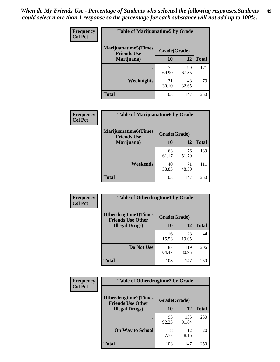| Frequency<br><b>Col Pct</b> | <b>Table of Marijuanatime5 by Grade</b>            |              |             |              |  |
|-----------------------------|----------------------------------------------------|--------------|-------------|--------------|--|
|                             | <b>Marijuanatime5</b> (Times<br><b>Friends Use</b> | Grade(Grade) |             |              |  |
|                             | Marijuana)                                         | 10           | 12          | <b>Total</b> |  |
|                             |                                                    | 72<br>69.90  | 99<br>67.35 | 171          |  |
|                             | Weeknights                                         | 31<br>30.10  | 48<br>32.65 | 79           |  |
|                             | <b>Total</b>                                       | 103          | 147         | 250          |  |

| Frequency      | <b>Table of Marijuanatime6 by Grade</b>           |              |             |              |
|----------------|---------------------------------------------------|--------------|-------------|--------------|
| <b>Col Pct</b> | <b>Marijuanatime6(Times</b><br><b>Friends Use</b> | Grade(Grade) |             |              |
|                | Marijuana)                                        | 10           | 12          | <b>Total</b> |
|                |                                                   | 63<br>61.17  | 76<br>51.70 | 139          |
|                | Weekends                                          | 40<br>38.83  | 71<br>48.30 | 111          |
|                | <b>Total</b>                                      | 103          | 147         | 250          |

| Frequency      | <b>Table of Otherdrugtime1 by Grade</b>                 |              |              |              |
|----------------|---------------------------------------------------------|--------------|--------------|--------------|
| <b>Col Pct</b> | <b>Otherdrugtime1(Times</b><br><b>Friends Use Other</b> | Grade(Grade) |              |              |
|                | <b>Illegal Drugs</b> )                                  | 10           | 12           | <b>Total</b> |
|                |                                                         | 16<br>15.53  | 28<br>19.05  | 44           |
|                | Do Not Use                                              | 87<br>84.47  | 119<br>80.95 | 206          |
|                | Total                                                   | 103          | 147          | 250          |

| <b>Frequency</b> | <b>Table of Otherdrugtime2 by Grade</b>                 |              |              |              |
|------------------|---------------------------------------------------------|--------------|--------------|--------------|
| <b>Col Pct</b>   | <b>Otherdrugtime2(Times</b><br><b>Friends Use Other</b> | Grade(Grade) |              |              |
|                  | <b>Illegal Drugs</b> )                                  | 10           | 12           | <b>Total</b> |
|                  |                                                         | 95<br>92.23  | 135<br>91.84 | 230          |
|                  | <b>On Way to School</b>                                 | 8<br>7.77    | 12<br>8.16   | 20           |
|                  | <b>Total</b>                                            | 103          | 147          | 250          |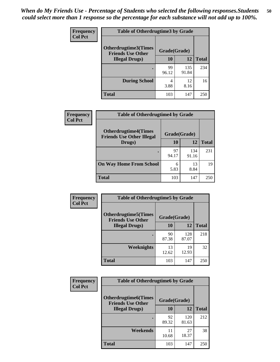| <b>Frequency</b> | <b>Table of Otherdrugtime3 by Grade</b>          |              |              |              |  |
|------------------|--------------------------------------------------|--------------|--------------|--------------|--|
| <b>Col Pct</b>   | Otherdrugtime3(Times<br><b>Friends Use Other</b> | Grade(Grade) |              |              |  |
|                  | <b>Illegal Drugs</b> )                           | 10           | 12           | <b>Total</b> |  |
|                  |                                                  | 99<br>96.12  | 135<br>91.84 | 234          |  |
|                  | <b>During School</b>                             | 4<br>3.88    | 12<br>8.16   | 16           |  |
|                  | <b>Total</b>                                     | 103          | 147          | 250          |  |

| Frequency      | <b>Table of Otherdrugtime4 by Grade</b>                         |              |              |              |  |  |
|----------------|-----------------------------------------------------------------|--------------|--------------|--------------|--|--|
| <b>Col Pct</b> | <b>Otherdrugtime4(Times</b><br><b>Friends Use Other Illegal</b> | Grade(Grade) |              |              |  |  |
|                | Drugs)                                                          | 10           | 12           | <b>Total</b> |  |  |
|                | $\bullet$                                                       | 97<br>94.17  | 134<br>91.16 | 231          |  |  |
|                | <b>On Way Home From School</b>                                  | 6<br>5.83    | 13<br>8.84   | 19           |  |  |
|                | <b>Total</b>                                                    | 103          | 147          | 250          |  |  |

| <b>Frequency</b> | <b>Table of Otherdrugtime5 by Grade</b>                  |              |              |              |  |
|------------------|----------------------------------------------------------|--------------|--------------|--------------|--|
| <b>Col Pct</b>   | <b>Otherdrugtime5</b> (Times<br><b>Friends Use Other</b> | Grade(Grade) |              |              |  |
|                  | <b>Illegal Drugs</b> )                                   | 10           | 12           | <b>Total</b> |  |
|                  |                                                          | 90<br>87.38  | 128<br>87.07 | 218          |  |
|                  | <b>Weeknights</b>                                        | 13<br>12.62  | 19<br>12.93  | 32           |  |
|                  | <b>Total</b>                                             | 103          | 147          | 250          |  |

| <b>Frequency</b> | <b>Table of Otherdrugtime6 by Grade</b>                                 |             |              |              |  |
|------------------|-------------------------------------------------------------------------|-------------|--------------|--------------|--|
| <b>Col Pct</b>   | <b>Otherdrugtime6(Times</b><br>Grade(Grade)<br><b>Friends Use Other</b> |             |              |              |  |
|                  | <b>Illegal Drugs</b> )                                                  | 10          | 12           | <b>Total</b> |  |
|                  |                                                                         | 92<br>89.32 | 120<br>81.63 | 212          |  |
|                  | Weekends                                                                | 11<br>10.68 | 27<br>18.37  | 38           |  |
|                  | Total                                                                   | 103         | 147          | 250          |  |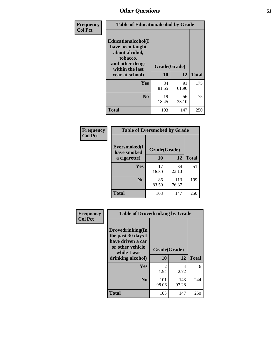| Frequency      | <b>Table of Educationalcohol by Grade</b>                                                                  |              |             |              |
|----------------|------------------------------------------------------------------------------------------------------------|--------------|-------------|--------------|
| <b>Col Pct</b> | Educationalcohol(I<br>have been taught<br>about alcohol,<br>tobacco,<br>and other drugs<br>within the last | Grade(Grade) |             |              |
|                | year at school)                                                                                            | 10           | 12          | <b>Total</b> |
|                | Yes                                                                                                        | 84<br>81.55  | 91<br>61.90 | 175          |
|                | N <sub>0</sub>                                                                                             | 19<br>18.45  | 56<br>38.10 | 75           |
|                | <b>Total</b>                                                                                               | 103          | 147         | 250          |

| Frequency      | <b>Table of Eversmoked by Grade</b> |              |              |              |  |
|----------------|-------------------------------------|--------------|--------------|--------------|--|
| <b>Col Pct</b> | Eversmoked(I<br>have smoked         | Grade(Grade) |              |              |  |
|                | a cigarette)                        | 10           | 12           | <b>Total</b> |  |
|                | <b>Yes</b>                          | 17<br>16.50  | 34<br>23.13  | 51           |  |
|                | N <sub>0</sub>                      | 86<br>83.50  | 113<br>76.87 | 199          |  |
|                | <b>Total</b>                        | 103          | 147          | 250          |  |

| Frequency      | <b>Table of Drovedrinking by Grade</b>                                                                              |                    |              |     |  |
|----------------|---------------------------------------------------------------------------------------------------------------------|--------------------|--------------|-----|--|
| <b>Col Pct</b> | Drovedrinking(In<br>the past 30 days I<br>have driven a car<br>or other vehicle<br>while I was<br>drinking alcohol) | Grade(Grade)<br>10 | <b>Total</b> |     |  |
|                | <b>Yes</b>                                                                                                          | 2<br>1.94          | 4<br>2.72    | 6   |  |
|                | N <sub>0</sub>                                                                                                      | 101<br>98.06       | 143<br>97.28 | 244 |  |
|                | <b>Total</b>                                                                                                        | 103                | 147          | 250 |  |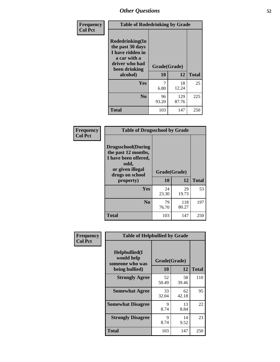| Frequency<br><b>Col Pct</b> | <b>Table of Rodedrinking by Grade</b>                                                                                             |             |              |              |  |
|-----------------------------|-----------------------------------------------------------------------------------------------------------------------------------|-------------|--------------|--------------|--|
|                             | <b>Rodedrinking(In</b><br>the past 30 days<br>I have ridden in<br>a car with a<br>driver who had<br>Grade(Grade)<br>been drinking |             |              |              |  |
|                             | alcohol)                                                                                                                          | 10          | 12           | <b>Total</b> |  |
|                             | <b>Yes</b>                                                                                                                        | 6.80        | 18<br>12.24  | 25           |  |
|                             | N <sub>0</sub>                                                                                                                    | 96<br>93.20 | 129<br>87.76 | 225          |  |
|                             | <b>Total</b>                                                                                                                      | 103         | 147          | 250          |  |

#### **Frequency Col Pct**

| <b>Table of Drugsschool by Grade</b>                                                                                      |              |              |              |  |  |  |
|---------------------------------------------------------------------------------------------------------------------------|--------------|--------------|--------------|--|--|--|
| <b>Drugsschool</b> (During<br>the past 12 months,<br>I have been offered,<br>sold,<br>or given illegal<br>drugs on school | Grade(Grade) |              |              |  |  |  |
| property)                                                                                                                 | 10           | 12           | <b>Total</b> |  |  |  |
| Yes                                                                                                                       | 24<br>23.30  | 29<br>19.73  | 53           |  |  |  |
|                                                                                                                           |              |              |              |  |  |  |
| N <sub>0</sub>                                                                                                            | 79<br>76.70  | 118<br>80.27 | 197          |  |  |  |

| Frequency      | <b>Table of Helpbullied by Grade</b>           |              |             |              |  |  |
|----------------|------------------------------------------------|--------------|-------------|--------------|--|--|
| <b>Col Pct</b> | Helpbullied(I<br>would help<br>someone who was | Grade(Grade) |             |              |  |  |
|                | being bullied)                                 | 10           | 12          | <b>Total</b> |  |  |
|                | <b>Strongly Agree</b>                          | 52<br>50.49  | 58<br>39.46 | 110          |  |  |
|                | <b>Somewhat Agree</b>                          | 33<br>32.04  | 62<br>42.18 | 95           |  |  |
|                | <b>Somewhat Disagree</b>                       | 9<br>8.74    | 13<br>8.84  | 22           |  |  |
|                | <b>Strongly Disagree</b>                       | 9<br>8.74    | 14<br>9.52  | 23           |  |  |
|                | <b>Total</b>                                   | 103          | 147         | 250          |  |  |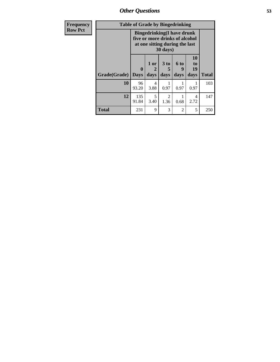| Frequency      | <b>Table of Grade by Bingedrinking</b> |                                                                                                                    |                   |              |                   |                        |              |
|----------------|----------------------------------------|--------------------------------------------------------------------------------------------------------------------|-------------------|--------------|-------------------|------------------------|--------------|
| <b>Row Pct</b> |                                        | <b>Bingedrinking</b> (I have drunk<br>five or more drinks of alcohol<br>at one sitting during the last<br>30 days) |                   |              |                   |                        |              |
|                | Grade(Grade)                           | $\mathbf{0}$<br><b>Days</b>                                                                                        | 1 or<br>2<br>days | 3 to<br>days | 6 to<br>9<br>days | 10<br>to<br>19<br>days | <b>Total</b> |
|                | 10                                     | 96<br>93.20                                                                                                        | 4<br>3.88         | 0.97         | 0.97              | 0.97                   | 103          |
|                | 12                                     | 135<br>91.84                                                                                                       | 5<br>3.40         | 2<br>1.36    | 1<br>0.68         | 4<br>2.72              | 147          |
|                | <b>Total</b>                           | 231                                                                                                                | 9                 | 3            | $\overline{2}$    | 5                      | 250          |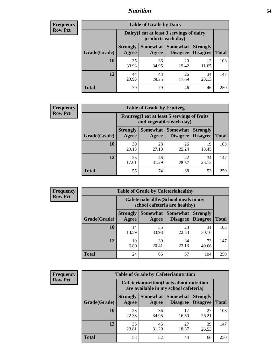#### *Nutrition* **54**

| <b>Frequency</b><br>Row Pct |
|-----------------------------|
|                             |

| <b>Table of Grade by Dairy</b> |                          |                                                                 |                                      |                                    |              |  |  |
|--------------------------------|--------------------------|-----------------------------------------------------------------|--------------------------------------|------------------------------------|--------------|--|--|
|                                |                          | Dairy (I eat at least 3 servings of dairy<br>products each day) |                                      |                                    |              |  |  |
| Grade(Grade)                   | <b>Strongly</b><br>Agree | Agree                                                           | Somewhat Somewhat<br><b>Disagree</b> | <b>Strongly</b><br><b>Disagree</b> | <b>Total</b> |  |  |
| 10                             | 35<br>33.98              | 36<br>34.95                                                     | 20<br>19.42                          | 12<br>11.65                        | 103          |  |  |
| 12                             | 44<br>29.93              | 43<br>29.25                                                     | 26<br>17.69                          | 34<br>23.13                        | 147          |  |  |
| <b>Total</b>                   | 79                       | 79                                                              | 46                                   | 46                                 | 250          |  |  |

| <b>Frequency</b> |  |
|------------------|--|
| <b>Row Pct</b>   |  |

| <b>Table of Grade by Fruitveg</b> |                          |                                                                          |                             |                                    |              |  |
|-----------------------------------|--------------------------|--------------------------------------------------------------------------|-----------------------------|------------------------------------|--------------|--|
|                                   |                          | Fruitveg(I eat at least 5 servings of fruits<br>and vegetables each day) |                             |                                    |              |  |
| Grade(Grade)                      | <b>Strongly</b><br>Agree | Somewhat  <br>Agree                                                      | <b>Somewhat</b><br>Disagree | <b>Strongly</b><br><b>Disagree</b> | <b>Total</b> |  |
| 10                                | 30<br>29.13              | 28<br>27.18                                                              | 26<br>25.24                 | 19<br>18.45                        | 103          |  |
| 12                                | 25<br>17.01              | 46<br>31.29                                                              | 42<br>28.57                 | 34<br>23.13                        | 147          |  |
| <b>Total</b>                      | 55                       | 74                                                                       | 68                          | 53                                 | 250          |  |

| Frequency      | ว |
|----------------|---|
| <b>Row Pct</b> |   |
|                |   |
|                |   |

| <b>Table of Grade by Cafeteriahealthy</b> |                                                                       |             |                                          |                                    |              |  |  |
|-------------------------------------------|-----------------------------------------------------------------------|-------------|------------------------------------------|------------------------------------|--------------|--|--|
|                                           | Cafeteriahealthy (School meals in my<br>school cafeteria are healthy) |             |                                          |                                    |              |  |  |
| Grade(Grade)                              | <b>Strongly</b><br>Agree                                              | Agree       | Somewhat   Somewhat  <br><b>Disagree</b> | <b>Strongly</b><br><b>Disagree</b> | <b>Total</b> |  |  |
| 10                                        | 14<br>13.59                                                           | 35<br>33.98 | 23<br>22.33                              | 31<br>30.10                        | 103          |  |  |
| 12                                        | 10<br>6.80                                                            | 30<br>20.41 | 34<br>23.13                              | 73<br>49.66                        | 147          |  |  |
| <b>Total</b>                              | 24                                                                    | 65          | 57                                       | 104                                | 250          |  |  |

| Frequency      |
|----------------|
| <b>Row Pct</b> |

| <b>Table of Grade by Cafeterianutrition</b>                                               |                          |             |                               |                                    |              |
|-------------------------------------------------------------------------------------------|--------------------------|-------------|-------------------------------|------------------------------------|--------------|
| <b>Cafeterianutrition</b> (Facts about nutrition<br>are available in my school cafeteria) |                          |             |                               |                                    |              |
| Grade(Grade)                                                                              | <b>Strongly</b><br>Agree | Agree       | Somewhat Somewhat<br>Disagree | <b>Strongly</b><br><b>Disagree</b> | <b>Total</b> |
| 10                                                                                        | 23<br>22.33              | 36<br>34.95 | 17<br>16.50                   | 27<br>26.21                        | 103          |
| 12                                                                                        | 35<br>23.81              | 46<br>31.29 | 27<br>18.37                   | 39<br>26.53                        | 147          |
| <b>Total</b>                                                                              | 58                       | 82          | 44                            | 66                                 | 250          |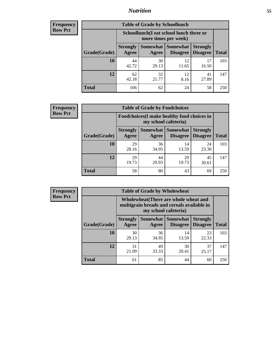### *Nutrition* **55**

| Frequency |
|-----------|
| Row Pct   |

| <b>Table of Grade by Schoollunch</b> |                          |                                                                 |                             |                                    |              |  |  |
|--------------------------------------|--------------------------|-----------------------------------------------------------------|-----------------------------|------------------------------------|--------------|--|--|
|                                      |                          | Schoollunch(I eat school lunch three or<br>more times per week) |                             |                                    |              |  |  |
| Grade(Grade)                         | <b>Strongly</b><br>Agree | Somewhat<br>Agree                                               | <b>Somewhat</b><br>Disagree | <b>Strongly</b><br><b>Disagree</b> | <b>Total</b> |  |  |
| 10                                   | 44<br>42.72              | 30<br>29.13                                                     | 12<br>11.65                 | 17<br>16.50                        | 103          |  |  |
| 12                                   | 62<br>42.18              | 32<br>21.77                                                     | 12<br>8.16                  | 41<br>27.89                        | 147          |  |  |
| <b>Total</b>                         | 106                      | 62                                                              | 24                          | 58                                 | 250          |  |  |

| <b>Frequency</b> |  |
|------------------|--|
| <b>Row Pct</b>   |  |

| <b>Table of Grade by Foodchoices</b>                                       |                          |             |                                 |                                    |              |
|----------------------------------------------------------------------------|--------------------------|-------------|---------------------------------|------------------------------------|--------------|
| <b>Foodchoices</b> (I make healthy food choices in<br>my school cafeteria) |                          |             |                                 |                                    |              |
| Grade(Grade)                                                               | <b>Strongly</b><br>Agree | Agree       | Somewhat   Somewhat<br>Disagree | <b>Strongly</b><br><b>Disagree</b> | <b>Total</b> |
| 10                                                                         | 29<br>28.16              | 36<br>34.95 | 14<br>13.59                     | 24<br>23.30                        | 103          |
| 12                                                                         | 29<br>19.73              | 44<br>29.93 | 29<br>19.73                     | 45<br>30.61                        | 147          |
| <b>Total</b>                                                               | 58                       | 80          | 43                              | 69                                 | 250          |

| <b>Frequency</b> | <b>Table of Grade by Wholewheat</b> |                                                                                                             |             |                                      |                                    |              |  |
|------------------|-------------------------------------|-------------------------------------------------------------------------------------------------------------|-------------|--------------------------------------|------------------------------------|--------------|--|
| <b>Row Pct</b>   |                                     | Wholewheat (There are whole wheat and<br>multigrain breads and cereals available in<br>my school cafeteria) |             |                                      |                                    |              |  |
|                  | Grade(Grade)                        | <b>Strongly</b><br>Agree                                                                                    | Agree       | Somewhat Somewhat<br><b>Disagree</b> | <b>Strongly</b><br><b>Disagree</b> | <b>Total</b> |  |
|                  | 10                                  | 30<br>29.13                                                                                                 | 36<br>34.95 | 14<br>13.59                          | 23<br>22.33                        | 103          |  |
|                  | 12                                  | 31<br>21.09                                                                                                 | 49<br>33.33 | 30<br>20.41                          | 37<br>25.17                        | 147          |  |
|                  | <b>Total</b>                        | 61                                                                                                          | 85          | 44                                   | 60                                 | 250          |  |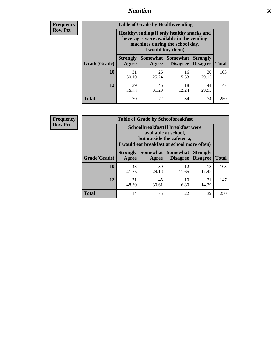### *Nutrition* **56**

**Frequency Row Pct**

| <b>Table of Grade by Healthyvending</b> |                                                                                                                                               |                     |                                    |                                    |              |  |
|-----------------------------------------|-----------------------------------------------------------------------------------------------------------------------------------------------|---------------------|------------------------------------|------------------------------------|--------------|--|
|                                         | Healthyvending (If only healthy snacks and<br>beverages were available in the vending<br>machines during the school day,<br>I would buy them) |                     |                                    |                                    |              |  |
| Grade(Grade)                            | <b>Strongly</b><br>Agree                                                                                                                      | Somewhat  <br>Agree | <b>Somewhat</b><br><b>Disagree</b> | <b>Strongly</b><br><b>Disagree</b> | <b>Total</b> |  |
| 10                                      | 31<br>30.10                                                                                                                                   | 26<br>25.24         | 16<br>15.53                        | 30<br>29.13                        | 103          |  |
| 12                                      | 39<br>26.53                                                                                                                                   | 46<br>31.29         | 18<br>12.24                        | 44<br>29.93                        | 147          |  |
| <b>Total</b>                            | 70                                                                                                                                            | 72                  | 34                                 | 74                                 | 250          |  |

**Frequency Row Pct**

| <b>Table of Grade by Schoolbreakfast</b> |                                                                                                                                         |             |                                        |                                    |              |  |
|------------------------------------------|-----------------------------------------------------------------------------------------------------------------------------------------|-------------|----------------------------------------|------------------------------------|--------------|--|
|                                          | Schoolbreakfast (If breakfast were<br>available at school,<br>but outside the cafeteria,<br>I would eat breakfast at school more often) |             |                                        |                                    |              |  |
| Grade(Grade)                             | <b>Strongly</b><br>Agree                                                                                                                | Agree       | Somewhat   Somewhat<br><b>Disagree</b> | <b>Strongly</b><br><b>Disagree</b> | <b>Total</b> |  |
| 10                                       | 43<br>41.75                                                                                                                             | 30<br>29.13 | 12<br>11.65                            | 18<br>17.48                        | 103          |  |
| 12                                       | 71<br>48.30                                                                                                                             | 45<br>30.61 | 10<br>6.80                             | 21<br>14.29                        | 147          |  |
| <b>Total</b>                             | 114                                                                                                                                     | 75          | 22                                     | 39                                 | 250          |  |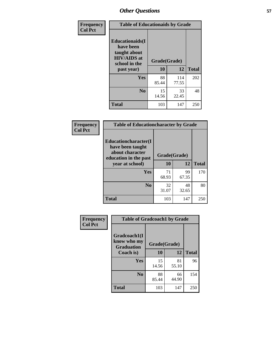| Frequency<br><b>Col Pct</b> | <b>Table of Educationaids by Grade</b>                                                                    |                    |              |              |
|-----------------------------|-----------------------------------------------------------------------------------------------------------|--------------------|--------------|--------------|
|                             | <b>Educationaids</b> (I<br>have been<br>taught about<br><b>HIV/AIDS</b> at<br>school in the<br>past year) | Grade(Grade)<br>10 | 12           | <b>Total</b> |
|                             | Yes                                                                                                       | 88<br>85.44        | 114<br>77.55 | 202          |
|                             | N <sub>0</sub>                                                                                            | 15<br>14.56        | 33<br>22.45  | 48           |
|                             | <b>Total</b>                                                                                              | 103                | 147          | 250          |

| Frequency      | <b>Table of Educationcharacter by Grade</b>                                                  |              |             |              |
|----------------|----------------------------------------------------------------------------------------------|--------------|-------------|--------------|
| <b>Col Pct</b> | <b>Educationcharacter(I)</b><br>have been taught<br>about character<br>education in the past | Grade(Grade) |             |              |
|                | year at school)                                                                              | 10           | 12          | <b>Total</b> |
|                | <b>Yes</b>                                                                                   | 71<br>68.93  | 99<br>67.35 | 170          |
|                | N <sub>0</sub>                                                                               | 32<br>31.07  | 48<br>32.65 | 80           |
|                | <b>Total</b>                                                                                 | 103          | 147         | 250          |

| Frequency      | <b>Table of Gradcoach1 by Grade</b>              |              |             |              |
|----------------|--------------------------------------------------|--------------|-------------|--------------|
| <b>Col Pct</b> | Gradcoach1(I<br>know who my<br><b>Graduation</b> | Grade(Grade) |             |              |
|                | Coach is)                                        | 10           | 12          | <b>Total</b> |
|                | Yes                                              | 15<br>14.56  | 81<br>55.10 | 96           |
|                | N <sub>0</sub>                                   | 88<br>85.44  | 66<br>44.90 | 154          |
|                | <b>Total</b>                                     | 103          | 147         | 250          |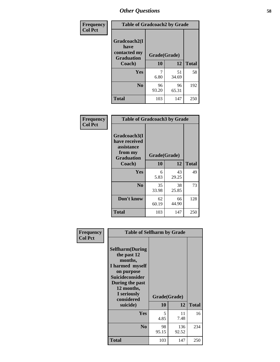| Frequency      | <b>Table of Gradcoach2 by Grade</b> |              |             |              |
|----------------|-------------------------------------|--------------|-------------|--------------|
| <b>Col Pct</b> |                                     |              |             |              |
|                | Gradcoach2(I<br>have                |              |             |              |
|                | contacted my<br><b>Graduation</b>   | Grade(Grade) |             |              |
|                | Coach)                              | 10           | 12          | <b>Total</b> |
|                | Yes                                 | 7<br>6.80    | 51<br>34.69 | 58           |
|                | N <sub>0</sub>                      | 96<br>93.20  | 96<br>65.31 | 192          |
|                | <b>Total</b>                        | 103          | 147         | 250          |

| Frequency<br><b>Col Pct</b> | <b>Table of Gradcoach3 by Grade</b>                                         |              |             |              |
|-----------------------------|-----------------------------------------------------------------------------|--------------|-------------|--------------|
|                             | Gradcoach3(I<br>have received<br>assistance<br>from my<br><b>Graduation</b> | Grade(Grade) |             |              |
|                             | Coach)                                                                      | 10           | 12          | <b>Total</b> |
|                             | Yes                                                                         | 6            | 43          | 49           |
|                             |                                                                             | 5.83         | 29.25       |              |
|                             | N <sub>0</sub>                                                              | 35           | 38          | 73           |
|                             |                                                                             | 33.98        | 25.85       |              |
|                             | Don't know                                                                  | 62<br>60.19  | 66<br>44.90 | 128          |
|                             | <b>Total</b>                                                                | 103          | 147         | 250          |

| Frequency      | <b>Table of Selfharm by Grade</b>                                                                                                                                                      |                    |              |              |  |
|----------------|----------------------------------------------------------------------------------------------------------------------------------------------------------------------------------------|--------------------|--------------|--------------|--|
| <b>Col Pct</b> | <b>Selfharm</b> (During<br>the past 12<br>months,<br>I harmed myself<br>on purpose<br><b>Suicideconsider</b><br>During the past<br>12 months,<br>I seriously<br>considered<br>suicide) | Grade(Grade)<br>10 | 12           | <b>Total</b> |  |
|                | Yes                                                                                                                                                                                    | 5<br>4.85          | 11<br>7.48   | 16           |  |
|                | N <sub>0</sub>                                                                                                                                                                         | 98<br>95.15        | 136<br>92.52 | 234          |  |
|                | Total                                                                                                                                                                                  | 103                | 147          | 250          |  |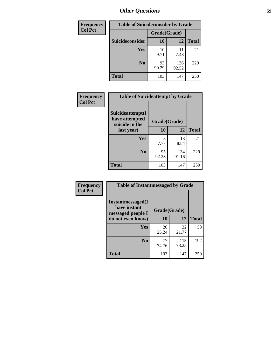| <b>Frequency</b> | <b>Table of Suicideconsider by Grade</b> |              |              |              |
|------------------|------------------------------------------|--------------|--------------|--------------|
| <b>Col Pct</b>   |                                          | Grade(Grade) |              |              |
|                  | Suicideconsider                          | <b>10</b>    | 12           | <b>Total</b> |
|                  | Yes                                      | 10<br>9.71   | 11<br>7.48   | 21           |
|                  | N <sub>0</sub>                           | 93<br>90.29  | 136<br>92.52 | 229          |
|                  | <b>Total</b>                             | 103          | 147          | 250          |

| Frequency      | <b>Table of Suicideattempt by Grade</b>              |              |              |              |
|----------------|------------------------------------------------------|--------------|--------------|--------------|
| <b>Col Pct</b> | Suicideattempt(I<br>have attempted<br>suicide in the | Grade(Grade) |              |              |
|                | last year)                                           | 10           | 12           | <b>Total</b> |
|                | Yes                                                  | 8<br>7.77    | 13<br>8.84   | 21           |
|                | N <sub>0</sub>                                       | 95<br>92.23  | 134<br>91.16 | 229          |
|                | <b>Total</b>                                         | 103          | 147          | 250          |

| Frequency      | <b>Table of Instantmessaged by Grade</b>                       |              |              |              |
|----------------|----------------------------------------------------------------|--------------|--------------|--------------|
| <b>Col Pct</b> | <b>Instantmessaged</b> (I<br>have instant<br>messaged people I | Grade(Grade) |              |              |
|                | do not even know)                                              | 10           | 12           | <b>Total</b> |
|                | Yes                                                            | 26<br>25.24  | 32<br>21.77  | 58           |
|                | N <sub>0</sub>                                                 | 77<br>74.76  | 115<br>78.23 | 192          |
|                | <b>Total</b>                                                   | 103          | 147          | 250          |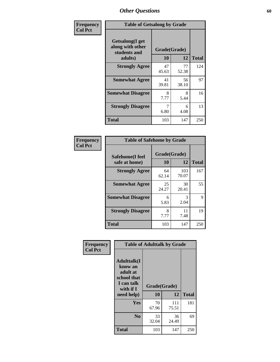| Frequency      | <b>Table of Getsalong by Grade</b>                          |              |             |                     |  |  |  |
|----------------|-------------------------------------------------------------|--------------|-------------|---------------------|--|--|--|
| <b>Col Pct</b> | <b>Getsalong</b> (I get<br>along with other<br>students and | Grade(Grade) |             |                     |  |  |  |
|                | adults)<br><b>Strongly Agree</b>                            | 10<br>47     | 12<br>77    | <b>Total</b><br>124 |  |  |  |
|                |                                                             | 45.63        | 52.38       |                     |  |  |  |
|                | <b>Somewhat Agree</b>                                       | 41<br>39.81  | 56<br>38.10 | 97                  |  |  |  |
|                | <b>Somewhat Disagree</b>                                    | 8<br>7.77    | 8<br>5.44   | 16                  |  |  |  |
|                | <b>Strongly Disagree</b>                                    | 7<br>6.80    | 6<br>4.08   | 13                  |  |  |  |
|                | Total                                                       | 103          | 147         | 250                 |  |  |  |

| Frequency      | <b>Table of Safehome by Grade</b> |                    |              |              |  |  |
|----------------|-----------------------------------|--------------------|--------------|--------------|--|--|
| <b>Col Pct</b> | Safehome(I feel<br>safe at home)  | Grade(Grade)<br>10 | 12           | <b>Total</b> |  |  |
|                | <b>Strongly Agree</b>             | 64<br>62.14        | 103<br>70.07 | 167          |  |  |
|                | <b>Somewhat Agree</b>             | 25<br>24.27        | 30<br>20.41  | 55           |  |  |
|                | <b>Somewhat Disagree</b>          | 6<br>5.83          | 3<br>2.04    | 9            |  |  |
|                | <b>Strongly Disagree</b>          | 8<br>7.77          | 11<br>7.48   | 19           |  |  |
|                | <b>Total</b>                      | 103                | 147          | 250          |  |  |

| Frequency      | <b>Table of Adulttalk by Grade</b>                                                                |                    |              |              |  |  |  |
|----------------|---------------------------------------------------------------------------------------------------|--------------------|--------------|--------------|--|--|--|
| <b>Col Pct</b> | <b>Adulttalk(I</b><br>know an<br>adult at<br>school that<br>I can talk<br>with if I<br>need help) | Grade(Grade)<br>10 | 12           | <b>Total</b> |  |  |  |
|                |                                                                                                   |                    |              |              |  |  |  |
|                | <b>Yes</b>                                                                                        | 70<br>67.96        | 111<br>75.51 | 181          |  |  |  |
|                | N <sub>0</sub>                                                                                    | 33<br>32.04        | 36<br>24.49  | 69           |  |  |  |
|                | <b>Total</b>                                                                                      | 103                | 147          | 250          |  |  |  |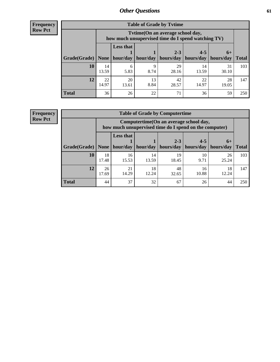**Frequency Row Pct**

| <b>Table of Grade by Tvtime</b> |             |                                                                                         |            |             |             |             |              |  |  |  |
|---------------------------------|-------------|-----------------------------------------------------------------------------------------|------------|-------------|-------------|-------------|--------------|--|--|--|
|                                 |             | Tvtime (On an average school day,<br>how much unsupervised time do I spend watching TV) |            |             |             |             |              |  |  |  |
|                                 |             | <b>Less that</b>                                                                        |            | $2 - 3$     | $4 - 5$     | $6+$        |              |  |  |  |
| Grade(Grade)   None             |             | hour/day                                                                                | hour/day   | hours/day   | hours/day   | hours/day   | <b>Total</b> |  |  |  |
| 10                              | 14<br>13.59 | 6<br>5.83                                                                               | Q<br>8.74  | 29<br>28.16 | 14<br>13.59 | 31<br>30.10 | 103          |  |  |  |
| 12                              | 22<br>14.97 | 20<br>13.61                                                                             | 13<br>8.84 | 42<br>28.57 | 22<br>14.97 | 28<br>19.05 | 147          |  |  |  |
| <b>Total</b>                    | 36          | 26                                                                                      | 22         | 71          | 36          | 59          | 250          |  |  |  |

**Frequency Row Pct**

| <b>Table of Grade by Computertime</b> |             |                                                                                                   |                     |             |            |             |              |  |  |  |
|---------------------------------------|-------------|---------------------------------------------------------------------------------------------------|---------------------|-------------|------------|-------------|--------------|--|--|--|
|                                       |             | Computertime (On an average school day,<br>how much unsupervised time do I spend on the computer) |                     |             |            |             |              |  |  |  |
|                                       |             | <b>Less that</b>                                                                                  |                     | $2 - 3$     | $4 - 5$    | $6+$        |              |  |  |  |
| Grade(Grade)                          | None $ $    |                                                                                                   | hour/day   hour/day | hours/day   | hours/day  | hours/day   | <b>Total</b> |  |  |  |
| 10                                    | 18<br>17.48 | 16<br>15.53                                                                                       | 14<br>13.59         | 19<br>18.45 | 10<br>9.71 | 26<br>25.24 | 103          |  |  |  |
| 12                                    | 26<br>17.69 | 48<br>21<br>18<br>18<br>16<br>14.29<br>10.88<br>12.24<br>12.24<br>32.65                           |                     |             |            |             |              |  |  |  |
| <b>Total</b>                          | 44          | 37                                                                                                | 32                  | 67          | 26         | 44          | 250          |  |  |  |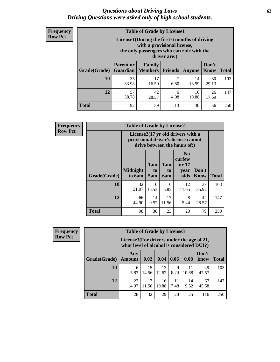#### *Questions about Driving Laws* **62** *Driving Questions were asked only of high school students.*

| <b>Frequency</b> |
|------------------|
| <b>Row Pct</b>   |

| <b>Table of Grade by License1</b> |                                                                       |                                                                                                                                           |                |               |                      |              |  |  |  |
|-----------------------------------|-----------------------------------------------------------------------|-------------------------------------------------------------------------------------------------------------------------------------------|----------------|---------------|----------------------|--------------|--|--|--|
|                                   |                                                                       | License1(During the first 6 months of driving<br>with a provisional license,<br>the only passengers who can ride with the<br>driver are:) |                |               |                      |              |  |  |  |
| Grade(Grade)                      | <b>Parent or</b><br><b>Guardian</b>                                   | Family<br><b>Members</b>                                                                                                                  | <b>Friends</b> | <b>Anyone</b> | Don't<br><b>Know</b> | <b>Total</b> |  |  |  |
| 10                                | 35<br>33.98                                                           | 17<br>16.50                                                                                                                               | 7<br>6.80      | 14<br>13.59   | 30<br>29.13          | 103          |  |  |  |
| 12                                | 57<br>42<br>16<br>26<br>6<br>38.78<br>10.88<br>4.08<br>28.57<br>17.69 |                                                                                                                                           |                |               |                      |              |  |  |  |
| Total                             | 92                                                                    | 59                                                                                                                                        | 13             | 30            | 56                   | 250          |  |  |  |

| <b>Frequency</b> |              | <b>Table of Grade by License2</b> |                  |                  |                                                                                                          |                      |              |  |  |  |
|------------------|--------------|-----------------------------------|------------------|------------------|----------------------------------------------------------------------------------------------------------|----------------------|--------------|--|--|--|
| <b>Row Pct</b>   |              |                                   |                  |                  | License2(17 yr old drivers with a<br>provisional driver's license cannot<br>drive between the hours of:) |                      |              |  |  |  |
|                  | Grade(Grade) | <b>Midnight</b><br>to 6am         | 1am<br>to<br>5am | 1am<br>to<br>6am | N <sub>0</sub><br>curfew<br>for $17$<br>year<br>olds                                                     | Don't<br><b>Know</b> | <b>Total</b> |  |  |  |
|                  | 10           | 32<br>31.07                       | 16<br>15.53      | 6<br>5.83        | 12<br>11.65                                                                                              | 37<br>35.92          | 103          |  |  |  |
|                  | 12           | 66<br>44.90                       | 14<br>9.52       | 17<br>11.56      | 8<br>5.44                                                                                                | 42<br>28.57          | 147          |  |  |  |
|                  | <b>Total</b> | 98                                | 30               | 23               | 20                                                                                                       | 79                   | 250          |  |  |  |

| Frequency      |                                                                                        | <b>Table of Grade by License3</b> |             |             |            |             |               |              |  |
|----------------|----------------------------------------------------------------------------------------|-----------------------------------|-------------|-------------|------------|-------------|---------------|--------------|--|
| <b>Row Pct</b> | License3(For drivers under the age of 21,<br>what level of alcohol is considered DUI?) |                                   |             |             |            |             |               |              |  |
|                | Grade(Grade)                                                                           | Any<br><b>Amount</b>              | 0.02        | 0.04        | 0.06       | 0.08        | Don't<br>know | <b>Total</b> |  |
|                | 10                                                                                     | 6<br>5.83                         | 15<br>14.56 | 13<br>12.62 | 9<br>8.74  | 11<br>10.68 | 49<br>47.57   | 103          |  |
|                | 12                                                                                     | 22<br>14.97                       | 17<br>11.56 | 16<br>10.88 | 11<br>7.48 | 14<br>9.52  | 67<br>45.58   | 147          |  |
|                | <b>Total</b>                                                                           | 28                                | 32          | 29          | 20         | 25          | 116           | 250          |  |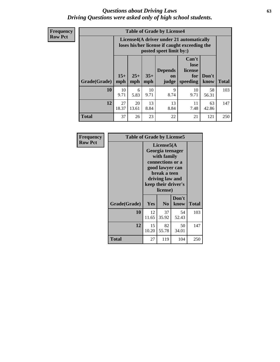#### *Questions about Driving Laws* **63** *Driving Questions were asked only of high school students.*

**Frequency Row Pct**

|              |              |                                                                                                                                               |            | <b>Table of Grade by License4</b> |            |             |     |  |  |  |
|--------------|--------------|-----------------------------------------------------------------------------------------------------------------------------------------------|------------|-----------------------------------|------------|-------------|-----|--|--|--|
|              |              | License4(A driver under 21 automatically<br>loses his/her license if caught exceeding the<br>posted speet limit by:)                          |            |                                   |            |             |     |  |  |  |
| Grade(Grade) | $15+$<br>mph | Can't<br>lose<br>license<br><b>Depends</b><br>$25+$<br>$35+$<br>Don't<br>for<br>on<br><b>Total</b><br>mph<br>speeding<br>know<br>mph<br>judge |            |                                   |            |             |     |  |  |  |
| 10           | 10<br>9.71   | 6<br>5.83                                                                                                                                     | 10<br>9.71 | 9<br>8.74                         | 10<br>9.71 | 58<br>56.31 | 103 |  |  |  |
| 12           | 27<br>18.37  | 13<br>20<br>13<br>11<br>63<br>13.61<br>8.84<br>8.84<br>7.48<br>42.86                                                                          |            |                                   |            |             |     |  |  |  |
| <b>Total</b> | 37           | 26                                                                                                                                            | 23         | 22                                | 21         | 121         | 250 |  |  |  |

| Frequency      | <b>Table of Grade by License5</b> |             |                                                                                                                                                            |               |       |
|----------------|-----------------------------------|-------------|------------------------------------------------------------------------------------------------------------------------------------------------------------|---------------|-------|
| <b>Row Pct</b> |                                   |             | License5(A<br>Georgia teenager<br>with family<br>connections or a<br>good lawyer can<br>break a teen<br>driving law and<br>keep their driver's<br>license) |               |       |
|                | Grade(Grade)                      | <b>Yes</b>  | N <sub>0</sub>                                                                                                                                             | Don't<br>know | Total |
|                | 10                                | 12<br>11.65 | 37<br>35.92                                                                                                                                                | 54<br>52.43   | 103   |
|                | 12                                | 15<br>10.20 | 82<br>55.78                                                                                                                                                | 50<br>34.01   | 147   |
|                | Total                             | 27          | 119                                                                                                                                                        | 104           | 250   |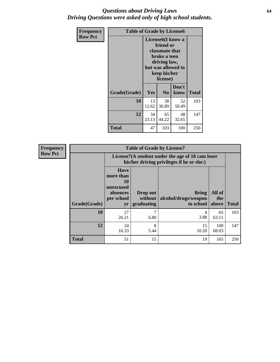#### *Questions about Driving Laws* **64** *Driving Questions were asked only of high school students.*

| <b>Frequency</b> | <b>Table of Grade by License6</b> |                                                                                                                                                 |                |               |              |
|------------------|-----------------------------------|-------------------------------------------------------------------------------------------------------------------------------------------------|----------------|---------------|--------------|
| <b>Row Pct</b>   |                                   | License <sub>6</sub> (I know a<br>friend or<br>classmate that<br>broke a teen<br>driving law,<br>but was allowed to<br>keep his/her<br>license) |                |               |              |
|                  | Grade(Grade)                      | <b>Yes</b>                                                                                                                                      | N <sub>0</sub> | Don't<br>know | <b>Total</b> |
|                  | 10                                | 13<br>12.62                                                                                                                                     | 38<br>36.89    | 52<br>50.49   | 103          |
|                  | 12                                | 34<br>65<br>48<br>23.13<br>44.22<br>32.65                                                                                                       |                |               | 147          |
|                  | <b>Total</b>                      | 47                                                                                                                                              | 103            | 100           | 250          |

| Frequency      |              |                                                                                               | <b>Table of Grade by License7</b>   |                                                   |                        |              |  |
|----------------|--------------|-----------------------------------------------------------------------------------------------|-------------------------------------|---------------------------------------------------|------------------------|--------------|--|
| <b>Row Pct</b> |              | License7(A student under the age of 18 cam loser<br>his/her driving privileges if he or she:) |                                     |                                                   |                        |              |  |
|                | Grade(Grade) | <b>Have</b><br>more than<br>10<br>unexcused<br>absences<br>per school<br>yr                   | Drop out<br>without  <br>graduating | <b>Bring</b><br>alcohol/drugs/weapon<br>to school | All of<br>the<br>above | <b>Total</b> |  |
|                | 10           | 27<br>26.21                                                                                   | 7<br>6.80                           | 4<br>3.88                                         | 65<br>63.11            | 103          |  |
|                | 12           | 24<br>16.33                                                                                   | 8<br>5.44                           | 15<br>10.20                                       | 100<br>68.03           | 147          |  |
|                | <b>Total</b> | 51                                                                                            | 15                                  | 19                                                | 165                    | 250          |  |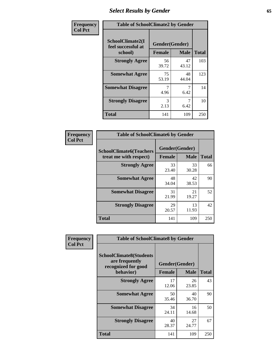# *Select Results by Gender* **65**

| Frequency      | <b>Table of SchoolClimate2 by Gender</b>          |                                 |             |              |
|----------------|---------------------------------------------------|---------------------------------|-------------|--------------|
| <b>Col Pct</b> | SchoolClimate2(I<br>feel successful at<br>school) | Gender(Gender)<br><b>Female</b> | <b>Male</b> | <b>Total</b> |
|                | <b>Strongly Agree</b>                             | 56<br>39.72                     | 47<br>43.12 | 103          |
|                | <b>Somewhat Agree</b>                             | 75<br>53.19                     | 48<br>44.04 | 123          |
|                | <b>Somewhat Disagree</b>                          | 4.96                            | 7<br>6.42   | 14           |
|                | <b>Strongly Disagree</b>                          | 3<br>2.13                       | 7<br>6.42   | 10           |
|                | <b>Total</b>                                      | 141                             | 109         | 250          |

| Frequency      | <b>Table of SchoolClimate6 by Gender</b>                 |                                 |             |              |  |
|----------------|----------------------------------------------------------|---------------------------------|-------------|--------------|--|
| <b>Col Pct</b> | <b>SchoolClimate6(Teachers</b><br>treat me with respect) | Gender(Gender)<br><b>Female</b> | <b>Male</b> | <b>Total</b> |  |
|                | <b>Strongly Agree</b>                                    | 33<br>23.40                     | 33<br>30.28 | 66           |  |
|                | <b>Somewhat Agree</b>                                    | 48<br>34.04                     | 42<br>38.53 | 90           |  |
|                | <b>Somewhat Disagree</b>                                 | 31<br>21.99                     | 21<br>19.27 | 52           |  |
|                | <b>Strongly Disagree</b>                                 | 29<br>20.57                     | 13<br>11.93 | 42           |  |
|                | <b>Total</b>                                             | 141                             | 109         | 250          |  |

| <b>Frequency</b> | <b>Table of SchoolClimate8 by Gender</b>                                             |               |                               |              |
|------------------|--------------------------------------------------------------------------------------|---------------|-------------------------------|--------------|
| <b>Col Pct</b>   | <b>SchoolClimate8(Students</b><br>are frequently<br>recognized for good<br>behavior) | <b>Female</b> | Gender(Gender)<br><b>Male</b> | <b>Total</b> |
|                  | <b>Strongly Agree</b>                                                                | 17<br>12.06   | 26<br>23.85                   | 43           |
|                  | <b>Somewhat Agree</b>                                                                | 50<br>35.46   | 40<br>36.70                   | 90           |
|                  | <b>Somewhat Disagree</b>                                                             | 34<br>24.11   | 16<br>14.68                   | 50           |
|                  | <b>Strongly Disagree</b>                                                             | 40<br>28.37   | 27<br>24.77                   | 67           |
|                  | Total                                                                                | 141           | 109                           | 250          |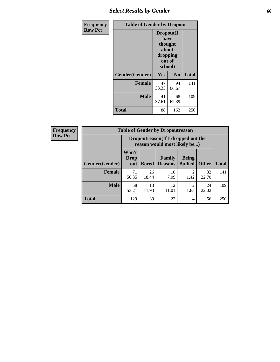# *Select Results by Gender* **66**

| Frequency      | <b>Table of Gender by Dropout</b> |                                                                        |                |              |
|----------------|-----------------------------------|------------------------------------------------------------------------|----------------|--------------|
| <b>Row Pct</b> |                                   | Dropout(I<br>have<br>thought<br>about<br>dropping<br>out of<br>school) |                |              |
|                | Gender(Gender)                    | Yes                                                                    | N <sub>0</sub> | <b>Total</b> |
|                | <b>Female</b>                     | 47<br>33.33                                                            | 94<br>66.67    | 141          |
|                | <b>Male</b>                       | 41<br>37.61                                                            | 68<br>62.39    | 109          |
|                | <b>Total</b>                      | 88                                                                     | 162            | 250          |

| <b>Frequency</b> | <b>Table of Gender by Dropoutreason</b> |                                                                    |              |                          |                                |              |              |
|------------------|-----------------------------------------|--------------------------------------------------------------------|--------------|--------------------------|--------------------------------|--------------|--------------|
| <b>Row Pct</b>   |                                         | Dropoutreason(If I dropped out the<br>reason would most likely be) |              |                          |                                |              |              |
|                  | Gender(Gender)                          | Won't<br><b>Drop</b><br>out                                        | <b>Bored</b> | Family<br><b>Reasons</b> | <b>Being</b><br><b>Bullied</b> | <b>Other</b> | <b>Total</b> |
|                  | <b>Female</b>                           | 71<br>50.35                                                        | 26<br>18.44  | 10<br>7.09               | ∍<br>1.42                      | 32<br>22.70  | 141          |
|                  | <b>Male</b>                             | 58<br>53.21                                                        | 13<br>11.93  | 12<br>11.01              | ∍<br>1.83                      | 24<br>22.02  | 109          |
|                  | <b>Total</b>                            | 129                                                                | 39           | 22                       | $\overline{4}$                 | 56           | 250          |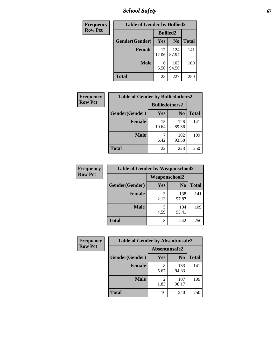*School Safety* **67**

| Frequency      | <b>Table of Gender by Bullied2</b> |                 |                |              |  |
|----------------|------------------------------------|-----------------|----------------|--------------|--|
| <b>Row Pct</b> |                                    | <b>Bullied2</b> |                |              |  |
|                | Gender(Gender)                     | Yes             | N <sub>0</sub> | <b>Total</b> |  |
|                | <b>Female</b>                      | 17<br>12.06     | 124<br>87.94   | 141          |  |
|                | <b>Male</b>                        | 6<br>5.50       | 103<br>94.50   | 109          |  |
|                | <b>Total</b>                       | 23              | 227            | 250          |  |

| Frequency      | <b>Table of Gender by Bulliedothers2</b> |                       |                |              |
|----------------|------------------------------------------|-----------------------|----------------|--------------|
| <b>Row Pct</b> |                                          | <b>Bulliedothers2</b> |                |              |
|                | Gender(Gender)                           | Yes                   | N <sub>0</sub> | <b>Total</b> |
|                | <b>Female</b>                            | 15<br>10.64           | 126<br>89.36   | 141          |
|                | <b>Male</b>                              | 6.42                  | 102<br>93.58   | 109          |
|                | Total                                    | 22                    | 228            | 250          |

| Frequency      | <b>Table of Gender by Weaponschool2</b> |                      |                |              |
|----------------|-----------------------------------------|----------------------|----------------|--------------|
| <b>Row Pct</b> |                                         | <b>Weaponschool2</b> |                |              |
|                | Gender(Gender)                          | Yes                  | N <sub>0</sub> | <b>Total</b> |
|                | <b>Female</b>                           | 3<br>2.13            | 138<br>97.87   | 141          |
|                | <b>Male</b>                             | 5<br>4.59            | 104<br>95.41   | 109          |
|                | <b>Total</b>                            | 8                    | 242            | 250          |

| Frequency      | <b>Table of Gender by Absentunsafe2</b> |               |                |              |
|----------------|-----------------------------------------|---------------|----------------|--------------|
| <b>Row Pct</b> |                                         | Absentunsafe2 |                |              |
|                | Gender(Gender)                          | Yes           | N <sub>0</sub> | <b>Total</b> |
|                | <b>Female</b>                           | 5.67          | 133<br>94.33   | 141          |
|                | <b>Male</b>                             | 1.83          | 107<br>98.17   | 109          |
|                | <b>Total</b>                            | 10            | 240            | 250          |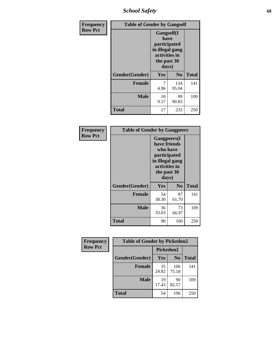*School Safety* **68**

| Frequency      | <b>Table of Gender by Gangself</b> |                                                                                                |                |              |
|----------------|------------------------------------|------------------------------------------------------------------------------------------------|----------------|--------------|
| <b>Row Pct</b> |                                    | Gangself(I<br>have<br>participated<br>in illegal gang<br>activities in<br>the past 30<br>days) |                |              |
|                | Gender(Gender)                     | Yes                                                                                            | N <sub>0</sub> | <b>Total</b> |
|                | <b>Female</b>                      | 7<br>4.96                                                                                      | 134<br>95.04   | 141          |
|                | <b>Male</b>                        | 10<br>9.17                                                                                     | 99<br>90.83    | 109          |
|                | <b>Total</b>                       | 17                                                                                             | 233            | 250          |

| Frequency      | <b>Table of Gender by Gangpeers</b> |                                                                                                                             |                |              |
|----------------|-------------------------------------|-----------------------------------------------------------------------------------------------------------------------------|----------------|--------------|
| <b>Row Pct</b> |                                     | <b>Gangpeers</b> (I<br>have friends<br>who have<br>participated<br>in illegal gang<br>activities in<br>the past 30<br>days) |                |              |
|                | Gender(Gender)                      | Yes                                                                                                                         | N <sub>0</sub> | <b>Total</b> |
|                | <b>Female</b>                       | 54<br>38.30                                                                                                                 | 87<br>61.70    | 141          |
|                | <b>Male</b>                         | 36<br>33.03                                                                                                                 | 73<br>66.97    | 109          |
|                | <b>Total</b>                        | 90                                                                                                                          | 160            | 250          |

| <b>Frequency</b> | <b>Table of Gender by Pickedon2</b> |             |                |              |
|------------------|-------------------------------------|-------------|----------------|--------------|
| <b>Row Pct</b>   |                                     |             | Pickedon2      |              |
|                  | Gender(Gender)                      | Yes         | N <sub>0</sub> | <b>Total</b> |
|                  | <b>Female</b>                       | 35<br>24.82 | 106<br>75.18   | 141          |
|                  | <b>Male</b>                         | 19<br>17.43 | 90<br>82.57    | 109          |
|                  | <b>Total</b>                        | 54          | 196            | 250          |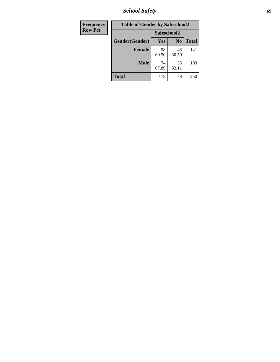*School Safety* **69**

| Frequency      | <b>Table of Gender by Safeschool2</b> |             |                |              |
|----------------|---------------------------------------|-------------|----------------|--------------|
| <b>Row Pct</b> |                                       | Safeschool2 |                |              |
|                | Gender(Gender)                        | Yes         | N <sub>0</sub> | <b>Total</b> |
|                | <b>Female</b>                         | 98<br>69.50 | 43<br>30.50    | 141          |
|                | <b>Male</b>                           | 74<br>67.89 | 35<br>32.11    | 109          |
|                | <b>Total</b>                          | 172         | 78             | 250          |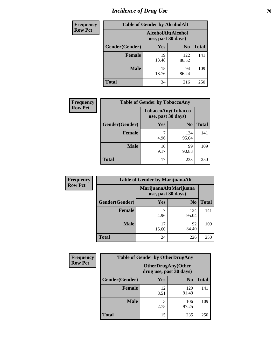# *Incidence of Drug Use* **70**

| <b>Frequency</b> | <b>Table of Gender by AlcoholAlt</b> |                                          |                |              |
|------------------|--------------------------------------|------------------------------------------|----------------|--------------|
| <b>Row Pct</b>   |                                      | AlcoholAlt(Alcohol<br>use, past 30 days) |                |              |
|                  | Gender(Gender)                       | Yes                                      | N <sub>0</sub> | <b>Total</b> |
|                  | <b>Female</b>                        | 19<br>13.48                              | 122<br>86.52   | 141          |
|                  | <b>Male</b>                          | 15<br>13.76                              | 94<br>86.24    | 109          |
|                  | <b>Total</b>                         | 34                                       | 216            | 250          |

| <b>Frequency</b> | <b>Table of Gender by TobaccoAny</b> |                    |                    |              |
|------------------|--------------------------------------|--------------------|--------------------|--------------|
| <b>Row Pct</b>   |                                      | use, past 30 days) | TobaccoAny(Tobacco |              |
|                  | Gender(Gender)                       | Yes                | N <sub>0</sub>     | <b>Total</b> |
|                  | <b>Female</b>                        | 4.96               | 134<br>95.04       | 141          |
|                  | <b>Male</b>                          | 10<br>9.17         | 99<br>90.83        | 109          |
|                  | <b>Total</b>                         | 17                 | 233                | 250          |

| <b>Frequency</b> | <b>Table of Gender by MarijuanaAlt</b> |                    |                        |              |
|------------------|----------------------------------------|--------------------|------------------------|--------------|
| <b>Row Pct</b>   |                                        | use, past 30 days) | MarijuanaAlt(Marijuana |              |
|                  | Gender(Gender)                         | <b>Yes</b>         | N <sub>0</sub>         | <b>Total</b> |
|                  | <b>Female</b>                          | 7<br>4.96          | 134<br>95.04           | 141          |
|                  | <b>Male</b>                            | 17<br>15.60        | 92<br>84.40            | 109          |
|                  | <b>Total</b>                           | 24                 | 226                    | 250          |

| <b>Frequency</b> | <b>Table of Gender by OtherDrugAny</b> |                         |                           |              |  |
|------------------|----------------------------------------|-------------------------|---------------------------|--------------|--|
| <b>Row Pct</b>   |                                        | drug use, past 30 days) | <b>OtherDrugAny(Other</b> |              |  |
|                  | Gender(Gender)                         | <b>Yes</b>              | N <sub>0</sub>            | <b>Total</b> |  |
|                  | <b>Female</b>                          | 12<br>8.51              | 129<br>91.49              | 141          |  |
|                  | <b>Male</b>                            | 3<br>2.75               | 106<br>97.25              | 109          |  |
|                  | <b>Total</b>                           | 15                      | 235                       | 250          |  |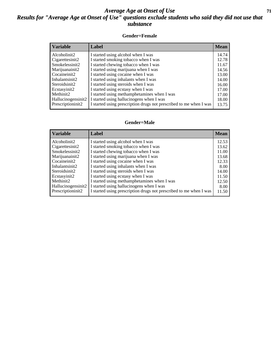#### *Average Age at Onset of Use* **71** *Results for "Average Age at Onset of Use" questions exclude students who said they did not use that substance*

#### **Gender=Female**

| <b>Variable</b>     | Label                                                              | <b>Mean</b> |
|---------------------|--------------------------------------------------------------------|-------------|
| Alcoholinit2        | I started using alcohol when I was                                 | 14.74       |
| Cigarettesinit2     | I started smoking tobacco when I was                               | 12.78       |
| Smokelessinit2      | I started chewing tobacco when I was                               | 11.67       |
| Marijuanainit2      | I started using marijuana when I was                               | 14.56       |
| Cocaineinit2        | I started using cocaine when I was                                 | 13.00       |
| Inhalantsinit2      | I started using inhalants when I was                               | 14.00       |
| Steroidsinit2       | I started using steroids when I was                                | 16.00       |
| Ecstasyinit2        | I started using ecstasy when I was                                 | 17.00       |
| Methinit2           | I started using methamphetamines when I was                        | 17.00       |
| Hallucinogensinit2  | I started using hallucinogens when I was                           | 18.00       |
| Prescription in it2 | I started using prescription drugs not prescribed to me when I was | 13.75       |

#### **Gender=Male**

| <b>Variable</b>    | Label                                                              | <b>Mean</b> |
|--------------------|--------------------------------------------------------------------|-------------|
| Alcoholinit2       | I started using alcohol when I was                                 | 12.53       |
| Cigarettesinit2    | I started smoking tobacco when I was                               | 13.62       |
| Smokelessinit2     | I started chewing tobacco when I was                               | 11.00       |
| Marijuanainit2     | I started using marijuana when I was                               | 13.68       |
| Cocaineinit2       | I started using cocaine when I was                                 | 12.33       |
| Inhalantsinit2     | I started using inhalants when I was                               | 8.00        |
| Steroidsinit2      | I started using steroids when I was                                | 14.00       |
| Ecstasyinit2       | I started using ecstasy when I was                                 | 11.50       |
| Methinit2          | I started using methamphetamines when I was                        | 12.50       |
| Hallucinogensinit2 | I started using hallucinogens when I was                           | 8.00        |
| Prescriptioninit2  | I started using prescription drugs not prescribed to me when I was | 11.50       |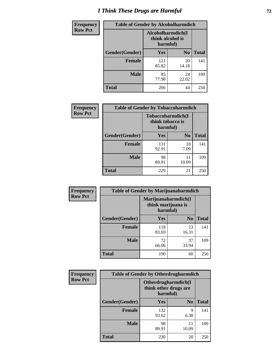# *I Think These Drugs are Harmful* **72**

| Frequency      | <b>Table of Gender by Alcoholharmdich</b> |                  |                               |              |
|----------------|-------------------------------------------|------------------|-------------------------------|--------------|
| <b>Row Pct</b> |                                           | think alcohol is | Alcoholharmdich(I<br>harmful) |              |
|                | Gender(Gender)                            | Yes              | N <sub>0</sub>                | <b>Total</b> |
|                | <b>Female</b>                             | 121<br>85.82     | 20<br>14.18                   | 141          |
|                | <b>Male</b>                               | 85<br>77.98      | 24<br>22.02                   | 109          |
|                | Total                                     | 206              | 44                            | 250          |

| Frequency      | <b>Table of Gender by Tobaccoharmdich</b> |                              |                   |              |
|----------------|-------------------------------------------|------------------------------|-------------------|--------------|
| <b>Row Pct</b> |                                           | think tobacco is<br>harmful) | Tobaccoharmdich(I |              |
|                | Gender(Gender)                            | Yes                          | N <sub>0</sub>    | <b>Total</b> |
|                | <b>Female</b>                             | 131<br>92.91                 | 10<br>7.09        | 141          |
|                | <b>Male</b>                               | 98<br>89.91                  | 11<br>10.09       | 109          |
|                | <b>Total</b>                              | 229                          | 21                | 250          |

| Frequency      | <b>Table of Gender by Marijuanaharmdich</b> |                                |                     |              |  |
|----------------|---------------------------------------------|--------------------------------|---------------------|--------------|--|
| <b>Row Pct</b> |                                             | think marijuana is<br>harmful) | Marijuanaharmdich(I |              |  |
|                | Gender(Gender)                              | <b>Yes</b>                     | N <sub>0</sub>      | <b>Total</b> |  |
|                | <b>Female</b>                               | 118<br>83.69                   | 23<br>16.31         | 141          |  |
|                | <b>Male</b>                                 | 72<br>66.06                    | 37<br>33.94         | 109          |  |
|                | <b>Total</b>                                | 190                            | 60                  | 250          |  |

| Frequency      | <b>Table of Gender by Otherdrugharmdich</b> |                                                          |                |              |  |
|----------------|---------------------------------------------|----------------------------------------------------------|----------------|--------------|--|
| <b>Row Pct</b> |                                             | Otherdrugharmdich(I<br>think other drugs are<br>harmful) |                |              |  |
|                | Gender(Gender)                              | Yes                                                      | N <sub>0</sub> | <b>Total</b> |  |
|                | <b>Female</b>                               | 132<br>93.62                                             | 9<br>6.38      | 141          |  |
|                | <b>Male</b>                                 | 98<br>89.91                                              | 11<br>10.09    | 109          |  |
|                | <b>Total</b>                                | 230                                                      | 20             | 250          |  |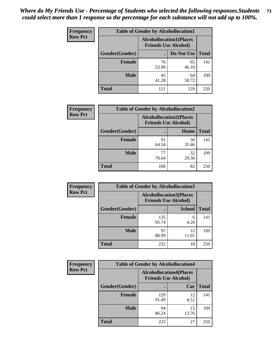| <b>Frequency</b> | <b>Table of Gender by Alcohollocation1</b> |                                                               |             |              |
|------------------|--------------------------------------------|---------------------------------------------------------------|-------------|--------------|
| <b>Row Pct</b>   |                                            | <b>Alcohollocation1(Places</b><br><b>Friends Use Alcohol)</b> |             |              |
|                  | Gender(Gender)                             |                                                               | Do Not Use  | <b>Total</b> |
|                  | <b>Female</b>                              | 76<br>53.90                                                   | 65<br>46.10 | 141          |
|                  | <b>Male</b>                                | 45<br>41.28                                                   | 64<br>58.72 | 109          |
|                  | <b>Total</b>                               | 121                                                           | 129         | 250          |

| <b>Frequency</b> | <b>Table of Gender by Alcohollocation2</b> |                                                               |             |              |
|------------------|--------------------------------------------|---------------------------------------------------------------|-------------|--------------|
| <b>Row Pct</b>   |                                            | <b>Alcohollocation2(Places</b><br><b>Friends Use Alcohol)</b> |             |              |
|                  | Gender(Gender)                             |                                                               | Home        | <b>Total</b> |
|                  | <b>Female</b>                              | 91<br>64.54                                                   | 50<br>35.46 | 141          |
|                  | <b>Male</b>                                | 77<br>70.64                                                   | 32<br>29.36 | 109          |
|                  | <b>Total</b>                               | 168                                                           | 82          | 250          |

| Frequency      | <b>Table of Gender by Alcohollocation3</b> |                                                               |               |              |
|----------------|--------------------------------------------|---------------------------------------------------------------|---------------|--------------|
| <b>Row Pct</b> |                                            | <b>Alcohollocation3(Places</b><br><b>Friends Use Alcohol)</b> |               |              |
|                | Gender(Gender)                             |                                                               | <b>School</b> | <b>Total</b> |
|                | <b>Female</b>                              | 135<br>95.74                                                  | 6<br>4.26     | 141          |
|                | <b>Male</b>                                | 97<br>88.99                                                   | 12<br>11.01   | 109          |
|                | <b>Total</b>                               | 232                                                           | 18            | 250          |

| Frequency      |                | <b>Table of Gender by Alcohollocation4</b>                    |             |              |  |  |
|----------------|----------------|---------------------------------------------------------------|-------------|--------------|--|--|
| <b>Row Pct</b> |                | <b>Alcohollocation4(Places</b><br><b>Friends Use Alcohol)</b> |             |              |  |  |
|                | Gender(Gender) |                                                               | Car         | <b>Total</b> |  |  |
|                | <b>Female</b>  | 129<br>91.49                                                  | 12<br>8.51  | 141          |  |  |
|                | <b>Male</b>    | 94<br>86.24                                                   | 15<br>13.76 | 109          |  |  |
|                | <b>Total</b>   | 223                                                           | 27          | 250          |  |  |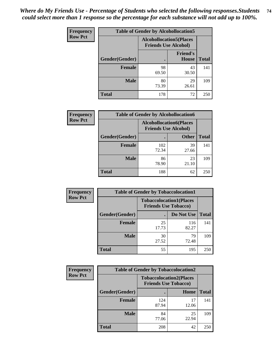| <b>Frequency</b> |                | <b>Table of Gender by Alcohollocation5</b>                    |                                 |              |
|------------------|----------------|---------------------------------------------------------------|---------------------------------|--------------|
| <b>Row Pct</b>   |                | <b>Alcohollocation5(Places</b><br><b>Friends Use Alcohol)</b> |                                 |              |
|                  | Gender(Gender) | $\bullet$                                                     | <b>Friend's</b><br><b>House</b> | <b>Total</b> |
|                  | <b>Female</b>  | 98<br>69.50                                                   | 43<br>30.50                     | 141          |
|                  | <b>Male</b>    | 80<br>73.39                                                   | 29<br>26.61                     | 109          |
|                  | <b>Total</b>   | 178                                                           | 72                              | 250          |

| <b>Frequency</b> | <b>Table of Gender by Alcohollocation6</b> |                                                               |              |              |  |
|------------------|--------------------------------------------|---------------------------------------------------------------|--------------|--------------|--|
| <b>Row Pct</b>   |                                            | <b>Alcohollocation6(Places</b><br><b>Friends Use Alcohol)</b> |              |              |  |
|                  | <b>Gender</b> (Gender)                     | ٠                                                             | <b>Other</b> | <b>Total</b> |  |
|                  | <b>Female</b>                              | 102<br>72.34                                                  | 39<br>27.66  | 141          |  |
|                  | <b>Male</b>                                | 86<br>78.90                                                   | 23<br>21.10  | 109          |  |
|                  | <b>Total</b>                               | 188                                                           | 62           | 250          |  |

| Frequency      | <b>Table of Gender by Tobaccolocation1</b> |                                                               |              |              |  |
|----------------|--------------------------------------------|---------------------------------------------------------------|--------------|--------------|--|
| <b>Row Pct</b> |                                            | <b>Tobaccolocation1(Places</b><br><b>Friends Use Tobacco)</b> |              |              |  |
|                | Gender(Gender)                             |                                                               | Do Not Use   | <b>Total</b> |  |
|                | Female                                     | 25<br>17.73                                                   | 116<br>82.27 | 141          |  |
|                | <b>Male</b>                                | 30<br>27.52                                                   | 79<br>72.48  | 109          |  |
|                | <b>Total</b>                               | 55                                                            | 195          | 250          |  |

| <b>Frequency</b> | <b>Table of Gender by Tobaccolocation2</b> |                             |                                |              |
|------------------|--------------------------------------------|-----------------------------|--------------------------------|--------------|
| <b>Row Pct</b>   |                                            | <b>Friends Use Tobacco)</b> | <b>Tobaccolocation2(Places</b> |              |
|                  | Gender(Gender)                             |                             | <b>Home</b>                    | <b>Total</b> |
|                  | Female                                     | 124<br>87.94                | 17<br>12.06                    | 141          |
|                  | <b>Male</b>                                | 84<br>77.06                 | 25<br>22.94                    | 109          |
|                  | <b>Total</b>                               | 208                         | 42                             | 250          |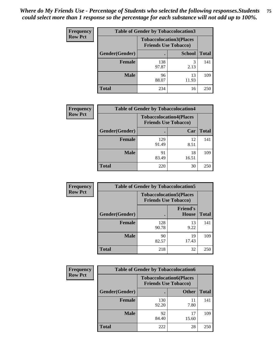| <b>Frequency</b> | <b>Table of Gender by Tobaccolocation3</b> |                                |                             |              |
|------------------|--------------------------------------------|--------------------------------|-----------------------------|--------------|
| <b>Row Pct</b>   |                                            | <b>Tobaccolocation3(Places</b> | <b>Friends Use Tobacco)</b> |              |
|                  | <b>Gender</b> (Gender)                     |                                | <b>School</b>               | <b>Total</b> |
|                  | <b>Female</b>                              | 138<br>97.87                   | 2.13                        | 141          |
|                  | <b>Male</b>                                | 96<br>88.07                    | 13<br>11.93                 | 109          |
|                  | <b>Total</b>                               | 234                            | 16                          | 250          |

| <b>Frequency</b> | <b>Table of Gender by Tobaccolocation4</b> |                                                               |             |              |
|------------------|--------------------------------------------|---------------------------------------------------------------|-------------|--------------|
| <b>Row Pct</b>   |                                            | <b>Tobaccolocation4(Places</b><br><b>Friends Use Tobacco)</b> |             |              |
|                  | Gender(Gender)                             |                                                               | Car         | <b>Total</b> |
|                  | <b>Female</b>                              | 129<br>91.49                                                  | 12<br>8.51  | 141          |
|                  | <b>Male</b>                                | 91<br>83.49                                                   | 18<br>16.51 | 109          |
|                  | <b>Total</b>                               | 220                                                           | 30          | 250          |

| <b>Frequency</b> | <b>Table of Gender by Tobaccolocation5</b> |              |                                                               |              |  |
|------------------|--------------------------------------------|--------------|---------------------------------------------------------------|--------------|--|
| <b>Row Pct</b>   |                                            |              | <b>Tobaccolocation5(Places</b><br><b>Friends Use Tobacco)</b> |              |  |
|                  | Gender(Gender)                             |              | <b>Friend's</b><br><b>House</b>                               | <b>Total</b> |  |
|                  | Female                                     | 128<br>90.78 | 13<br>9.22                                                    | 141          |  |
|                  | <b>Male</b>                                | 90<br>82.57  | 19<br>17.43                                                   | 109          |  |
|                  | <b>Total</b>                               | 218          | 32                                                            | 250          |  |

| <b>Frequency</b> | <b>Table of Gender by Tobaccolocation6</b> |                                                               |              |              |
|------------------|--------------------------------------------|---------------------------------------------------------------|--------------|--------------|
| <b>Row Pct</b>   |                                            | <b>Tobaccolocation6(Places</b><br><b>Friends Use Tobacco)</b> |              |              |
|                  | <b>Gender</b> (Gender)                     |                                                               | <b>Other</b> | <b>Total</b> |
|                  | Female                                     | 130<br>92.20                                                  | 11<br>7.80   | 141          |
|                  | <b>Male</b>                                | 92<br>84.40                                                   | 17<br>15.60  | 109          |
|                  | <b>Total</b>                               | 222                                                           | 28           | 250          |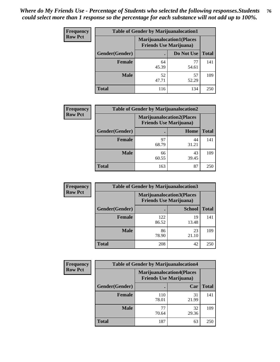| <b>Frequency</b> | <b>Table of Gender by Marijuanalocation1</b> |                                                                    |             |              |  |
|------------------|----------------------------------------------|--------------------------------------------------------------------|-------------|--------------|--|
| <b>Row Pct</b>   |                                              | <b>Marijuanalocation1(Places</b><br><b>Friends Use Marijuana</b> ) |             |              |  |
|                  | Gender(Gender)                               |                                                                    | Do Not Use  | <b>Total</b> |  |
|                  | <b>Female</b>                                | 64<br>45.39                                                        | 77<br>54.61 | 141          |  |
|                  | <b>Male</b>                                  | 52<br>47.71                                                        | 57<br>52.29 | 109          |  |
|                  | <b>Total</b>                                 | 116                                                                | 134         | 250          |  |

| <b>Frequency</b> | <b>Table of Gender by Marijuanalocation2</b> |                                                                    |             |              |
|------------------|----------------------------------------------|--------------------------------------------------------------------|-------------|--------------|
| <b>Row Pct</b>   |                                              | <b>Marijuanalocation2(Places</b><br><b>Friends Use Marijuana</b> ) |             |              |
|                  | Gender(Gender)                               |                                                                    | Home        | <b>Total</b> |
|                  | Female                                       | 97<br>68.79                                                        | 44<br>31.21 | 141          |
|                  | <b>Male</b>                                  | 66<br>60.55                                                        | 43<br>39.45 | 109          |
|                  | <b>Total</b>                                 | 163                                                                | 87          | 250          |

| <b>Frequency</b> | <b>Table of Gender by Marijuanalocation3</b> |                                                                    |               |              |
|------------------|----------------------------------------------|--------------------------------------------------------------------|---------------|--------------|
| <b>Row Pct</b>   |                                              | <b>Marijuanalocation3(Places</b><br><b>Friends Use Marijuana</b> ) |               |              |
|                  | Gender(Gender)                               |                                                                    | <b>School</b> | <b>Total</b> |
|                  | Female                                       | 122<br>86.52                                                       | 19<br>13.48   | 141          |
|                  | <b>Male</b>                                  | 86<br>78.90                                                        | 23<br>21.10   | 109          |
|                  | <b>Total</b>                                 | 208                                                                | 42            | 250          |

| <b>Frequency</b> |                | <b>Table of Gender by Marijuanalocation4</b> |                                                                    |              |
|------------------|----------------|----------------------------------------------|--------------------------------------------------------------------|--------------|
| <b>Row Pct</b>   |                |                                              | <b>Marijuanalocation4(Places</b><br><b>Friends Use Marijuana</b> ) |              |
|                  | Gender(Gender) |                                              | Car                                                                | <b>Total</b> |
|                  | <b>Female</b>  | 110<br>78.01                                 | 31<br>21.99                                                        | 141          |
|                  | <b>Male</b>    | 77<br>70.64                                  | 32<br>29.36                                                        | 109          |
|                  | <b>Total</b>   | 187                                          | 63                                                                 | 250          |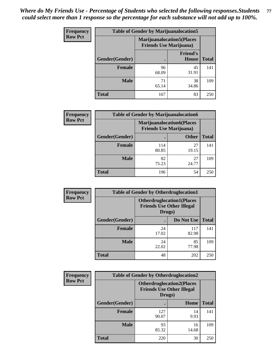| <b>Frequency</b> | <b>Table of Gender by Marijuanalocation5</b> |                                                                     |                                 |              |
|------------------|----------------------------------------------|---------------------------------------------------------------------|---------------------------------|--------------|
| <b>Row Pct</b>   |                                              | <b>Marijuanalocation5</b> (Places<br><b>Friends Use Marijuana</b> ) |                                 |              |
|                  | Gender(Gender)                               |                                                                     | <b>Friend's</b><br><b>House</b> | <b>Total</b> |
|                  | <b>Female</b>                                | 96<br>68.09                                                         | 45<br>31.91                     | 141          |
|                  | <b>Male</b>                                  | 71<br>65.14                                                         | 38<br>34.86                     | 109          |
|                  | <b>Total</b>                                 | 167                                                                 | 83                              | 250          |

| <b>Frequency</b> | <b>Table of Gender by Marijuanalocation6</b> |                                                                    |              |              |  |
|------------------|----------------------------------------------|--------------------------------------------------------------------|--------------|--------------|--|
| <b>Row Pct</b>   |                                              | <b>Marijuanalocation6(Places</b><br><b>Friends Use Marijuana</b> ) |              |              |  |
|                  | Gender(Gender)                               |                                                                    | <b>Other</b> | <b>Total</b> |  |
|                  | <b>Female</b>                                | 114<br>80.85                                                       | 27<br>19.15  | 141          |  |
|                  | <b>Male</b>                                  | 82<br>75.23                                                        | 27<br>24.77  | 109          |  |
|                  | <b>Total</b>                                 | 196                                                                | 54           | 250          |  |

| Frequency      | <b>Table of Gender by Otherdruglocation1</b> |                                                                                |              |              |
|----------------|----------------------------------------------|--------------------------------------------------------------------------------|--------------|--------------|
| <b>Row Pct</b> |                                              | <b>Otherdruglocation1(Places</b><br><b>Friends Use Other Illegal</b><br>Drugs) |              |              |
|                | Gender(Gender)                               |                                                                                | Do Not Use   | <b>Total</b> |
|                | <b>Female</b>                                | 24<br>17.02                                                                    | 117<br>82.98 | 141          |
|                | <b>Male</b>                                  | 24<br>22.02                                                                    | 85<br>77.98  | 109          |
|                | <b>Total</b>                                 | 48                                                                             | 202          | 250          |

| Frequency      | <b>Table of Gender by Otherdruglocation2</b> |              |                                                                                |              |
|----------------|----------------------------------------------|--------------|--------------------------------------------------------------------------------|--------------|
| <b>Row Pct</b> |                                              |              | <b>Otherdruglocation2(Places</b><br><b>Friends Use Other Illegal</b><br>Drugs) |              |
|                | Gender(Gender)                               |              | <b>Home</b>                                                                    | <b>Total</b> |
|                | Female                                       | 127<br>90.07 | 14<br>9.93                                                                     | 141          |
|                | <b>Male</b>                                  | 93<br>85.32  | 16<br>14.68                                                                    | 109          |
|                | <b>Total</b>                                 | 220          | 30                                                                             | 250          |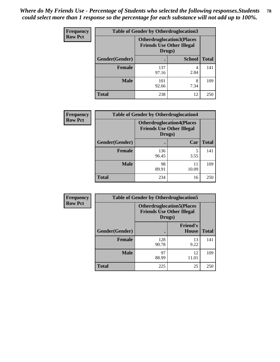| <b>Frequency</b> | <b>Table of Gender by Otherdruglocation3</b> |                                                                                |               |              |
|------------------|----------------------------------------------|--------------------------------------------------------------------------------|---------------|--------------|
| <b>Row Pct</b>   |                                              | <b>Otherdruglocation3(Places</b><br><b>Friends Use Other Illegal</b><br>Drugs) |               |              |
|                  | Gender(Gender)                               |                                                                                | <b>School</b> | <b>Total</b> |
|                  | Female                                       | 137<br>97.16                                                                   | 2.84          | 141          |
|                  | <b>Male</b>                                  | 101<br>92.66                                                                   | 8<br>7.34     | 109          |
|                  | <b>Total</b>                                 | 238                                                                            | 12            | 250          |

| Frequency      | <b>Table of Gender by Otherdruglocation4</b> |                                                                                |             |              |
|----------------|----------------------------------------------|--------------------------------------------------------------------------------|-------------|--------------|
| <b>Row Pct</b> |                                              | <b>Otherdruglocation4(Places</b><br><b>Friends Use Other Illegal</b><br>Drugs) |             |              |
|                | Gender(Gender)                               |                                                                                | Car         | <b>Total</b> |
|                | <b>Female</b>                                | 136<br>96.45                                                                   | 5<br>3.55   | 141          |
|                | <b>Male</b>                                  | 98<br>89.91                                                                    | 11<br>10.09 | 109          |
|                | <b>Total</b>                                 | 234                                                                            | 16          | 250          |

| <b>Frequency</b> | <b>Table of Gender by Otherdruglocation5</b>                                   |              |                          |              |
|------------------|--------------------------------------------------------------------------------|--------------|--------------------------|--------------|
| <b>Row Pct</b>   | <b>Otherdruglocation5(Places</b><br><b>Friends Use Other Illegal</b><br>Drugs) |              |                          |              |
|                  | Gender(Gender)                                                                 |              | <b>Friend's</b><br>House | <b>Total</b> |
|                  | <b>Female</b>                                                                  | 128<br>90.78 | 13<br>9.22               | 141          |
|                  | <b>Male</b>                                                                    | 97<br>88.99  | 12<br>11.01              | 109          |
|                  | <b>Total</b>                                                                   | 225          | 25                       | 250          |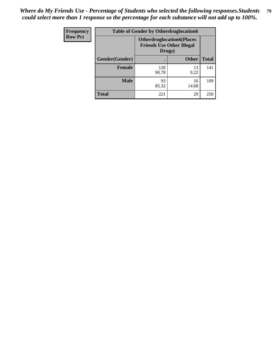| Frequency      | <b>Table of Gender by Otherdruglocation6</b> |                                            |                                  |              |
|----------------|----------------------------------------------|--------------------------------------------|----------------------------------|--------------|
| <b>Row Pct</b> |                                              | <b>Friends Use Other Illegal</b><br>Drugs) | <b>Otherdruglocation6(Places</b> |              |
|                | Gender(Gender)                               |                                            | <b>Other</b>                     | <b>Total</b> |
|                | <b>Female</b>                                | 128<br>90.78                               | 13<br>9.22                       | 141          |
|                | <b>Male</b>                                  | 93<br>85.32                                | 16<br>14.68                      | 109          |
|                | <b>Total</b>                                 | 221                                        | 29                               | 250          |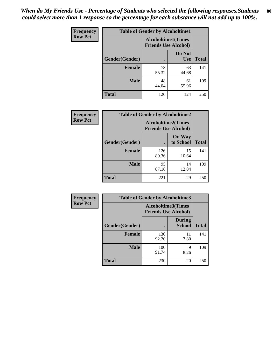| <b>Frequency</b> | <b>Table of Gender by Alcoholtime1</b> |                                                          |                      |              |
|------------------|----------------------------------------|----------------------------------------------------------|----------------------|--------------|
| <b>Row Pct</b>   |                                        | <b>Alcoholtime1(Times</b><br><b>Friends Use Alcohol)</b> |                      |              |
|                  | Gender(Gender)                         | $\bullet$                                                | Do Not<br><b>Use</b> | <b>Total</b> |
|                  | <b>Female</b>                          | 78<br>55.32                                              | 63<br>44.68          | 141          |
|                  | <b>Male</b>                            | 48<br>44.04                                              | 61<br>55.96          | 109          |
|                  | <b>Total</b>                           | 126                                                      | 124                  | 250          |

| Frequency      | <b>Table of Gender by Alcoholtime2</b> |                                                          |                            |              |
|----------------|----------------------------------------|----------------------------------------------------------|----------------------------|--------------|
| <b>Row Pct</b> |                                        | <b>Alcoholtime2(Times</b><br><b>Friends Use Alcohol)</b> |                            |              |
|                | Gender(Gender)                         |                                                          | <b>On Way</b><br>to School | <b>Total</b> |
|                | <b>Female</b>                          | 126<br>89.36                                             | 15<br>10.64                | 141          |
|                | <b>Male</b>                            | 95<br>87.16                                              | 14<br>12.84                | 109          |
|                | <b>Total</b>                           | 221                                                      | 29                         | 250          |

| Frequency      | <b>Table of Gender by Alcoholtime3</b> |                                                   |                                |              |
|----------------|----------------------------------------|---------------------------------------------------|--------------------------------|--------------|
| <b>Row Pct</b> |                                        | Alcoholtime3(Times<br><b>Friends Use Alcohol)</b> |                                |              |
|                | Gender(Gender)                         |                                                   | <b>During</b><br><b>School</b> | <b>Total</b> |
|                | Female                                 | 130<br>92.20                                      | 11<br>7.80                     | 141          |
|                | <b>Male</b>                            | 100<br>91.74                                      | 9<br>8.26                      | 109          |
|                | <b>Total</b>                           | 230                                               | 20                             | 250          |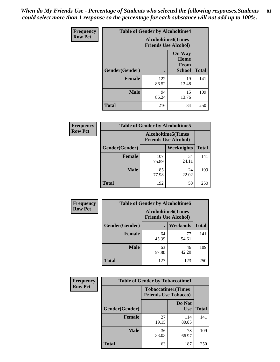*When do My Friends Use - Percentage of Students who selected the following responses.Students could select more than 1 response so the percentage for each substance will not add up to 100%.* **81**

| <b>Frequency</b> | <b>Table of Gender by Alcoholtime4</b> |                                                          |                                                |              |
|------------------|----------------------------------------|----------------------------------------------------------|------------------------------------------------|--------------|
| <b>Row Pct</b>   |                                        | <b>Alcoholtime4(Times</b><br><b>Friends Use Alcohol)</b> |                                                |              |
|                  | Gender(Gender)                         |                                                          | <b>On Way</b><br>Home<br>From<br><b>School</b> | <b>Total</b> |
|                  | <b>Female</b>                          | 122<br>86.52                                             | 19<br>13.48                                    | 141          |
|                  | <b>Male</b>                            | 94<br>86.24                                              | 15<br>13.76                                    | 109          |
|                  | <b>Total</b>                           | 216                                                      | 34                                             | 250          |

| <b>Frequency</b> | <b>Table of Gender by Alcoholtime5</b> |                                                          |             |              |
|------------------|----------------------------------------|----------------------------------------------------------|-------------|--------------|
| <b>Row Pct</b>   |                                        | <b>Alcoholtime5(Times</b><br><b>Friends Use Alcohol)</b> |             |              |
|                  | Gender(Gender)                         |                                                          | Weeknights  | <b>Total</b> |
|                  | <b>Female</b>                          | 107<br>75.89                                             | 34<br>24.11 | 141          |
|                  | <b>Male</b>                            | 85<br>77.98                                              | 24<br>22.02 | 109          |
|                  | <b>Total</b>                           | 192                                                      | 58          | 250          |

| <b>Frequency</b> | <b>Table of Gender by Alcoholtime6</b> |             |                                                          |              |
|------------------|----------------------------------------|-------------|----------------------------------------------------------|--------------|
| <b>Row Pct</b>   |                                        |             | <b>Alcoholtime6(Times</b><br><b>Friends Use Alcohol)</b> |              |
|                  | Gender(Gender)                         |             | Weekends                                                 | <b>Total</b> |
|                  | Female                                 | 64<br>45.39 | 77<br>54.61                                              | 141          |
|                  | <b>Male</b>                            | 63<br>57.80 | 46<br>42.20                                              | 109          |
|                  | <b>Total</b>                           | 127         | 123                                                      | 250          |

| Frequency      | <b>Table of Gender by Tobaccotime1</b> |                                                          |                      |              |
|----------------|----------------------------------------|----------------------------------------------------------|----------------------|--------------|
| <b>Row Pct</b> |                                        | <b>Tobaccotime1(Times</b><br><b>Friends Use Tobacco)</b> |                      |              |
|                | Gender(Gender)                         |                                                          | Do Not<br><b>Use</b> | <b>Total</b> |
|                | Female                                 | 27<br>19.15                                              | 114<br>80.85         | 141          |
|                | <b>Male</b>                            | 36<br>33.03                                              | 73<br>66.97          | 109          |
|                | <b>Total</b>                           | 63                                                       | 187                  | 250          |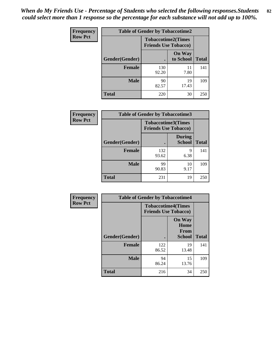*When do My Friends Use - Percentage of Students who selected the following responses.Students could select more than 1 response so the percentage for each substance will not add up to 100%.* **82**

| <b>Frequency</b> | <b>Table of Gender by Tobaccotime2</b> |                                                          |                            |              |
|------------------|----------------------------------------|----------------------------------------------------------|----------------------------|--------------|
| <b>Row Pct</b>   |                                        | <b>Tobaccotime2(Times</b><br><b>Friends Use Tobacco)</b> |                            |              |
|                  | Gender(Gender)                         | $\bullet$                                                | <b>On Way</b><br>to School | <b>Total</b> |
|                  | Female                                 | 130<br>92.20                                             | 11<br>7.80                 | 141          |
|                  | <b>Male</b>                            | 90<br>82.57                                              | 19<br>17.43                | 109          |
|                  | <b>Total</b>                           | 220                                                      | 30                         | 250          |

| Frequency      | <b>Table of Gender by Tobaccotime3</b> |                                                          |                                |              |
|----------------|----------------------------------------|----------------------------------------------------------|--------------------------------|--------------|
| <b>Row Pct</b> |                                        | <b>Tobaccotime3(Times</b><br><b>Friends Use Tobacco)</b> |                                |              |
|                | Gender(Gender)                         |                                                          | <b>During</b><br><b>School</b> | <b>Total</b> |
|                | Female                                 | 132<br>93.62                                             | 9<br>6.38                      | 141          |
|                | <b>Male</b>                            | 99<br>90.83                                              | 10<br>9.17                     | 109          |
|                | <b>Total</b>                           | 231                                                      | 19                             | 250          |

| <b>Frequency</b> | <b>Table of Gender by Tobaccotime4</b> |                                                          |                                                |              |
|------------------|----------------------------------------|----------------------------------------------------------|------------------------------------------------|--------------|
| <b>Row Pct</b>   |                                        | <b>Tobaccotime4(Times</b><br><b>Friends Use Tobacco)</b> |                                                |              |
|                  | Gender(Gender)                         |                                                          | <b>On Way</b><br>Home<br><b>From</b><br>School | <b>Total</b> |
|                  | <b>Female</b>                          | 122<br>86.52                                             | 19<br>13.48                                    | 141          |
|                  | <b>Male</b>                            | 94<br>86.24                                              | 15<br>13.76                                    | 109          |
|                  | <b>Total</b>                           | 216                                                      | 34                                             | 250          |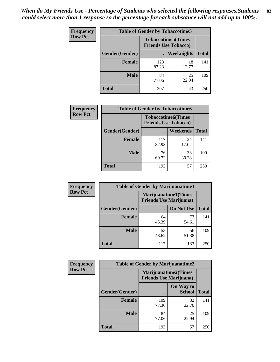| Frequency      | <b>Table of Gender by Tobaccotime5</b> |              |                                                           |              |  |
|----------------|----------------------------------------|--------------|-----------------------------------------------------------|--------------|--|
| <b>Row Pct</b> |                                        |              | <b>Tobaccotime5</b> (Times<br><b>Friends Use Tobacco)</b> |              |  |
|                | Gender(Gender)                         |              | Weeknights                                                | <b>Total</b> |  |
|                | <b>Female</b>                          | 123<br>87.23 | 18<br>12.77                                               | 141          |  |
|                | <b>Male</b>                            | 84<br>77.06  | 25<br>22.94                                               | 109          |  |
|                | <b>Total</b>                           | 207          | 43                                                        | 250          |  |

| <b>Frequency</b> | <b>Table of Gender by Tobaccotime6</b> |                                                          |             |              |
|------------------|----------------------------------------|----------------------------------------------------------|-------------|--------------|
| <b>Row Pct</b>   |                                        | <b>Tobaccotime6(Times</b><br><b>Friends Use Tobacco)</b> |             |              |
|                  | Gender(Gender)                         |                                                          | Weekends    | <b>Total</b> |
|                  | Female                                 | 117<br>82.98                                             | 24<br>17.02 | 141          |
|                  | <b>Male</b>                            | 76<br>69.72                                              | 33<br>30.28 | 109          |
|                  | <b>Total</b>                           | 193                                                      | 57          | 250          |

| <b>Frequency</b> | <b>Table of Gender by Marijuanatime1</b> |                                                               |             |              |  |
|------------------|------------------------------------------|---------------------------------------------------------------|-------------|--------------|--|
| <b>Row Pct</b>   |                                          | <b>Marijuanatime1(Times</b><br><b>Friends Use Marijuana</b> ) |             |              |  |
|                  | Gender(Gender)                           |                                                               | Do Not Use  | <b>Total</b> |  |
|                  | <b>Female</b>                            | 64<br>45.39                                                   | 77<br>54.61 | 141          |  |
|                  | <b>Male</b>                              | 53<br>48.62                                                   | 56<br>51.38 | 109          |  |
|                  | <b>Total</b>                             | 117                                                           | 133         | 250          |  |

| Frequency      |                | <b>Table of Gender by Marijuanatime2</b>               |                            |              |
|----------------|----------------|--------------------------------------------------------|----------------------------|--------------|
| <b>Row Pct</b> |                | Marijuanatime2(Times<br><b>Friends Use Marijuana</b> ) |                            |              |
|                | Gender(Gender) |                                                        | On Way to<br><b>School</b> | <b>Total</b> |
|                | <b>Female</b>  | 109<br>77.30                                           | 32<br>22.70                | 141          |
|                | <b>Male</b>    | 84<br>77.06                                            | 25<br>22.94                | 109          |
|                | <b>Total</b>   | 193                                                    | 57                         | 250          |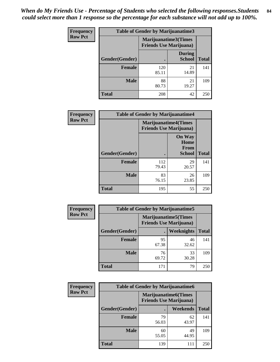| <b>Frequency</b> | Table of Gender by Marijuanatime3 |                                |                                |              |
|------------------|-----------------------------------|--------------------------------|--------------------------------|--------------|
| <b>Row Pct</b>   |                                   | <b>Friends Use Marijuana</b> ) | Marijuanatime3(Times           |              |
|                  | Gender(Gender)                    |                                | <b>During</b><br><b>School</b> | <b>Total</b> |
|                  | <b>Female</b>                     | 120<br>85.11                   | 21<br>14.89                    | 141          |
|                  | <b>Male</b>                       | 88<br>80.73                    | 21<br>19.27                    | 109          |
|                  | <b>Total</b>                      | 208                            | 42                             | 250          |

| Frequency      | <b>Table of Gender by Marijuanatime4</b> |                                |                                                       |              |
|----------------|------------------------------------------|--------------------------------|-------------------------------------------------------|--------------|
| <b>Row Pct</b> |                                          | <b>Friends Use Marijuana</b> ) | <b>Marijuanatime4</b> (Times                          |              |
|                | Gender(Gender)                           |                                | <b>On Way</b><br>Home<br><b>From</b><br><b>School</b> | <b>Total</b> |
|                | <b>Female</b>                            | 112<br>79.43                   | 29<br>20.57                                           | 141          |
|                | <b>Male</b>                              | 83<br>76.15                    | 26<br>23.85                                           | 109          |
|                | <b>Total</b>                             | 195                            | 55                                                    | 250          |

| Frequency      | <b>Table of Gender by Marijuanatime5</b> |             |                                                                |              |  |
|----------------|------------------------------------------|-------------|----------------------------------------------------------------|--------------|--|
| <b>Row Pct</b> |                                          |             | <b>Marijuanatime5</b> (Times<br><b>Friends Use Marijuana</b> ) |              |  |
|                | Gender(Gender)                           |             | Weeknights                                                     | <b>Total</b> |  |
|                | <b>Female</b>                            | 95<br>67.38 | 46<br>32.62                                                    | 141          |  |
|                | <b>Male</b>                              | 76<br>69.72 | 33<br>30.28                                                    | 109          |  |
|                | <b>Total</b>                             | 171         | 79                                                             | 250          |  |

| Frequency      |                | <b>Table of Gender by Marijuanatime6</b>                      |                 |              |
|----------------|----------------|---------------------------------------------------------------|-----------------|--------------|
| <b>Row Pct</b> |                | <b>Marijuanatime6(Times</b><br><b>Friends Use Marijuana</b> ) |                 |              |
|                | Gender(Gender) |                                                               | <b>Weekends</b> | <b>Total</b> |
|                | <b>Female</b>  | 79<br>56.03                                                   | 62<br>43.97     | 141          |
|                | <b>Male</b>    | 60<br>55.05                                                   | 49<br>44.95     | 109          |
|                | <b>Total</b>   | 139                                                           | 111             | 250          |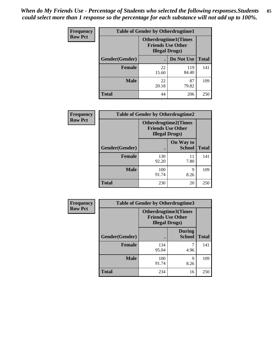*When do My Friends Use - Percentage of Students who selected the following responses.Students could select more than 1 response so the percentage for each substance will not add up to 100%.* **85**

| <b>Frequency</b> | <b>Table of Gender by Otherdrugtime1</b> |                                                                                   |                    |     |  |
|------------------|------------------------------------------|-----------------------------------------------------------------------------------|--------------------|-----|--|
| <b>Row Pct</b>   |                                          | <b>Otherdrugtime1(Times</b><br><b>Friends Use Other</b><br><b>Illegal Drugs</b> ) |                    |     |  |
|                  | Gender(Gender)                           |                                                                                   | Do Not Use   Total |     |  |
|                  | <b>Female</b>                            | 22<br>15.60                                                                       | 119<br>84.40       | 141 |  |
|                  | <b>Male</b>                              | 22<br>20.18                                                                       | 87<br>79.82        | 109 |  |
|                  | <b>Total</b>                             | 44                                                                                | 206                | 250 |  |

| Frequency      |                | <b>Table of Gender by Otherdrugtime2</b>                                          |                            |              |
|----------------|----------------|-----------------------------------------------------------------------------------|----------------------------|--------------|
| <b>Row Pct</b> |                | <b>Otherdrugtime2(Times</b><br><b>Friends Use Other</b><br><b>Illegal Drugs</b> ) |                            |              |
|                | Gender(Gender) |                                                                                   | On Way to<br><b>School</b> | <b>Total</b> |
|                | <b>Female</b>  | 130<br>92.20                                                                      | 11<br>7.80                 | 141          |
|                | <b>Male</b>    | 100<br>91.74                                                                      | q<br>8.26                  | 109          |
|                | <b>Total</b>   | 230                                                                               | 20                         | 250          |

| Frequency      | <b>Table of Gender by Otherdrugtime3</b> |                       |                                                         |              |
|----------------|------------------------------------------|-----------------------|---------------------------------------------------------|--------------|
| <b>Row Pct</b> |                                          | <b>Illegal Drugs)</b> | <b>Otherdrugtime3(Times</b><br><b>Friends Use Other</b> |              |
|                | Gender(Gender)                           |                       | <b>During</b><br><b>School</b>                          | <b>Total</b> |
|                | <b>Female</b>                            | 134<br>95.04          | 7<br>4.96                                               | 141          |
|                | <b>Male</b>                              | 100<br>91.74          | Q<br>8.26                                               | 109          |
|                | <b>Total</b>                             | 234                   | 16                                                      | 250          |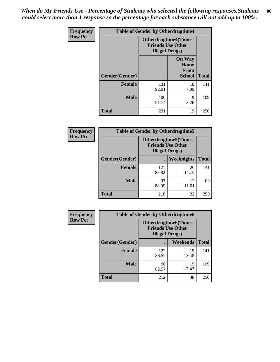*When do My Friends Use - Percentage of Students who selected the following responses.Students could select more than 1 response so the percentage for each substance will not add up to 100%.* **86**

| <b>Frequency</b> | <b>Table of Gender by Otherdrugtime4</b> |                                                    |                                                |              |
|------------------|------------------------------------------|----------------------------------------------------|------------------------------------------------|--------------|
| <b>Row Pct</b>   |                                          | <b>Friends Use Other</b><br><b>Illegal Drugs</b> ) | <b>Otherdrugtime4(Times</b>                    |              |
|                  | Gender(Gender)                           |                                                    | <b>On Way</b><br>Home<br>From<br><b>School</b> | <b>Total</b> |
|                  | <b>Female</b>                            | 131<br>92.91                                       | 10<br>7.09                                     | 141          |
|                  | <b>Male</b>                              | 100<br>91.74                                       | 9<br>8.26                                      | 109          |
|                  | <b>Total</b>                             | 231                                                | 19                                             | 250          |

| Frequency      | <b>Table of Gender by Otherdrugtime5</b> |                                                                                    |             |              |
|----------------|------------------------------------------|------------------------------------------------------------------------------------|-------------|--------------|
| <b>Row Pct</b> |                                          | <b>Otherdrugtime5</b> (Times<br><b>Friends Use Other</b><br><b>Illegal Drugs</b> ) |             |              |
|                | Gender(Gender)                           |                                                                                    | Weeknights  | <b>Total</b> |
|                | Female                                   | 121<br>85.82                                                                       | 20<br>14.18 | 141          |
|                | <b>Male</b>                              | 97<br>88.99                                                                        | 12<br>11.01 | 109          |
|                | <b>Total</b>                             | 218                                                                                | 32          | 250          |

| <b>Frequency</b> | <b>Table of Gender by Otherdrugtime6</b> |                                                                                   |             |              |  |
|------------------|------------------------------------------|-----------------------------------------------------------------------------------|-------------|--------------|--|
| <b>Row Pct</b>   |                                          | <b>Otherdrugtime6(Times</b><br><b>Friends Use Other</b><br><b>Illegal Drugs</b> ) |             |              |  |
|                  | Gender(Gender)                           |                                                                                   | Weekends    | <b>Total</b> |  |
|                  | <b>Female</b>                            | 122<br>86.52                                                                      | 19<br>13.48 | 141          |  |
|                  | <b>Male</b>                              | 90<br>82.57                                                                       | 19<br>17.43 | 109          |  |
|                  | <b>Total</b>                             | 212                                                                               | 38          | 250          |  |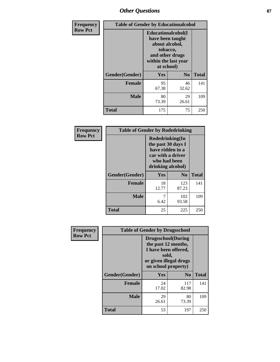## *Other Questions* **87**

| Frequency      | <b>Table of Gender by Educationalcohol</b> |                                                                                                                               |                |              |
|----------------|--------------------------------------------|-------------------------------------------------------------------------------------------------------------------------------|----------------|--------------|
| <b>Row Pct</b> |                                            | Educationalcohol(I<br>have been taught<br>about alcohol,<br>tobacco,<br>and other drugs<br>within the last year<br>at school) |                |              |
|                | Gender(Gender)                             | Yes                                                                                                                           | N <sub>0</sub> | <b>Total</b> |
|                | <b>Female</b>                              | 95<br>67.38                                                                                                                   | 46<br>32.62    | 141          |
|                | <b>Male</b>                                | 80<br>73.39                                                                                                                   | 29<br>26.61    | 109          |
|                | Total                                      | 175                                                                                                                           | 75             | 250          |

| Frequency      | <b>Table of Gender by Rodedrinking</b> |                                                                                                                     |                |              |  |
|----------------|----------------------------------------|---------------------------------------------------------------------------------------------------------------------|----------------|--------------|--|
| <b>Row Pct</b> |                                        | Rodedrinking(In<br>the past 30 days I<br>have ridden in a<br>car with a driver<br>who had been<br>drinking alcohol) |                |              |  |
|                | Gender(Gender)                         | Yes                                                                                                                 | N <sub>0</sub> | <b>Total</b> |  |
|                | <b>Female</b>                          | 18<br>12.77                                                                                                         | 123<br>87.23   | 141          |  |
|                | <b>Male</b>                            | 6.42                                                                                                                | 102<br>93.58   | 109          |  |
|                | <b>Total</b>                           | 25                                                                                                                  | 225            | 250          |  |

| Frequency      | <b>Table of Gender by Drugsschool</b> |                                                                                                                                     |                |              |  |
|----------------|---------------------------------------|-------------------------------------------------------------------------------------------------------------------------------------|----------------|--------------|--|
| <b>Row Pct</b> |                                       | <b>Drugsschool</b> (During<br>the past 12 months,<br>I have been offered,<br>sold,<br>or given illegal drugs<br>on school property) |                |              |  |
|                | Gender(Gender)                        | Yes                                                                                                                                 | N <sub>0</sub> | <b>Total</b> |  |
|                | <b>Female</b>                         | 24<br>17.02                                                                                                                         | 117<br>82.98   | 141          |  |
|                | <b>Male</b>                           | 29<br>26.61                                                                                                                         | 80<br>73.39    | 109          |  |
|                | <b>Total</b>                          | 53                                                                                                                                  | 197            | 250          |  |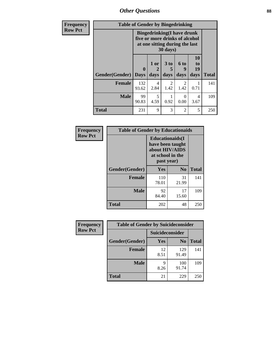*Other Questions* **88**

| Frequency      | <b>Table of Gender by Bingedrinking</b> |                                                                                                                            |                |                         |                          |                        |              |
|----------------|-----------------------------------------|----------------------------------------------------------------------------------------------------------------------------|----------------|-------------------------|--------------------------|------------------------|--------------|
| <b>Row Pct</b> |                                         | <b>Bingedrinking(I have drunk</b><br>five or more drinks of alcohol<br>at one sitting during the last<br>$30 \text{ days}$ |                |                         |                          |                        |              |
|                | Gender(Gender)                          | $\mathbf{0}$<br><b>Days</b>                                                                                                | $1$ or<br>days | 3 <sub>to</sub><br>days | <b>6 to</b><br>9<br>days | 10<br>to<br>19<br>days | <b>Total</b> |
|                | Female                                  | 132<br>93.62                                                                                                               | 4<br>2.84      | $\mathcal{D}$<br>1.42   | 2<br>1.42                | 0.71                   | 141          |
|                | <b>Male</b>                             | 99<br>90.83                                                                                                                | 5<br>4.59      | 0.92                    | 0<br>0.00                | 4<br>3.67              | 109          |
|                | <b>Total</b>                            | 231                                                                                                                        | 9              | 3                       | $\overline{2}$           | 5                      | 250          |

| Frequency      | <b>Table of Gender by Educationaids</b> |                                                                                                 |                |              |  |
|----------------|-----------------------------------------|-------------------------------------------------------------------------------------------------|----------------|--------------|--|
| <b>Row Pct</b> |                                         | <b>Educationaids</b> (I<br>have been taught<br>about HIV/AIDS<br>at school in the<br>past year) |                |              |  |
|                | Gender(Gender)                          | Yes                                                                                             | N <sub>0</sub> | <b>Total</b> |  |
|                | <b>Female</b>                           | 110<br>78.01                                                                                    | 31<br>21.99    | 141          |  |
|                | <b>Male</b>                             | 92<br>84.40                                                                                     | 17<br>15.60    | 109          |  |
|                | <b>Total</b>                            | 202                                                                                             | 48             | 250          |  |

| <b>Frequency</b> | <b>Table of Gender by Suicideconsider</b> |                 |                |              |
|------------------|-------------------------------------------|-----------------|----------------|--------------|
| <b>Row Pct</b>   |                                           | Suicideconsider |                |              |
|                  | Gender(Gender)                            | Yes             | N <sub>0</sub> | <b>Total</b> |
|                  | <b>Female</b>                             | 12<br>8.51      | 129<br>91.49   | 141          |
|                  | <b>Male</b>                               | q<br>8.26       | 100<br>91.74   | 109          |
|                  | <b>Total</b>                              | 21              | 229            | 250          |